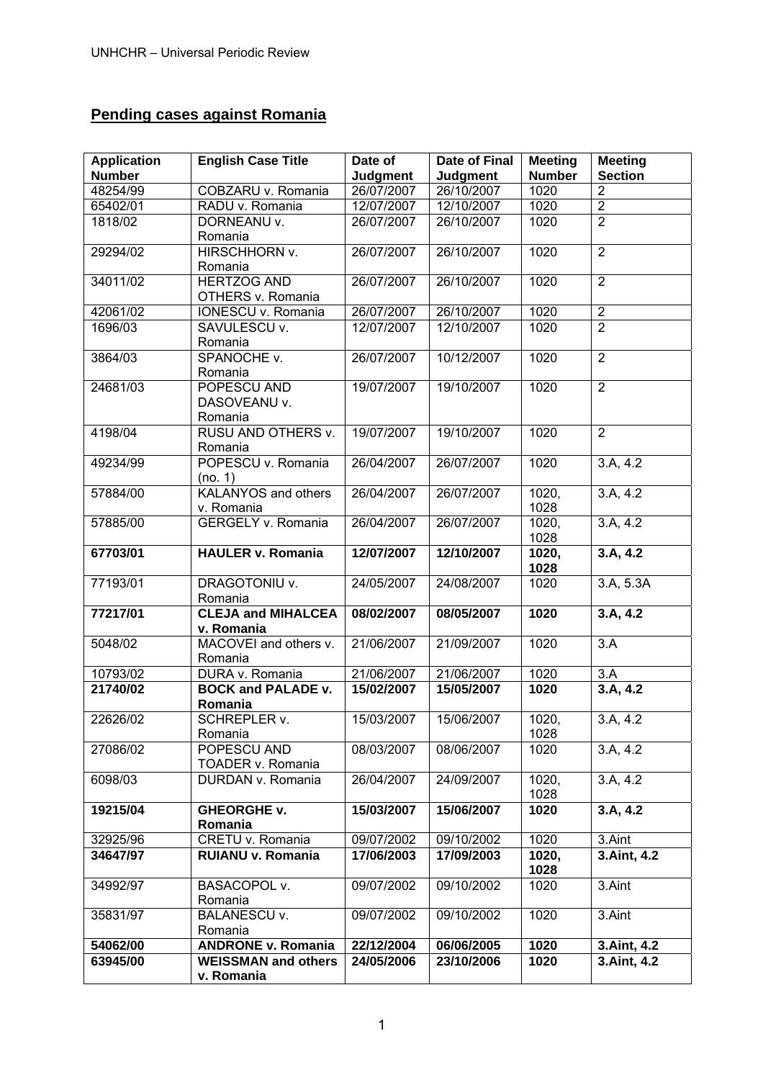# **Pending cases against Romania**

| <b>Application</b> | <b>English Case Title</b>            | Date of         | <b>Date of Final</b>     | <b>Meeting</b> | <b>Meeting</b> |
|--------------------|--------------------------------------|-----------------|--------------------------|----------------|----------------|
| <b>Number</b>      |                                      | <b>Judgment</b> | <b>Judgment</b>          | <b>Number</b>  | <b>Section</b> |
| 48254/99           | COBZARU v. Romania                   | 26/07/2007      | 26/10/2007               | 1020           | $\overline{2}$ |
| 65402/01           | RADU v. Romania                      | 12/07/2007      | 12/10/2007               | 1020           | $\overline{2}$ |
| 1818/02            | DORNEANU v.                          | 26/07/2007      | 26/10/2007               | 1020           | $\overline{2}$ |
|                    | Romania                              |                 |                          |                |                |
| 29294/02           | HIRSCHHORN v.                        | 26/07/2007      | 26/10/2007               | 1020           | $\overline{2}$ |
|                    | Romania                              |                 |                          |                |                |
| 34011/02           | <b>HERTZOG AND</b>                   | 26/07/2007      | 26/10/2007               | 1020           | $\overline{2}$ |
|                    | OTHERS v. Romania                    |                 |                          |                |                |
| 42061/02           | IONESCU v. Romania                   | 26/07/2007      | 26/10/2007               | 1020           | $\overline{2}$ |
| 1696/03            | SAVULESCU v.                         | 12/07/2007      | 12/10/2007               | 1020           | $\overline{2}$ |
|                    | Romania                              |                 |                          |                |                |
| 3864/03            | SPANOCHE v.                          | 26/07/2007      | 10/12/2007               | 1020           | $\overline{2}$ |
|                    | Romania                              |                 |                          |                |                |
| 24681/03           | POPESCU AND                          | 19/07/2007      | 19/10/2007               | 1020           | $\overline{2}$ |
|                    | DASOVEANU v.                         |                 |                          |                |                |
|                    | Romania                              |                 |                          |                |                |
| 4198/04            | RUSU AND OTHERS v.                   | 19/07/2007      | 19/10/2007               | 1020           | $\overline{2}$ |
|                    | Romania                              |                 |                          |                |                |
| 49234/99           | POPESCU v. Romania                   | 26/04/2007      | 26/07/2007               | 1020           | 3.A, 4.2       |
|                    | (no. 1)                              |                 |                          |                |                |
| 57884/00           | <b>KALANYOS and others</b>           | 26/04/2007      | 26/07/2007               | 1020,          | 3.A, 4.2       |
|                    | v. Romania                           |                 |                          | 1028           |                |
| 57885/00           | <b>GERGELY v. Romania</b>            | 26/04/2007      | 26/07/2007               | 1020.          | 3.A, 4.2       |
|                    |                                      |                 |                          | 1028           |                |
| 67703/01           | <b>HAULER v. Romania</b>             | 12/07/2007      | 12/10/2007               | 1020,          | 3.A, 4.2       |
|                    |                                      |                 |                          | 1028           |                |
| 77193/01           | DRAGOTONIU v.                        | 24/05/2007      | 24/08/2007               | 1020           | 3.A, 5.3A      |
|                    | Romania                              |                 |                          |                |                |
| 77217/01           | <b>CLEJA and MIHALCEA</b>            | 08/02/2007      | 08/05/2007               | 1020           | 3.A, 4.2       |
|                    | v. Romania                           |                 |                          |                |                |
| 5048/02            | MACOVEI and others v.                | 21/06/2007      | 21/09/2007               | 1020           | 3.A            |
|                    | Romania                              |                 |                          |                |                |
| 10793/02           | DURA v. Romania                      | 21/06/2007      | 21/06/2007               | 1020           | 3.A            |
| 21740/02           | <b>BOCK and PALADE v.</b>            | 15/02/2007      | 15/05/2007               | 1020           | 3.A, 4.2       |
|                    | Romania                              |                 |                          |                |                |
| 22626/02           | <b>SCHREPLER v.</b>                  | 15/03/2007      | 15/06/2007               | 1020,          | 3.A, 4.2       |
|                    | Romania                              |                 |                          | 1028           |                |
| 27086/02           | POPESCU AND                          | 08/03/2007      | 08/06/2007               | 1020           | 3.A, 4.2       |
|                    | TOADER v. Romania                    |                 |                          |                |                |
| 6098/03            | DURDAN v. Romania                    | 26/04/2007      | 24/09/2007               | 1020,          | 3.A, 4.2       |
|                    |                                      |                 |                          | 1028           |                |
| 19215/04           | <b>GHEORGHE v.</b>                   | 15/03/2007      | 15/06/2007               | 1020           | 3.A, 4.2       |
|                    | Romania                              |                 |                          |                |                |
| 32925/96           | CRETU v. Romania                     | 09/07/2002      | 09/10/2002               | 1020           | 3.Aint         |
| 34647/97           | <b>RUIANU v. Romania</b>             | 17/06/2003      | 17/09/2003               | 1020,          | 3.Aint, 4.2    |
|                    |                                      |                 | 09/10/2002               | 1028           | 3.Aint         |
| 34992/97           | BASACOPOL v.                         | 09/07/2002      |                          | 1020           |                |
|                    | Romania                              |                 |                          |                |                |
| 35831/97           | <b>BALANESCU v.</b>                  | 09/07/2002      | 09/10/2002               | 1020           | 3.Aint         |
| 54062/00           | Romania<br><b>ANDRONE v. Romania</b> | 22/12/2004      |                          | 1020           |                |
| 63945/00           | <b>WEISSMAN and others</b>           | 24/05/2006      | 06/06/2005<br>23/10/2006 | 1020           | 3.Aint, 4.2    |
|                    | v. Romania                           |                 |                          |                | 3.Aint, 4.2    |
|                    |                                      |                 |                          |                |                |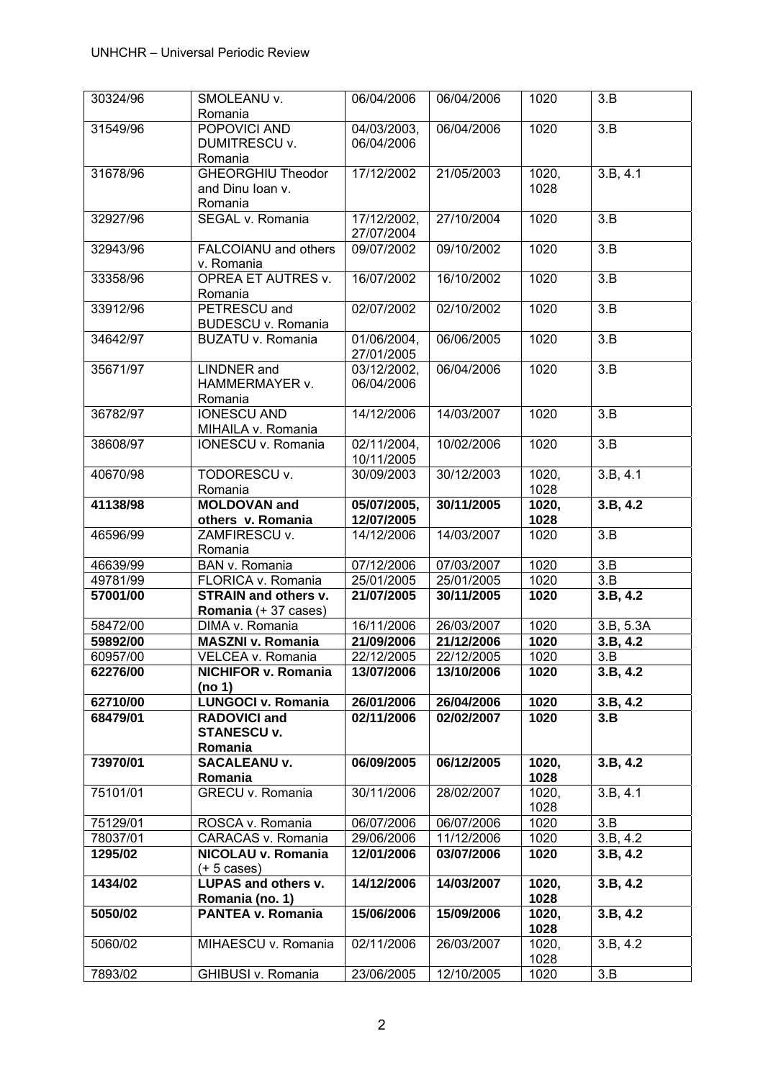| 30324/96 | SMOLEANU v.                              | 06/04/2006                | 06/04/2006 | 1020          | 3.B                   |
|----------|------------------------------------------|---------------------------|------------|---------------|-----------------------|
|          | Romania                                  |                           |            |               |                       |
| 31549/96 | POPOVICI AND                             | 04/03/2003,               | 06/04/2006 | 1020          | 3.B                   |
|          | DUMITRESCU v.                            | 06/04/2006                |            |               |                       |
|          | Romania                                  |                           |            |               |                       |
| 31678/96 | <b>GHEORGHIU Theodor</b>                 | 17/12/2002                | 21/05/2003 | 1020,         | 3.B, 4.1              |
|          | and Dinu Ioan v.                         |                           |            | 1028          |                       |
|          | Romania<br>SEGAL v. Romania              |                           |            |               |                       |
| 32927/96 |                                          | 17/12/2002,<br>27/07/2004 | 27/10/2004 | 1020          | $\overline{3.B}$      |
| 32943/96 | FALCOIANU and others                     | 09/07/2002                | 09/10/2002 | 1020          | $\overline{3.B}$      |
|          | v. Romania                               |                           |            |               |                       |
| 33358/96 | OPREA ET AUTRES v.                       | 16/07/2002                | 16/10/2002 | 1020          | 3.B                   |
|          | Romania                                  |                           |            |               |                       |
| 33912/96 | PETRESCU and                             | 02/07/2002                | 02/10/2002 | 1020          | 3.B                   |
|          | <b>BUDESCU v. Romania</b>                |                           |            |               |                       |
| 34642/97 | BUZATU v. Romania                        | 01/06/2004,               | 06/06/2005 | 1020          | 3.B                   |
|          |                                          | 27/01/2005                |            |               |                       |
| 35671/97 | <b>LINDNER</b> and                       | 03/12/2002,               | 06/04/2006 | 1020          | 3.B                   |
|          | HAMMERMAYER v.                           | 06/04/2006                |            |               |                       |
|          | Romania                                  |                           |            |               |                       |
| 36782/97 | <b>IONESCU AND</b>                       | 14/12/2006                | 14/03/2007 | 1020          | 3.B                   |
| 38608/97 | MIHAILA v. Romania<br>IONESCU v. Romania |                           | 10/02/2006 | 1020          | 3.B                   |
|          |                                          | 02/11/2004,<br>10/11/2005 |            |               |                       |
| 40670/98 | TODORESCU v.                             | 30/09/2003                | 30/12/2003 | 1020,         | 3.B, 4.1              |
|          | Romania                                  |                           |            | 1028          |                       |
| 41138/98 | <b>MOLDOVAN and</b>                      | 05/07/2005,               | 30/11/2005 | 1020,         | $3.\overline{B, 4.2}$ |
|          | others v. Romania                        | 12/07/2005                |            | 1028          |                       |
| 46596/99 | ZAMFIRESCU v.                            | 14/12/2006                | 14/03/2007 | 1020          | $\overline{3.B}$      |
|          | Romania                                  |                           |            |               |                       |
|          |                                          |                           |            |               |                       |
| 46639/99 | BAN v. Romania                           | 07/12/2006                | 07/03/2007 | 1020          | 3.B                   |
| 49781/99 | FLORICA v. Romania                       | 25/01/2005                | 25/01/2005 | 1020          | 3.B                   |
| 57001/00 | <b>STRAIN and others v.</b>              | 21/07/2005                | 30/11/2005 | 1020          | 3.B, 4.2              |
|          | Romania (+ 37 cases)                     |                           |            |               |                       |
| 58472/00 | DIMA v. Romania                          | 16/11/2006                | 26/03/2007 | 1020          | 3.B, 5.3A             |
| 59892/00 | <b>MASZNI v. Romania</b>                 | 21/09/2006                | 21/12/2006 | 1020          | 3.B, 4.2              |
| 60957/00 | VELCEA v. Romania                        | 22/12/2005                | 22/12/2005 | 1020          | 3.B                   |
| 62276/00 | NICHIFOR v. Romania                      | 13/07/2006                | 13/10/2006 | 1020          | 3.B, 4.2              |
|          | (no 1)                                   |                           |            |               |                       |
| 62710/00 | <b>LUNGOCI v. Romania</b>                | 26/01/2006                | 26/04/2006 | 1020          | 3.B, 4.2              |
| 68479/01 | <b>RADOVICI and</b>                      | 02/11/2006                | 02/02/2007 | 1020          | 3.B                   |
|          | <b>STANESCU v.</b><br>Romania            |                           |            |               |                       |
| 73970/01 | <b>SACALEANU v.</b>                      | 06/09/2005                | 06/12/2005 | 1020,         | 3.B.4.2               |
|          | Romania                                  |                           |            | 1028          |                       |
| 75101/01 | <b>GRECU v. Romania</b>                  | 30/11/2006                | 28/02/2007 | 1020,         | 3.B, 4.1              |
|          |                                          |                           |            | 1028          |                       |
| 75129/01 | ROSCA v. Romania                         | 06/07/2006                | 06/07/2006 | 1020          | 3.B                   |
| 78037/01 | CARACAS v. Romania                       | 29/06/2006                | 11/12/2006 | 1020          | 3.B, 4.2              |
| 1295/02  | NICOLAU v. Romania                       | 12/01/2006                | 03/07/2006 | 1020          | 3.B, 4.2              |
|          | $(+ 5 \cases)$                           |                           |            |               |                       |
| 1434/02  | LUPAS and others v.                      | 14/12/2006                | 14/03/2007 | 1020,         | 3.B, 4.2              |
|          | Romania (no. 1)                          |                           |            | 1028          |                       |
| 5050/02  | PANTEA v. Romania                        | 15/06/2006                | 15/09/2006 | 1020,         | 3.B, 4.2              |
|          |                                          |                           |            | 1028          |                       |
| 5060/02  | MIHAESCU v. Romania                      | 02/11/2006                | 26/03/2007 | 1020,<br>1028 | 3.B, 4.2              |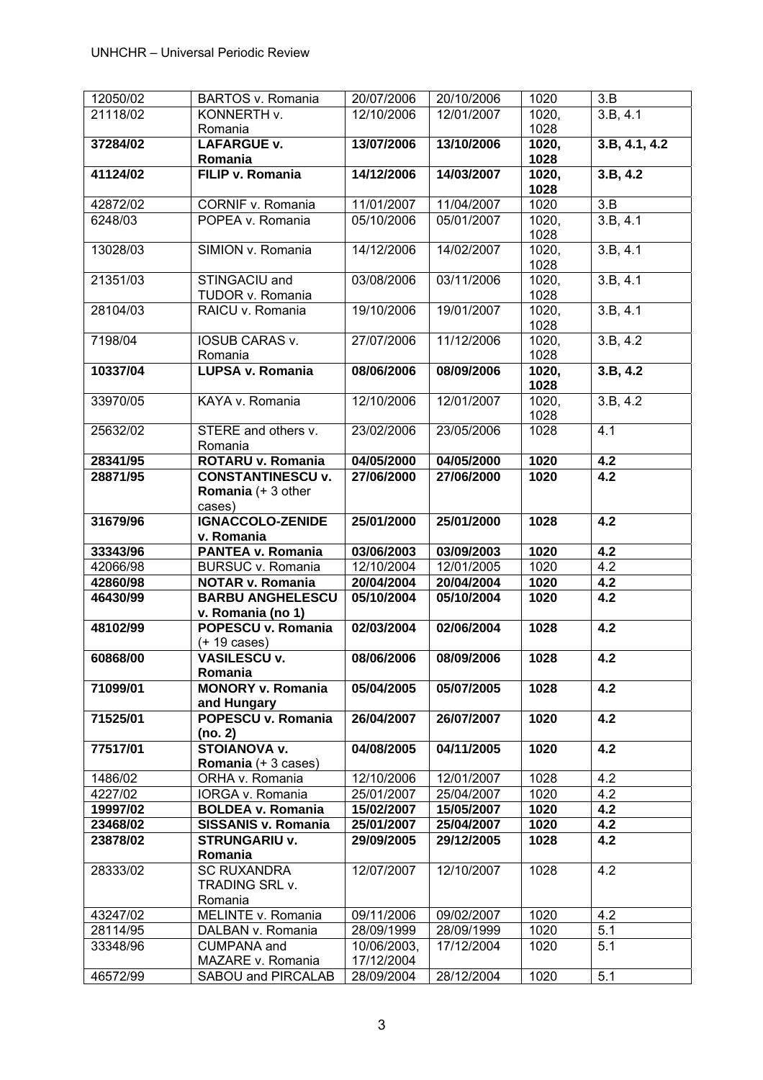| 12050/02 | BARTOS v. Romania          | 20/07/2006  | 20/10/2006 | 1020  | 3.B                   |
|----------|----------------------------|-------------|------------|-------|-----------------------|
| 21118/02 | KONNERTH v.                | 12/10/2006  | 12/01/2007 | 1020, | 3.B, 4.1              |
|          | Romania                    |             |            | 1028  |                       |
| 37284/02 | <b>LAFARGUE v.</b>         | 13/07/2006  | 13/10/2006 | 1020, | 3.B, 4.1, 4.2         |
|          |                            |             |            |       |                       |
|          | Romania                    |             |            | 1028  |                       |
| 41124/02 | FILIP v. Romania           | 14/12/2006  | 14/03/2007 | 1020, | 3.B, 4.2              |
|          |                            |             |            | 1028  |                       |
| 42872/02 | CORNIF v. Romania          | 11/01/2007  | 11/04/2007 | 1020  | $\overline{3.B}$      |
| 6248/03  | POPEA v. Romania           | 05/10/2006  | 05/01/2007 | 1020, | 3.B, 4.1              |
|          |                            |             |            | 1028  |                       |
| 13028/03 | SIMION v. Romania          | 14/12/2006  | 14/02/2007 | 1020, | $3.B, 4.\overline{1}$ |
|          |                            |             |            |       |                       |
|          |                            |             |            | 1028  |                       |
| 21351/03 | STINGACIU and              | 03/08/2006  | 03/11/2006 | 1020, | 3.B, 4.1              |
|          | TUDOR v. Romania           |             |            | 1028  |                       |
| 28104/03 | RAICU v. Romania           | 19/10/2006  | 19/01/2007 | 1020, | 3.B, 4.1              |
|          |                            |             |            | 1028  |                       |
| 7198/04  | <b>IOSUB CARAS v.</b>      | 27/07/2006  | 11/12/2006 | 1020, | 3.B, 4.2              |
|          | Romania                    |             |            | 1028  |                       |
|          |                            |             |            |       |                       |
| 10337/04 | LUPSA v. Romania           | 08/06/2006  | 08/09/2006 | 1020, | 3.B, 4.2              |
|          |                            |             |            | 1028  |                       |
| 33970/05 | KAYA v. Romania            | 12/10/2006  | 12/01/2007 | 1020, | 3.B, 4.2              |
|          |                            |             |            | 1028  |                       |
| 25632/02 | STERE and others v.        | 23/02/2006  | 23/05/2006 | 1028  | 4.1                   |
|          | Romania                    |             |            |       |                       |
| 28341/95 | ROTARU v. Romania          | 04/05/2000  | 04/05/2000 | 1020  | 4.2                   |
|          |                            |             |            |       |                       |
| 28871/95 | <b>CONSTANTINESCU v.</b>   | 27/06/2000  | 27/06/2000 | 1020  | 4.2                   |
|          | Romania (+ 3 other         |             |            |       |                       |
|          | cases)                     |             |            |       |                       |
| 31679/96 | IGNACCOLO-ZENIDE           | 25/01/2000  | 25/01/2000 | 1028  | 4.2                   |
|          | v. Romania                 |             |            |       |                       |
| 33343/96 | PANTEA v. Romania          | 03/06/2003  | 03/09/2003 | 1020  | 4.2                   |
|          |                            |             |            |       |                       |
|          |                            |             |            |       |                       |
| 42066/98 | BURSUC v. Romania          | 12/10/2004  | 12/01/2005 | 1020  | 4.2                   |
| 42860/98 | <b>NOTAR v. Romania</b>    | 20/04/2004  | 20/04/2004 | 1020  | 4.2                   |
| 46430/99 | <b>BARBU ANGHELESCU</b>    | 05/10/2004  | 05/10/2004 | 1020  | 4.2                   |
|          | v. Romania (no 1)          |             |            |       |                       |
| 48102/99 | POPESCU v. Romania         | 02/03/2004  | 02/06/2004 | 1028  | 4.2                   |
|          |                            |             |            |       |                       |
|          | $(+ 19 \text{ cases})$     |             |            |       |                       |
| 60868/00 | <b>VASILESCU v.</b>        | 08/06/2006  | 08/09/2006 | 1028  | 4.2                   |
|          | Romania                    |             |            |       |                       |
| 71099/01 | <b>MONORY v. Romania</b>   | 05/04/2005  | 05/07/2005 | 1028  | 4.2                   |
|          | and Hungary                |             |            |       |                       |
| 71525/01 | POPESCU v. Romania         | 26/04/2007  | 26/07/2007 | 1020  | $\overline{4.2}$      |
|          | (no. 2)                    |             |            |       |                       |
| 77517/01 | <b>STOIANOVA v.</b>        | 04/08/2005  | 04/11/2005 | 1020  | $\overline{4.2}$      |
|          |                            |             |            |       |                       |
|          | Romania (+ 3 cases)        |             |            |       |                       |
| 1486/02  | ORHA v. Romania            | 12/10/2006  | 12/01/2007 | 1028  | 4.2                   |
| 4227/02  | IORGA v. Romania           | 25/01/2007  | 25/04/2007 | 1020  | 4.2                   |
| 19997/02 | <b>BOLDEA v. Romania</b>   | 15/02/2007  | 15/05/2007 | 1020  | 4.2                   |
| 23468/02 | <b>SISSANIS v. Romania</b> | 25/01/2007  | 25/04/2007 | 1020  | 4.2                   |
| 23878/02 | <b>STRUNGARIU v.</b>       | 29/09/2005  | 29/12/2005 | 1028  | 4.2                   |
|          | Romania                    |             |            |       |                       |
| 28333/02 | <b>SC RUXANDRA</b>         | 12/07/2007  | 12/10/2007 | 1028  | 4.2                   |
|          |                            |             |            |       |                       |
|          | TRADING SRL v.             |             |            |       |                       |
|          | Romania                    |             |            |       |                       |
| 43247/02 | MELINTE v. Romania         | 09/11/2006  | 09/02/2007 | 1020  | 4.2                   |
| 28114/95 | DALBAN v. Romania          | 28/09/1999  | 28/09/1999 | 1020  | 5.1                   |
| 33348/96 | <b>CUMPANA</b> and         | 10/06/2003, | 17/12/2004 | 1020  | 5.1                   |
|          | MAZARE v. Romania          | 17/12/2004  |            |       |                       |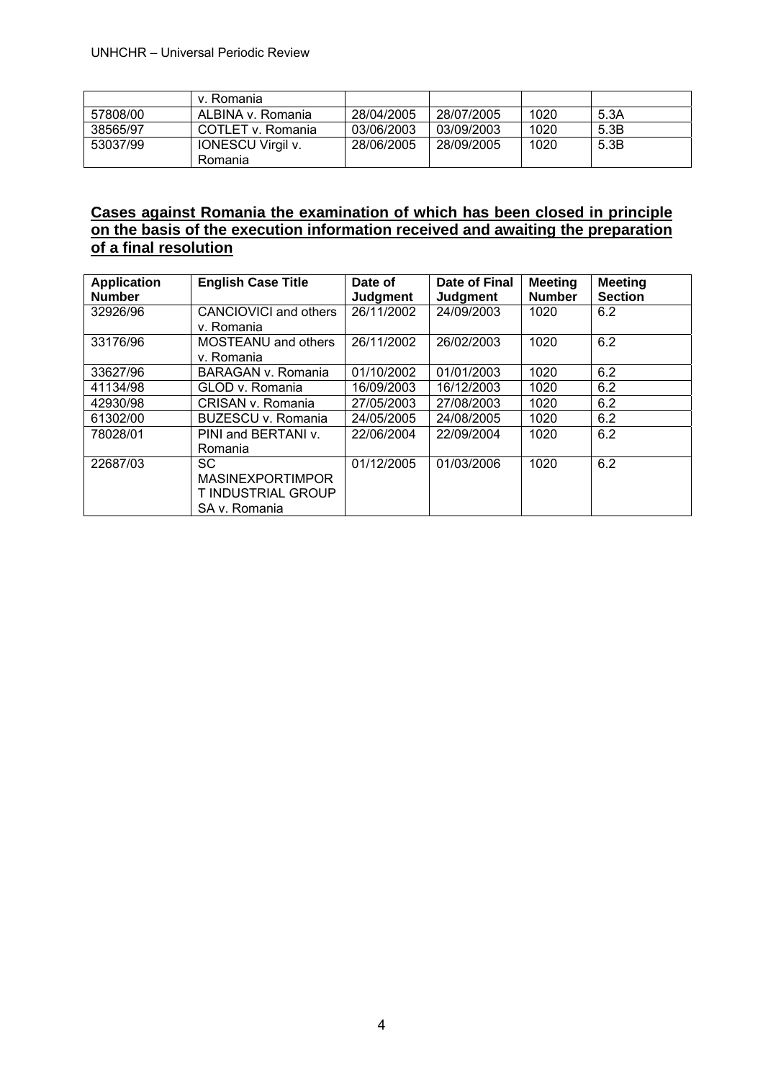|          | v. Romania               |            |            |      |      |
|----------|--------------------------|------------|------------|------|------|
| 57808/00 | ALBINA v. Romania        | 28/04/2005 | 28/07/2005 | 1020 | 5.3A |
| 38565/97 | COTLET v. Romania        | 03/06/2003 | 03/09/2003 | 1020 | 5.3B |
| 53037/99 | <b>IONESCU Virgil v.</b> | 28/06/2005 | 28/09/2005 | 1020 | 5.3B |
|          | Romania                  |            |            |      |      |

# **Cases against Romania the examination of which has been closed in principle on the basis of the execution information received and awaiting the preparation of a final resolution**

| <b>Application</b> | <b>English Case Title</b>  | Date of    | Date of Final   | <b>Meeting</b> | <b>Meeting</b> |
|--------------------|----------------------------|------------|-----------------|----------------|----------------|
| <b>Number</b>      |                            | Judgment   | <b>Judgment</b> | <b>Number</b>  | <b>Section</b> |
| 32926/96           | CANCIOVICI and others      | 26/11/2002 | 24/09/2003      | 1020           | 6.2            |
|                    | v. Romania                 |            |                 |                |                |
| 33176/96           | <b>MOSTEANU</b> and others | 26/11/2002 | 26/02/2003      | 1020           | 6.2            |
|                    | v. Romania                 |            |                 |                |                |
| 33627/96           | BARAGAN v. Romania         | 01/10/2002 | 01/01/2003      | 1020           | 6.2            |
| 41134/98           | GLOD v. Romania            | 16/09/2003 | 16/12/2003      | 1020           | 6.2            |
| 42930/98           | CRISAN v. Romania          | 27/05/2003 | 27/08/2003      | 1020           | 6.2            |
| 61302/00           | BUZESCU v. Romania         | 24/05/2005 | 24/08/2005      | 1020           | 6.2            |
| 78028/01           | PINI and BERTANI v.        | 22/06/2004 | 22/09/2004      | 1020           | 6.2            |
|                    | Romania                    |            |                 |                |                |
| 22687/03           | <b>SC</b>                  | 01/12/2005 | 01/03/2006      | 1020           | 6.2            |
|                    | <b>MASINEXPORTIMPOR</b>    |            |                 |                |                |
|                    | T INDUSTRIAL GROUP         |            |                 |                |                |
|                    | SA v. Romania              |            |                 |                |                |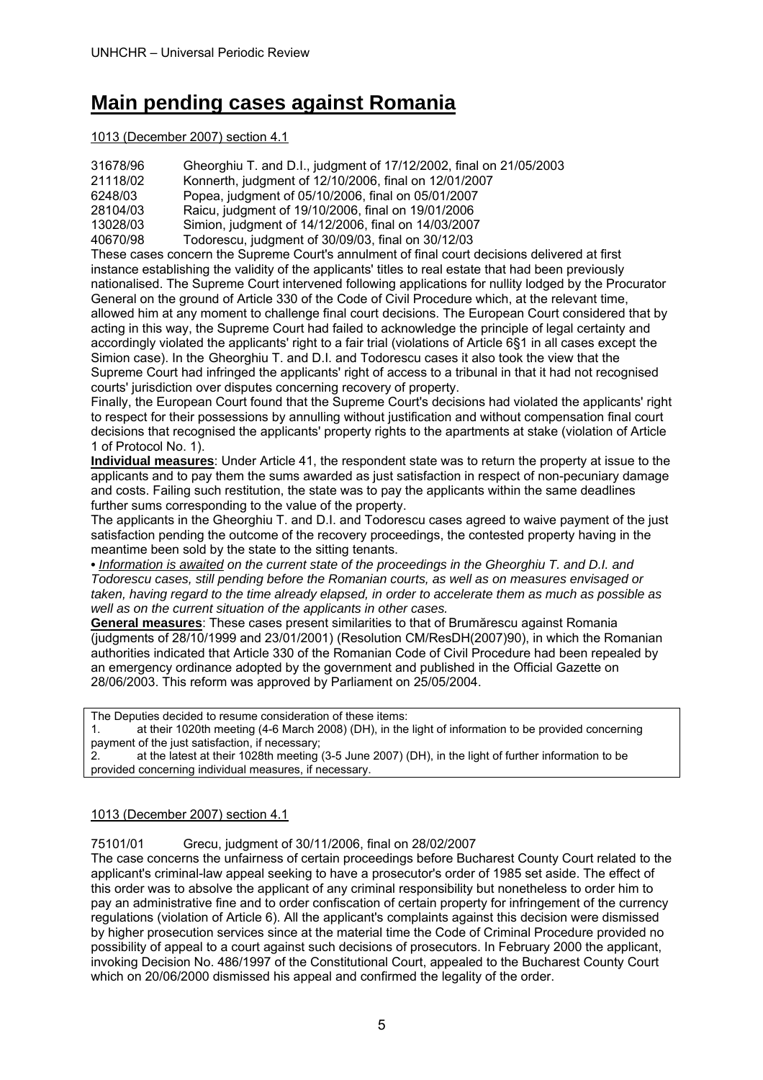# **Main pending cases against Romania**

#### 1013 (December 2007) section 4.1

| 31678/96 | Gheorghiu T. and D.I., judgment of 17/12/2002, final on 21/05/2003                     |
|----------|----------------------------------------------------------------------------------------|
| 21118/02 | Konnerth, judgment of 12/10/2006, final on 12/01/2007                                  |
| 6248/03  | Popea, judgment of 05/10/2006, final on 05/01/2007                                     |
| 28104/03 | Raicu, judgment of 19/10/2006, final on 19/01/2006                                     |
| 13028/03 | Simion, judgment of 14/12/2006, final on 14/03/2007                                    |
| 40670/98 | Todorescu, judgment of 30/09/03, final on 30/12/03                                     |
|          | These concerns and the Ormans of October specific and of Carl countries in the deliver |

These cases concern the Supreme Court's annulment of final court decisions delivered at first instance establishing the validity of the applicants' titles to real estate that had been previously nationalised. The Supreme Court intervened following applications for nullity lodged by the Procurator General on the ground of Article 330 of the Code of Civil Procedure which, at the relevant time, allowed him at any moment to challenge final court decisions. The European Court considered that by acting in this way, the Supreme Court had failed to acknowledge the principle of legal certainty and accordingly violated the applicants' right to a fair trial (violations of Article 6§1 in all cases except the Simion case). In the Gheorghiu T. and D.I. and Todorescu cases it also took the view that the Supreme Court had infringed the applicants' right of access to a tribunal in that it had not recognised courts' jurisdiction over disputes concerning recovery of property.

Finally, the European Court found that the Supreme Court's decisions had violated the applicants' right to respect for their possessions by annulling without justification and without compensation final court decisions that recognised the applicants' property rights to the apartments at stake (violation of Article 1 of Protocol No. 1).

**Individual measures**: Under Article 41, the respondent state was to return the property at issue to the applicants and to pay them the sums awarded as just satisfaction in respect of non-pecuniary damage and costs. Failing such restitution, the state was to pay the applicants within the same deadlines further sums corresponding to the value of the property.

The applicants in the Gheorghiu T. and D.I. and Todorescu cases agreed to waive payment of the just satisfaction pending the outcome of the recovery proceedings, the contested property having in the meantime been sold by the state to the sitting tenants.

**•** *Information is awaited on the current state of the proceedings in the Gheorghiu T. and D.I. and Todorescu cases, still pending before the Romanian courts, as well as on measures envisaged or taken, having regard to the time already elapsed, in order to accelerate them as much as possible as well as on the current situation of the applicants in other cases.* 

**General measures**: These cases present similarities to that of Brumărescu against Romania (judgments of 28/10/1999 and 23/01/2001) (Resolution CM/ResDH(2007)90), in which the Romanian authorities indicated that Article 330 of the Romanian Code of Civil Procedure had been repealed by an emergency ordinance adopted by the government and published in the Official Gazette on 28/06/2003. This reform was approved by Parliament on 25/05/2004.

The Deputies decided to resume consideration of these items:

1. at their 1020th meeting (4-6 March 2008) (DH), in the light of information to be provided concerning payment of the just satisfaction, if necessary;

2. at the latest at their 1028th meeting (3-5 June 2007) (DH), in the light of further information to be provided concerning individual measures, if necessary.

#### 1013 (December 2007) section 4.1

75101/01 Grecu, judgment of 30/11/2006, final on 28/02/2007

The case concerns the unfairness of certain proceedings before Bucharest County Court related to the applicant's criminal-law appeal seeking to have a prosecutor's order of 1985 set aside. The effect of this order was to absolve the applicant of any criminal responsibility but nonetheless to order him to pay an administrative fine and to order confiscation of certain property for infringement of the currency regulations (violation of Article 6). All the applicant's complaints against this decision were dismissed by higher prosecution services since at the material time the Code of Criminal Procedure provided no possibility of appeal to a court against such decisions of prosecutors. In February 2000 the applicant, invoking Decision No. 486/1997 of the Constitutional Court, appealed to the Bucharest County Court which on 20/06/2000 dismissed his appeal and confirmed the legality of the order.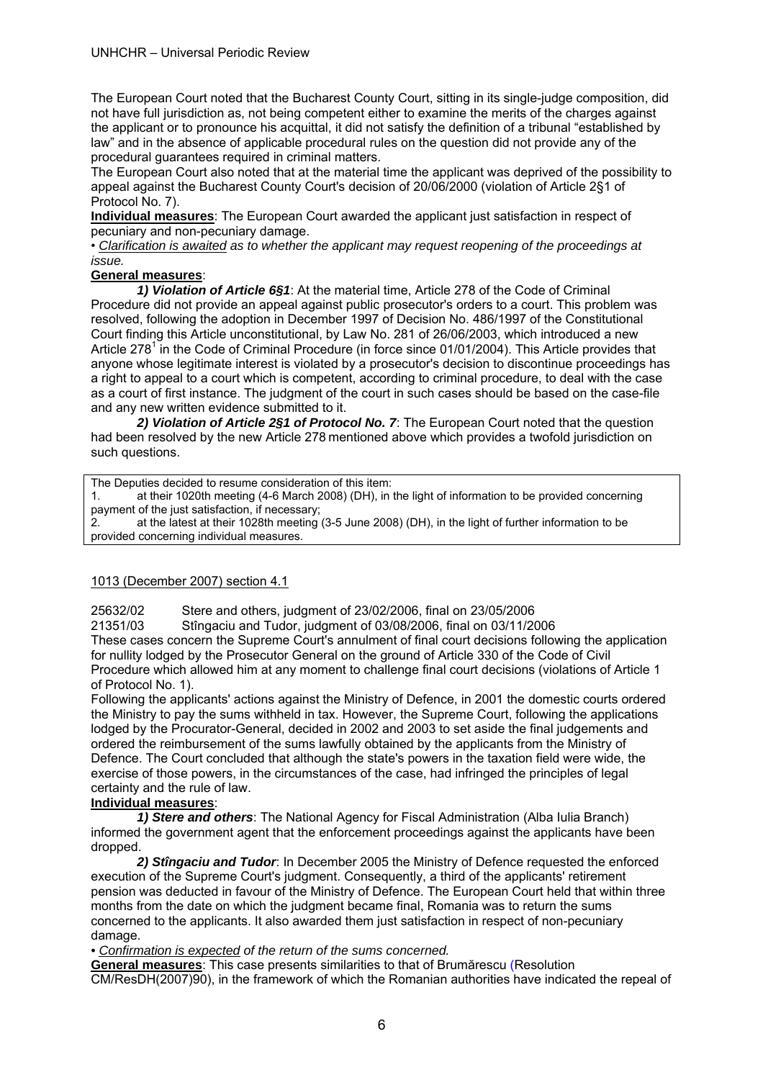The European Court noted that the Bucharest County Court, sitting in its single-judge composition, did not have full jurisdiction as, not being competent either to examine the merits of the charges against the applicant or to pronounce his acquittal, it did not satisfy the definition of a tribunal "established by law" and in the absence of applicable procedural rules on the question did not provide any of the procedural guarantees required in criminal matters.

The European Court also noted that at the material time the applicant was deprived of the possibility to appeal against the Bucharest County Court's decision of 20/06/2000 (violation of Article 2§1 of Protocol No. 7).

**Individual measures**: The European Court awarded the applicant just satisfaction in respect of pecuniary and non-pecuniary damage.

• *Clarification is awaited as to whether the applicant may request reopening of the proceedings at issue.* 

### **General measures**:

*1) Violation of Article 6§1*: At the material time, Article 278 of the Code of Criminal Procedure did not provide an appeal against public prosecutor's orders to a court. This problem was resolved, following the adoption in December 1997 of Decision No. 486/1997 of the Constitutional Court finding this Article unconstitutional, by Law No. 281 of 26/06/2003, which introduced a new Article 278<sup>1</sup> in the Code of Criminal Procedure (in force since 01/01/2004). This Article provides that anyone whose legitimate interest is violated by a prosecutor's decision to discontinue proceedings has a right to appeal to a court which is competent, according to criminal procedure, to deal with the case as a court of first instance. The judgment of the court in such cases should be based on the case-file and any new written evidence submitted to it.

*2) Violation of Article 2§1 of Protocol No. 7*: The European Court noted that the question had been resolved by the new Article 278 mentioned above which provides a twofold jurisdiction on such questions.

The Deputies decided to resume consideration of this item:

1. at their 1020th meeting (4-6 March 2008) (DH), in the light of information to be provided concerning payment of the just satisfaction, if necessary;

2. at the latest at their 1028th meeting (3-5 June 2008) (DH), in the light of further information to be provided concerning individual measures.

### 1013 (December 2007) section 4.1

25632/02 Stere and others, judgment of 23/02/2006, final on 23/05/2006

21351/03 Stîngaciu and Tudor, judgment of 03/08/2006, final on 03/11/2006

These cases concern the Supreme Court's annulment of final court decisions following the application for nullity lodged by the Prosecutor General on the ground of Article 330 of the Code of Civil Procedure which allowed him at any moment to challenge final court decisions (violations of Article 1 of Protocol No. 1).

Following the applicants' actions against the Ministry of Defence, in 2001 the domestic courts ordered the Ministry to pay the sums withheld in tax. However, the Supreme Court, following the applications lodged by the Procurator-General, decided in 2002 and 2003 to set aside the final judgements and ordered the reimbursement of the sums lawfully obtained by the applicants from the Ministry of Defence. The Court concluded that although the state's powers in the taxation field were wide, the exercise of those powers, in the circumstances of the case, had infringed the principles of legal certainty and the rule of law.

#### **Individual measures**:

 *1) Stere and others*: The National Agency for Fiscal Administration (Alba Iulia Branch) informed the government agent that the enforcement proceedings against the applicants have been dropped.

 *2) Stîngaciu and Tudor*: In December 2005 the Ministry of Defence requested the enforced execution of the Supreme Court's judgment. Consequently, a third of the applicants' retirement pension was deducted in favour of the Ministry of Defence. The European Court held that within three months from the date on which the judgment became final, Romania was to return the sums concerned to the applicants. It also awarded them just satisfaction in respect of non-pecuniary damage.

*• Confirmation is expected of the return of the sums concerned.* 

**General measures**: This case presents similarities to that of Brumărescu (Resolution CM/ResDH(2007)90), in the framework of which the Romanian authorities have indicated the repeal of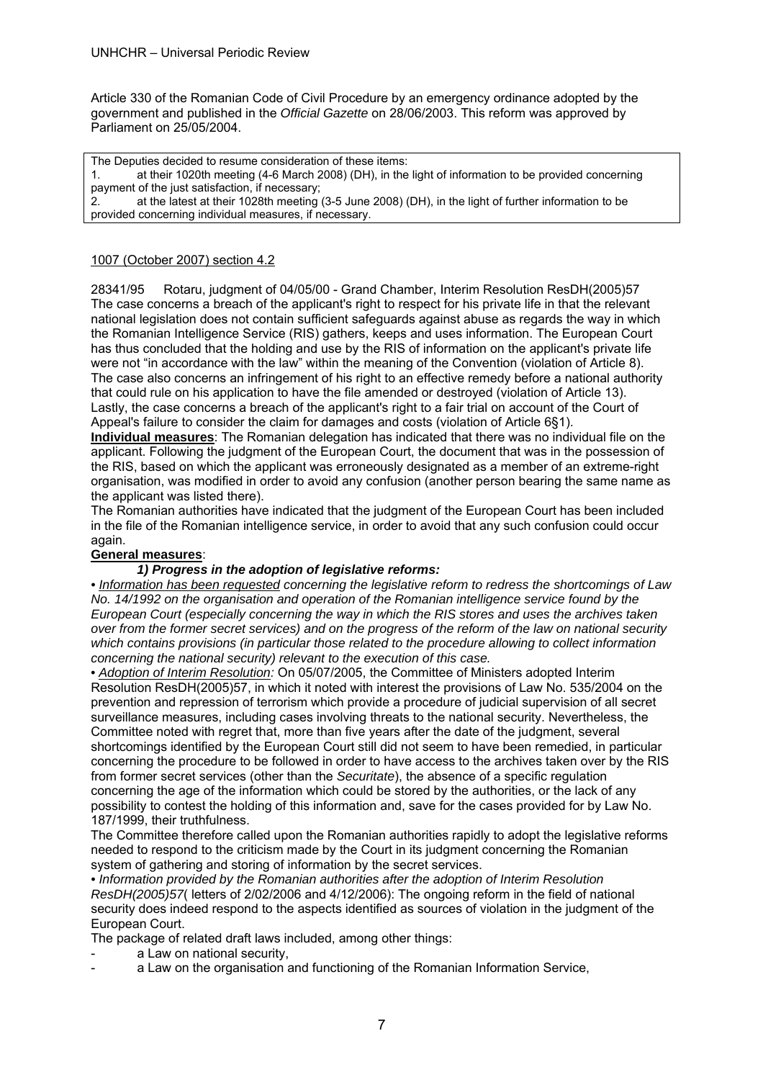Article 330 of the Romanian Code of Civil Procedure by an emergency ordinance adopted by the government and published in the *Official Gazette* on 28/06/2003. This reform was approved by Parliament on 25/05/2004.

The Deputies decided to resume consideration of these items:

1. at their 1020th meeting (4-6 March 2008) (DH), in the light of information to be provided concerning payment of the just satisfaction, if necessary;

at the latest at their 1028th meeting (3-5 June 2008) (DH), in the light of further information to be provided concerning individual measures, if necessary.

#### 1007 (October 2007) section 4.2

28341/95 Rotaru, judgment of 04/05/00 - Grand Chamber, Interim Resolution ResDH(2005)57 The case concerns a breach of the applicant's right to respect for his private life in that the relevant national legislation does not contain sufficient safeguards against abuse as regards the way in which the Romanian Intelligence Service (RIS) gathers, keeps and uses information. The European Court has thus concluded that the holding and use by the RIS of information on the applicant's private life were not "in accordance with the law" within the meaning of the Convention (violation of Article 8). The case also concerns an infringement of his right to an effective remedy before a national authority that could rule on his application to have the file amended or destroyed (violation of Article 13). Lastly, the case concerns a breach of the applicant's right to a fair trial on account of the Court of Appeal's failure to consider the claim for damages and costs (violation of Article 6§1).

**Individual measures**: The Romanian delegation has indicated that there was no individual file on the applicant. Following the judgment of the European Court, the document that was in the possession of the RIS, based on which the applicant was erroneously designated as a member of an extreme-right organisation, was modified in order to avoid any confusion (another person bearing the same name as the applicant was listed there).

The Romanian authorities have indicated that the judgment of the European Court has been included in the file of the Romanian intelligence service, in order to avoid that any such confusion could occur again.

#### **General measures**:

#### *1) Progress in the adoption of legislative reforms:*

*• Information has been requested concerning the legislative reform to redress the shortcomings of Law No. 14/1992 on the organisation and operation of the Romanian intelligence service found by the European Court (especially concerning the way in which the RIS stores and uses the archives taken over from the former secret services) and on the progress of the reform of the law on national security which contains provisions (in particular those related to the procedure allowing to collect information concerning the national security) relevant to the execution of this case.* 

*• Adoption of Interim Resolution:* On 05/07/2005, the Committee of Ministers adopted Interim Resolution ResDH(2005)57, in which it noted with interest the provisions of Law No. 535/2004 on the prevention and repression of terrorism which provide a procedure of judicial supervision of all secret surveillance measures, including cases involving threats to the national security. Nevertheless, the Committee noted with regret that, more than five years after the date of the judgment, several shortcomings identified by the European Court still did not seem to have been remedied, in particular concerning the procedure to be followed in order to have access to the archives taken over by the RIS from former secret services (other than the *Securitate*), the absence of a specific regulation concerning the age of the information which could be stored by the authorities, or the lack of any possibility to contest the holding of this information and, save for the cases provided for by Law No. 187/1999, their truthfulness.

The Committee therefore called upon the Romanian authorities rapidly to adopt the legislative reforms needed to respond to the criticism made by the Court in its judgment concerning the Romanian system of gathering and storing of information by the secret services.

*• Information provided by the Romanian authorities after the adoption of Interim Resolution ResDH(2005)57*( letters of 2/02/2006 and 4/12/2006): The ongoing reform in the field of national security does indeed respond to the aspects identified as sources of violation in the judgment of the European Court.

The package of related draft laws included, among other things:

- a Law on national security.
- a Law on the organisation and functioning of the Romanian Information Service,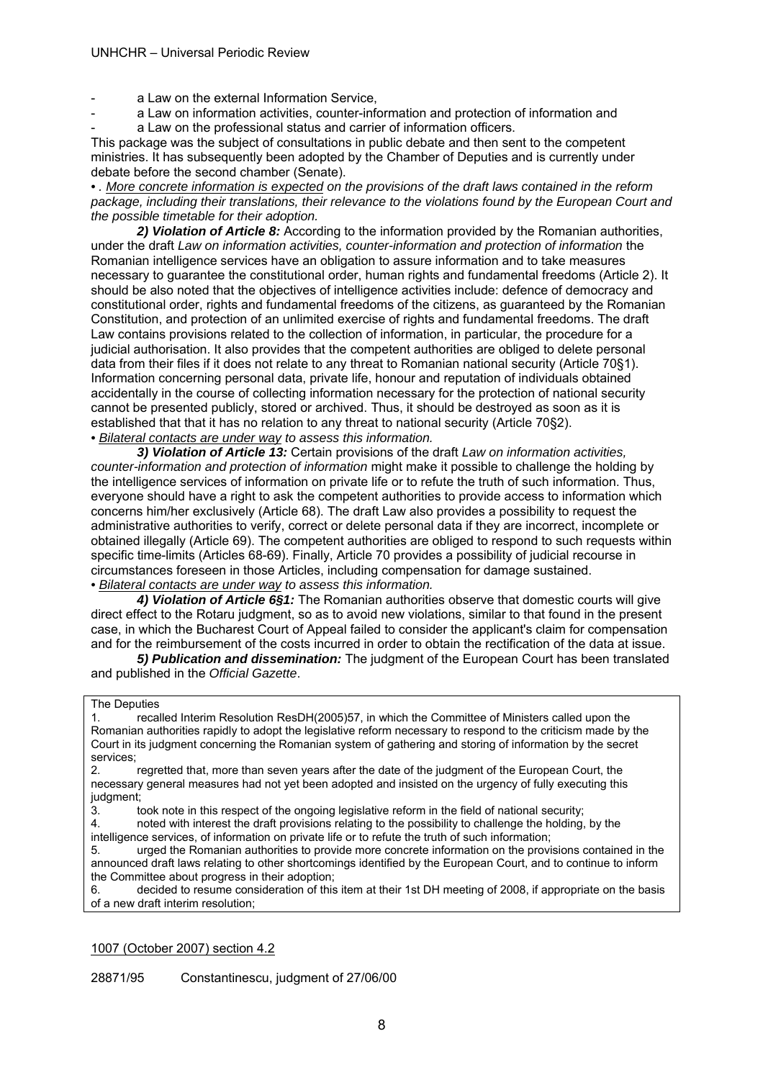#### UNHCHR – Universal Periodic Review

- a Law on the external Information Service,
- a Law on information activities, counter-information and protection of information and
- a Law on the professional status and carrier of information officers.

This package was the subject of consultations in public debate and then sent to the competent ministries. It has subsequently been adopted by the Chamber of Deputies and is currently under debate before the second chamber (Senate).

*• . More concrete information is expected on the provisions of the draft laws contained in the reform package, including their translations, their relevance to the violations found by the European Court and the possible timetable for their adoption.* 

*2) Violation of Article 8:* According to the information provided by the Romanian authorities, under the draft *Law on information activities, counter-information and protection of information* the Romanian intelligence services have an obligation to assure information and to take measures necessary to guarantee the constitutional order, human rights and fundamental freedoms (Article 2). It should be also noted that the objectives of intelligence activities include: defence of democracy and constitutional order, rights and fundamental freedoms of the citizens, as guaranteed by the Romanian Constitution, and protection of an unlimited exercise of rights and fundamental freedoms. The draft Law contains provisions related to the collection of information, in particular, the procedure for a judicial authorisation. It also provides that the competent authorities are obliged to delete personal data from their files if it does not relate to any threat to Romanian national security (Article 70§1). Information concerning personal data, private life, honour and reputation of individuals obtained accidentally in the course of collecting information necessary for the protection of national security cannot be presented publicly, stored or archived. Thus, it should be destroyed as soon as it is established that that it has no relation to any threat to national security (Article 70§2).

*• Bilateral contacts are under way to assess this information.* 

*3) Violation of Article 13:* Certain provisions of the draft *Law on information activities, counter-information and protection of information* might make it possible to challenge the holding by the intelligence services of information on private life or to refute the truth of such information. Thus, everyone should have a right to ask the competent authorities to provide access to information which concerns him/her exclusively (Article 68). The draft Law also provides a possibility to request the administrative authorities to verify, correct or delete personal data if they are incorrect, incomplete or obtained illegally (Article 69). The competent authorities are obliged to respond to such requests within specific time-limits (Articles 68-69). Finally, Article 70 provides a possibility of judicial recourse in circumstances foreseen in those Articles, including compensation for damage sustained. *• Bilateral contacts are under way to assess this information.* 

*4) Violation of Article 6§1:* The Romanian authorities observe that domestic courts will give direct effect to the Rotaru judgment, so as to avoid new violations, similar to that found in the present case, in which the Bucharest Court of Appeal failed to consider the applicant's claim for compensation and for the reimbursement of the costs incurred in order to obtain the rectification of the data at issue.

*5) Publication and dissemination:* The judgment of the European Court has been translated and published in the *Official Gazette*.

#### The Deputies

1. recalled Interim Resolution ResDH(2005)57, in which the Committee of Ministers called upon the Romanian authorities rapidly to adopt the legislative reform necessary to respond to the criticism made by the Court in its judgment concerning the Romanian system of gathering and storing of information by the secret services;

2. regretted that, more than seven years after the date of the judgment of the European Court, the necessary general measures had not yet been adopted and insisted on the urgency of fully executing this judgment;

3. took note in this respect of the ongoing legislative reform in the field of national security;

4. noted with interest the draft provisions relating to the possibility to challenge the holding, by the intelligence services, of information on private life or to refute the truth of such information;

5. urged the Romanian authorities to provide more concrete information on the provisions contained in the announced draft laws relating to other shortcomings identified by the European Court, and to continue to inform the Committee about progress in their adoption;

6. decided to resume consideration of this item at their 1st DH meeting of 2008, if appropriate on the basis of a new draft interim resolution;

1007 (October 2007) section 4.2

28871/95 Constantinescu, judgment of 27/06/00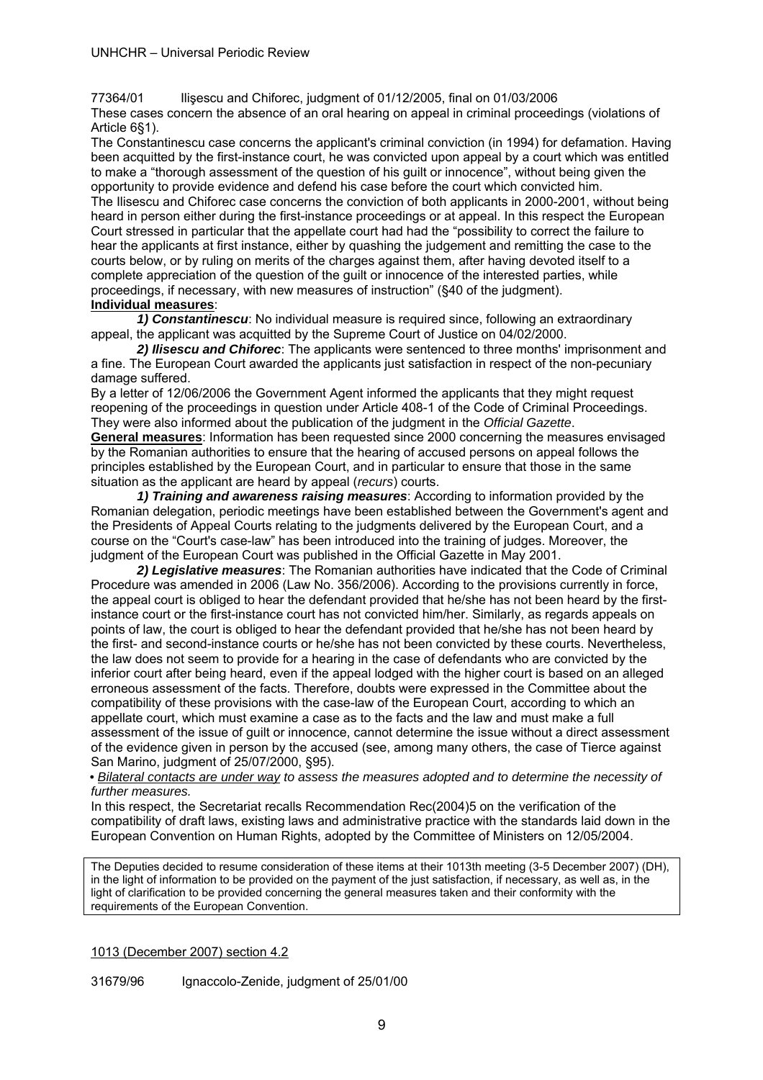77364/01 Ilişescu and Chiforec, judgment of 01/12/2005, final on 01/03/2006

These cases concern the absence of an oral hearing on appeal in criminal proceedings (violations of Article 6§1).

The Constantinescu case concerns the applicant's criminal conviction (in 1994) for defamation. Having been acquitted by the first-instance court, he was convicted upon appeal by a court which was entitled to make a "thorough assessment of the question of his guilt or innocence", without being given the opportunity to provide evidence and defend his case before the court which convicted him. The Ilisescu and Chiforec case concerns the conviction of both applicants in 2000-2001, without being heard in person either during the first-instance proceedings or at appeal. In this respect the European Court stressed in particular that the appellate court had had the "possibility to correct the failure to hear the applicants at first instance, either by quashing the judgement and remitting the case to the courts below, or by ruling on merits of the charges against them, after having devoted itself to a complete appreciation of the question of the guilt or innocence of the interested parties, while proceedings, if necessary, with new measures of instruction" (§40 of the judgment). **Individual measures**:

*1) Constantinescu*: No individual measure is required since, following an extraordinary appeal, the applicant was acquitted by the Supreme Court of Justice on 04/02/2000.

*2) Ilisescu and Chiforec*: The applicants were sentenced to three months' imprisonment and a fine. The European Court awarded the applicants just satisfaction in respect of the non-pecuniary damage suffered.

By a letter of 12/06/2006 the Government Agent informed the applicants that they might request reopening of the proceedings in question under Article 408-1 of the Code of Criminal Proceedings. They were also informed about the publication of the judgment in the *Official Gazette*.

**General measures**: Information has been requested since 2000 concerning the measures envisaged by the Romanian authorities to ensure that the hearing of accused persons on appeal follows the principles established by the European Court, and in particular to ensure that those in the same situation as the applicant are heard by appeal (*recurs*) courts.

*1) Training and awareness raising measures*: According to information provided by the Romanian delegation, periodic meetings have been established between the Government's agent and the Presidents of Appeal Courts relating to the judgments delivered by the European Court, and a course on the "Court's case-law" has been introduced into the training of judges. Moreover, the judgment of the European Court was published in the Official Gazette in May 2001.

*2) Legislative measures*: The Romanian authorities have indicated that the Code of Criminal Procedure was amended in 2006 (Law No. 356/2006). According to the provisions currently in force, the appeal court is obliged to hear the defendant provided that he/she has not been heard by the firstinstance court or the first-instance court has not convicted him/her. Similarly, as regards appeals on points of law, the court is obliged to hear the defendant provided that he/she has not been heard by the first- and second-instance courts or he/she has not been convicted by these courts. Nevertheless, the law does not seem to provide for a hearing in the case of defendants who are convicted by the inferior court after being heard, even if the appeal lodged with the higher court is based on an alleged erroneous assessment of the facts. Therefore, doubts were expressed in the Committee about the compatibility of these provisions with the case-law of the European Court, according to which an appellate court, which must examine a case as to the facts and the law and must make a full assessment of the issue of guilt or innocence, cannot determine the issue without a direct assessment of the evidence given in person by the accused (see, among many others, the case of Tierce against San Marino, judgment of 25/07/2000, §95).

*• Bilateral contacts are under way to assess the measures adopted and to determine the necessity of further measures.* 

In this respect, the Secretariat recalls Recommendation Rec(2004)5 on the verification of the compatibility of draft laws, existing laws and administrative practice with the standards laid down in the European Convention on Human Rights, adopted by the Committee of Ministers on 12/05/2004.

The Deputies decided to resume consideration of these items at their 1013th meeting (3-5 December 2007) (DH), in the light of information to be provided on the payment of the just satisfaction, if necessary, as well as, in the light of clarification to be provided concerning the general measures taken and their conformity with the requirements of the European Convention.

1013 (December 2007) section 4.2

31679/96 Ignaccolo-Zenide, judgment of 25/01/00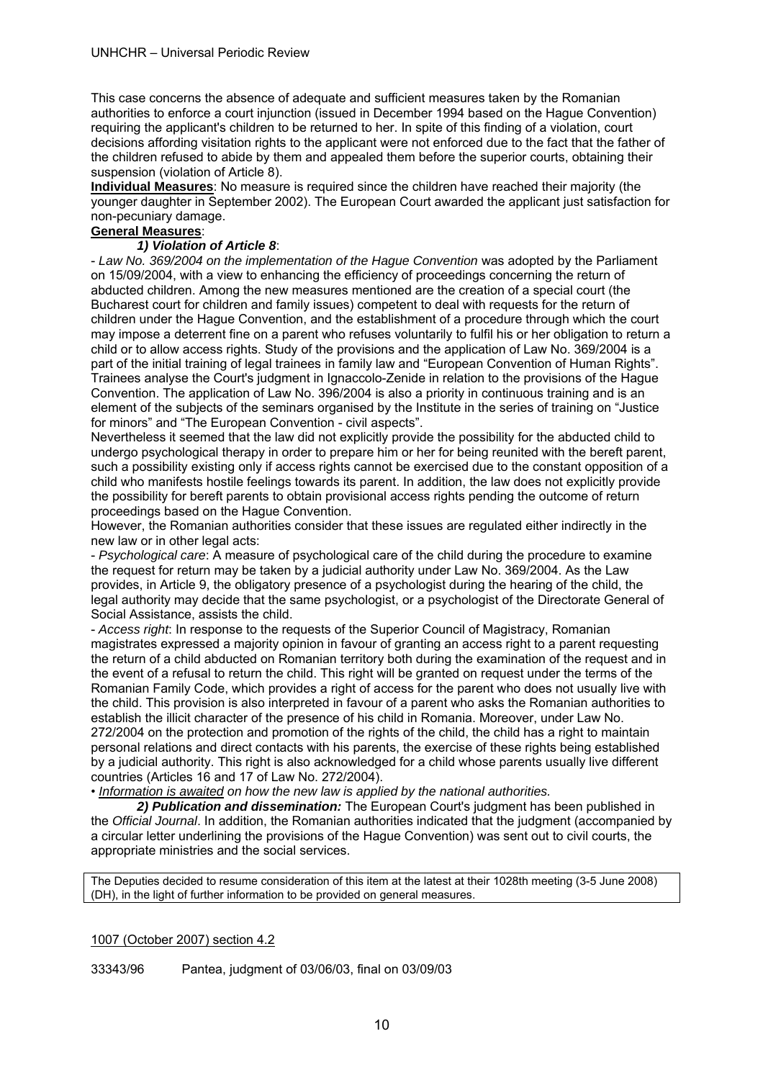This case concerns the absence of adequate and sufficient measures taken by the Romanian authorities to enforce a court injunction (issued in December 1994 based on the Hague Convention) requiring the applicant's children to be returned to her. In spite of this finding of a violation, court decisions affording visitation rights to the applicant were not enforced due to the fact that the father of the children refused to abide by them and appealed them before the superior courts, obtaining their suspension (violation of Article 8).

**Individual Measures**: No measure is required since the children have reached their majority (the younger daughter in September 2002). The European Court awarded the applicant just satisfaction for non-pecuniary damage.

# **General Measures**:

#### *1) Violation of Article 8*:

- *Law No. 369/2004 on the implementation of the Hague Convention* was adopted by the Parliament on 15/09/2004, with a view to enhancing the efficiency of proceedings concerning the return of abducted children. Among the new measures mentioned are the creation of a special court (the Bucharest court for children and family issues) competent to deal with requests for the return of children under the Hague Convention, and the establishment of a procedure through which the court may impose a deterrent fine on a parent who refuses voluntarily to fulfil his or her obligation to return a child or to allow access rights. Study of the provisions and the application of Law No. 369/2004 is a part of the initial training of legal trainees in family law and "European Convention of Human Rights". Trainees analyse the Court's judgment in Ignaccolo-Zenide in relation to the provisions of the Hague Convention. The application of Law No. 396/2004 is also a priority in continuous training and is an element of the subjects of the seminars organised by the Institute in the series of training on "Justice for minors" and "The European Convention - civil aspects".

Nevertheless it seemed that the law did not explicitly provide the possibility for the abducted child to undergo psychological therapy in order to prepare him or her for being reunited with the bereft parent, such a possibility existing only if access rights cannot be exercised due to the constant opposition of a child who manifests hostile feelings towards its parent. In addition, the law does not explicitly provide the possibility for bereft parents to obtain provisional access rights pending the outcome of return proceedings based on the Hague Convention.

However, the Romanian authorities consider that these issues are regulated either indirectly in the new law or in other legal acts:

- *Psychological care*: A measure of psychological care of the child during the procedure to examine the request for return may be taken by a judicial authority under Law No. 369/2004. As the Law provides, in Article 9, the obligatory presence of a psychologist during the hearing of the child, the legal authority may decide that the same psychologist, or a psychologist of the Directorate General of Social Assistance, assists the child.

- *Access right*: In response to the requests of the Superior Council of Magistracy, Romanian magistrates expressed a majority opinion in favour of granting an access right to a parent requesting the return of a child abducted on Romanian territory both during the examination of the request and in the event of a refusal to return the child. This right will be granted on request under the terms of the Romanian Family Code, which provides a right of access for the parent who does not usually live with the child. This provision is also interpreted in favour of a parent who asks the Romanian authorities to establish the illicit character of the presence of his child in Romania. Moreover, under Law No. 272/2004 on the protection and promotion of the rights of the child, the child has a right to maintain personal relations and direct contacts with his parents, the exercise of these rights being established by a judicial authority. This right is also acknowledged for a child whose parents usually live different countries (Articles 16 and 17 of Law No. 272/2004).

• *Information is awaited on how the new law is applied by the national authorities.* 

 *2) Publication and dissemination:* The European Court's judgment has been published in the *Official Journal*. In addition, the Romanian authorities indicated that the judgment (accompanied by a circular letter underlining the provisions of the Hague Convention) was sent out to civil courts, the appropriate ministries and the social services.

The Deputies decided to resume consideration of this item at the latest at their 1028th meeting (3-5 June 2008) (DH), in the light of further information to be provided on general measures.

#### 1007 (October 2007) section 4.2

33343/96 Pantea, judgment of 03/06/03, final on 03/09/03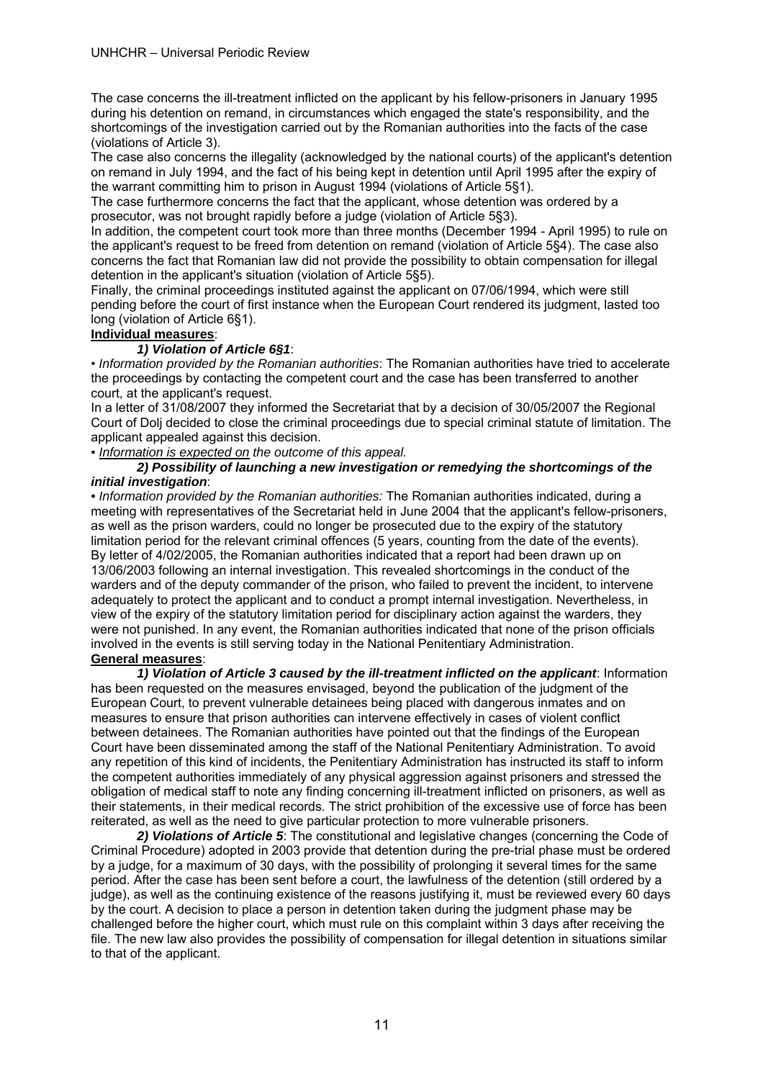The case concerns the ill-treatment inflicted on the applicant by his fellow-prisoners in January 1995 during his detention on remand, in circumstances which engaged the state's responsibility, and the shortcomings of the investigation carried out by the Romanian authorities into the facts of the case (violations of Article 3).

The case also concerns the illegality (acknowledged by the national courts) of the applicant's detention on remand in July 1994, and the fact of his being kept in detention until April 1995 after the expiry of the warrant committing him to prison in August 1994 (violations of Article 5§1).

The case furthermore concerns the fact that the applicant, whose detention was ordered by a prosecutor, was not brought rapidly before a judge (violation of Article 5§3).

In addition, the competent court took more than three months (December 1994 - April 1995) to rule on the applicant's request to be freed from detention on remand (violation of Article 5§4). The case also concerns the fact that Romanian law did not provide the possibility to obtain compensation for illegal detention in the applicant's situation (violation of Article 5§5).

Finally, the criminal proceedings instituted against the applicant on 07/06/1994, which were still pending before the court of first instance when the European Court rendered its judgment, lasted too long (violation of Article 6§1).

# **Individual measures**:

#### *1) Violation of Article 6§1*:

• *Information provided by the Romanian authorities*: The Romanian authorities have tried to accelerate the proceedings by contacting the competent court and the case has been transferred to another court, at the applicant's request.

In a letter of 31/08/2007 they informed the Secretariat that by a decision of 30/05/2007 the Regional Court of Dolj decided to close the criminal proceedings due to special criminal statute of limitation. The applicant appealed against this decision.

▪ *Information is expected on the outcome of this appeal.* 

#### *2) Possibility of launching a new investigation or remedying the shortcomings of the initial investigation*:

*• Information provided by the Romanian authorities:* The Romanian authorities indicated, during a meeting with representatives of the Secretariat held in June 2004 that the applicant's fellow-prisoners, as well as the prison warders, could no longer be prosecuted due to the expiry of the statutory limitation period for the relevant criminal offences (5 years, counting from the date of the events). By letter of 4/02/2005, the Romanian authorities indicated that a report had been drawn up on 13/06/2003 following an internal investigation. This revealed shortcomings in the conduct of the warders and of the deputy commander of the prison, who failed to prevent the incident, to intervene adequately to protect the applicant and to conduct a prompt internal investigation. Nevertheless, in view of the expiry of the statutory limitation period for disciplinary action against the warders, they were not punished. In any event, the Romanian authorities indicated that none of the prison officials involved in the events is still serving today in the National Penitentiary Administration.

#### **General measures**:

 *1) Violation of Article 3 caused by the ill-treatment inflicted on the applicant*: Information has been requested on the measures envisaged, beyond the publication of the judgment of the European Court, to prevent vulnerable detainees being placed with dangerous inmates and on measures to ensure that prison authorities can intervene effectively in cases of violent conflict between detainees. The Romanian authorities have pointed out that the findings of the European Court have been disseminated among the staff of the National Penitentiary Administration. To avoid any repetition of this kind of incidents, the Penitentiary Administration has instructed its staff to inform the competent authorities immediately of any physical aggression against prisoners and stressed the obligation of medical staff to note any finding concerning ill-treatment inflicted on prisoners, as well as their statements, in their medical records. The strict prohibition of the excessive use of force has been reiterated, as well as the need to give particular protection to more vulnerable prisoners.

 *2) Violations of Article 5*: The constitutional and legislative changes (concerning the Code of Criminal Procedure) adopted in 2003 provide that detention during the pre-trial phase must be ordered by a judge, for a maximum of 30 days, with the possibility of prolonging it several times for the same period. After the case has been sent before a court, the lawfulness of the detention (still ordered by a judge), as well as the continuing existence of the reasons justifying it, must be reviewed every 60 days by the court. A decision to place a person in detention taken during the judgment phase may be challenged before the higher court, which must rule on this complaint within 3 days after receiving the file. The new law also provides the possibility of compensation for illegal detention in situations similar to that of the applicant.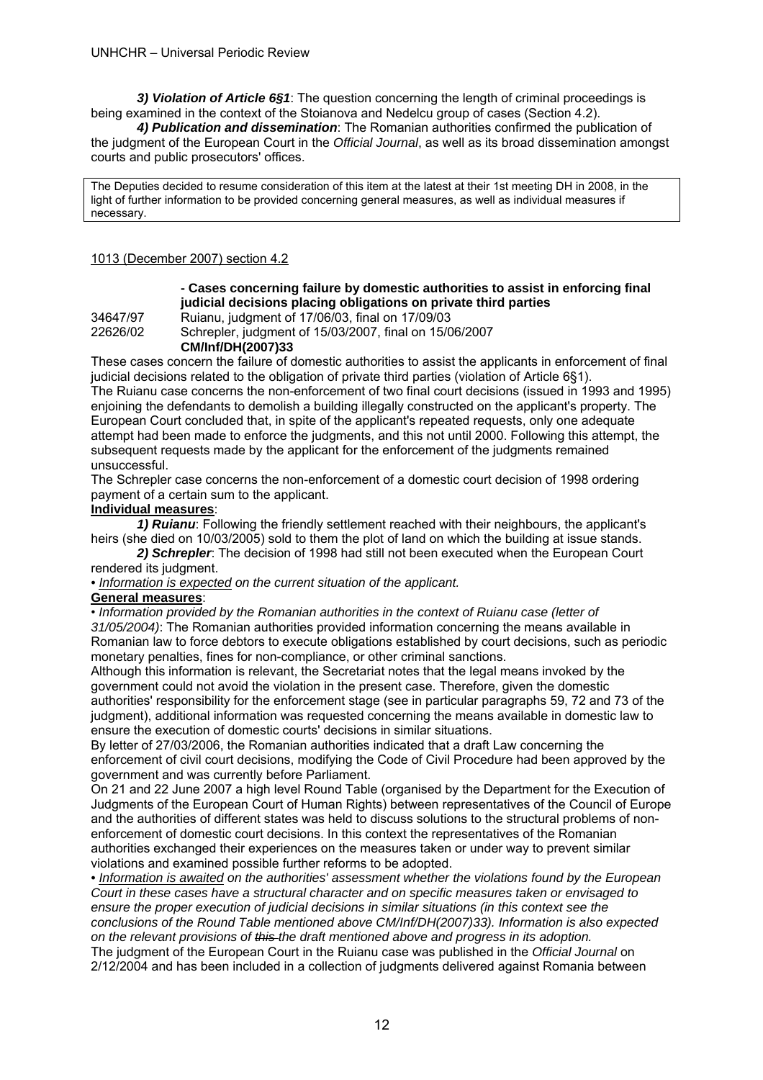*3) Violation of Article 6§1*: The question concerning the length of criminal proceedings is being examined in the context of the Stoianova and Nedelcu group of cases (Section 4.2).

*4) Publication and dissemination*: The Romanian authorities confirmed the publication of the judgment of the European Court in the *Official Journal*, as well as its broad dissemination amongst courts and public prosecutors' offices.

The Deputies decided to resume consideration of this item at the latest at their 1st meeting DH in 2008, in the light of further information to be provided concerning general measures, as well as individual measures if necessary.

#### 1013 (December 2007) section 4.2

#### **- Cases concerning failure by domestic authorities to assist in enforcing final judicial decisions placing obligations on private third parties**

34647/97 Ruianu, judgment of 17/06/03, final on 17/09/03 22626/02 Schrepler, judgment of 15/03/2007, final on 15/06/2007  **CM/Inf/DH(2007)33** 

These cases concern the failure of domestic authorities to assist the applicants in enforcement of final judicial decisions related to the obligation of private third parties (violation of Article 6§1). The Ruianu case concerns the non-enforcement of two final court decisions (issued in 1993 and 1995) enjoining the defendants to demolish a building illegally constructed on the applicant's property. The European Court concluded that, in spite of the applicant's repeated requests, only one adequate attempt had been made to enforce the judgments, and this not until 2000. Following this attempt, the subsequent requests made by the applicant for the enforcement of the judgments remained unsuccessful.

The Schrepler case concerns the non-enforcement of a domestic court decision of 1998 ordering payment of a certain sum to the applicant.

#### **Individual measures**:

 *1) Ruianu*: Following the friendly settlement reached with their neighbours, the applicant's heirs (she died on 10/03/2005) sold to them the plot of land on which the building at issue stands.

*2) Schrepler*: The decision of 1998 had still not been executed when the European Court rendered its judgment.

*• Information is expected on the current situation of the applicant.*

#### **General measures**:

• *Information provided by the Romanian authorities in the context of Ruianu case (letter of 31/05/2004)*: The Romanian authorities provided information concerning the means available in Romanian law to force debtors to execute obligations established by court decisions, such as periodic monetary penalties, fines for non-compliance, or other criminal sanctions.

Although this information is relevant, the Secretariat notes that the legal means invoked by the government could not avoid the violation in the present case. Therefore, given the domestic authorities' responsibility for the enforcement stage (see in particular paragraphs 59, 72 and 73 of the judgment), additional information was requested concerning the means available in domestic law to ensure the execution of domestic courts' decisions in similar situations.

By letter of 27/03/2006, the Romanian authorities indicated that a draft Law concerning the enforcement of civil court decisions, modifying the Code of Civil Procedure had been approved by the government and was currently before Parliament.

On 21 and 22 June 2007 a high level Round Table (organised by the Department for the Execution of Judgments of the European Court of Human Rights) between representatives of the Council of Europe and the authorities of different states was held to discuss solutions to the structural problems of nonenforcement of domestic court decisions. In this context the representatives of the Romanian authorities exchanged their experiences on the measures taken or under way to prevent similar violations and examined possible further reforms to be adopted.

*• Information is awaited on the authorities' assessment whether the violations found by the European Court in these cases have a structural character and on specific measures taken or envisaged to ensure the proper execution of judicial decisions in similar situations (in this context see the conclusions of the Round Table mentioned above CM/Inf/DH(2007)33). Information is also expected on the relevant provisions of this the draft mentioned above and progress in its adoption.*  The judgment of the European Court in the Ruianu case was published in the *Official Journal* on

2/12/2004 and has been included in a collection of judgments delivered against Romania between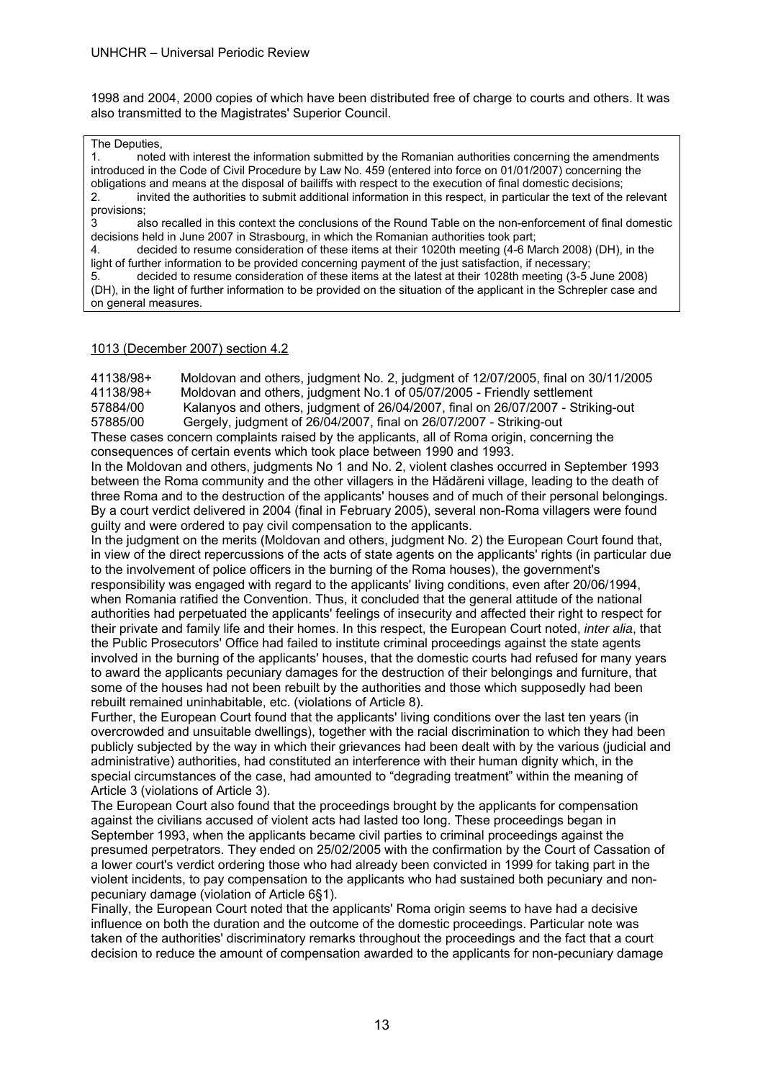1998 and 2004, 2000 copies of which have been distributed free of charge to courts and others. It was also transmitted to the Magistrates' Superior Council.

#### The Deputies,

1. noted with interest the information submitted by the Romanian authorities concerning the amendments introduced in the Code of Civil Procedure by Law No. 459 (entered into force on 01/01/2007) concerning the obligations and means at the disposal of bailiffs with respect to the execution of final domestic decisions; 2. invited the authorities to submit additional information in this respect, in particular the text of the relevant provisions;

3 also recalled in this context the conclusions of the Round Table on the non-enforcement of final domestic decisions held in June 2007 in Strasbourg, in which the Romanian authorities took part;

4. decided to resume consideration of these items at their 1020th meeting (4-6 March 2008) (DH), in the light of further information to be provided concerning payment of the just satisfaction, if necessary;

5. decided to resume consideration of these items at the latest at their 1028th meeting (3-5 June 2008) (DH), in the light of further information to be provided on the situation of the applicant in the Schrepler case and on general measures.

#### 1013 (December 2007) section 4.2

41138/98+ Moldovan and others, judgment No. 2, judgment of 12/07/2005, final on 30/11/2005

41138/98+ Moldovan and others, judgment No.1 of 05/07/2005 - Friendly settlement

57884/00 Kalanyos and others, judgment of 26/04/2007, final on 26/07/2007 - Striking-out 57885/00 Gergely, judgment of 26/04/2007, final on 26/07/2007 - Striking-out

These cases concern complaints raised by the applicants, all of Roma origin, concerning the consequences of certain events which took place between 1990 and 1993.

In the Moldovan and others, judgments No 1 and No. 2, violent clashes occurred in September 1993 between the Roma community and the other villagers in the Hădăreni village, leading to the death of three Roma and to the destruction of the applicants' houses and of much of their personal belongings. By a court verdict delivered in 2004 (final in February 2005), several non-Roma villagers were found guilty and were ordered to pay civil compensation to the applicants.

In the judgment on the merits (Moldovan and others, judgment No. 2) the European Court found that, in view of the direct repercussions of the acts of state agents on the applicants' rights (in particular due to the involvement of police officers in the burning of the Roma houses), the government's responsibility was engaged with regard to the applicants' living conditions, even after 20/06/1994, when Romania ratified the Convention. Thus, it concluded that the general attitude of the national authorities had perpetuated the applicants' feelings of insecurity and affected their right to respect for their private and family life and their homes. In this respect, the European Court noted, *inter alia*, that the Public Prosecutors' Office had failed to institute criminal proceedings against the state agents involved in the burning of the applicants' houses, that the domestic courts had refused for many years to award the applicants pecuniary damages for the destruction of their belongings and furniture, that some of the houses had not been rebuilt by the authorities and those which supposedly had been rebuilt remained uninhabitable, etc. (violations of Article 8).

Further, the European Court found that the applicants' living conditions over the last ten years (in overcrowded and unsuitable dwellings), together with the racial discrimination to which they had been publicly subjected by the way in which their grievances had been dealt with by the various (judicial and administrative) authorities, had constituted an interference with their human dignity which, in the special circumstances of the case, had amounted to "degrading treatment" within the meaning of Article 3 (violations of Article 3).

The European Court also found that the proceedings brought by the applicants for compensation against the civilians accused of violent acts had lasted too long. These proceedings began in September 1993, when the applicants became civil parties to criminal proceedings against the presumed perpetrators. They ended on 25/02/2005 with the confirmation by the Court of Cassation of a lower court's verdict ordering those who had already been convicted in 1999 for taking part in the violent incidents, to pay compensation to the applicants who had sustained both pecuniary and nonpecuniary damage (violation of Article 6§1).

Finally, the European Court noted that the applicants' Roma origin seems to have had a decisive influence on both the duration and the outcome of the domestic proceedings. Particular note was taken of the authorities' discriminatory remarks throughout the proceedings and the fact that a court decision to reduce the amount of compensation awarded to the applicants for non-pecuniary damage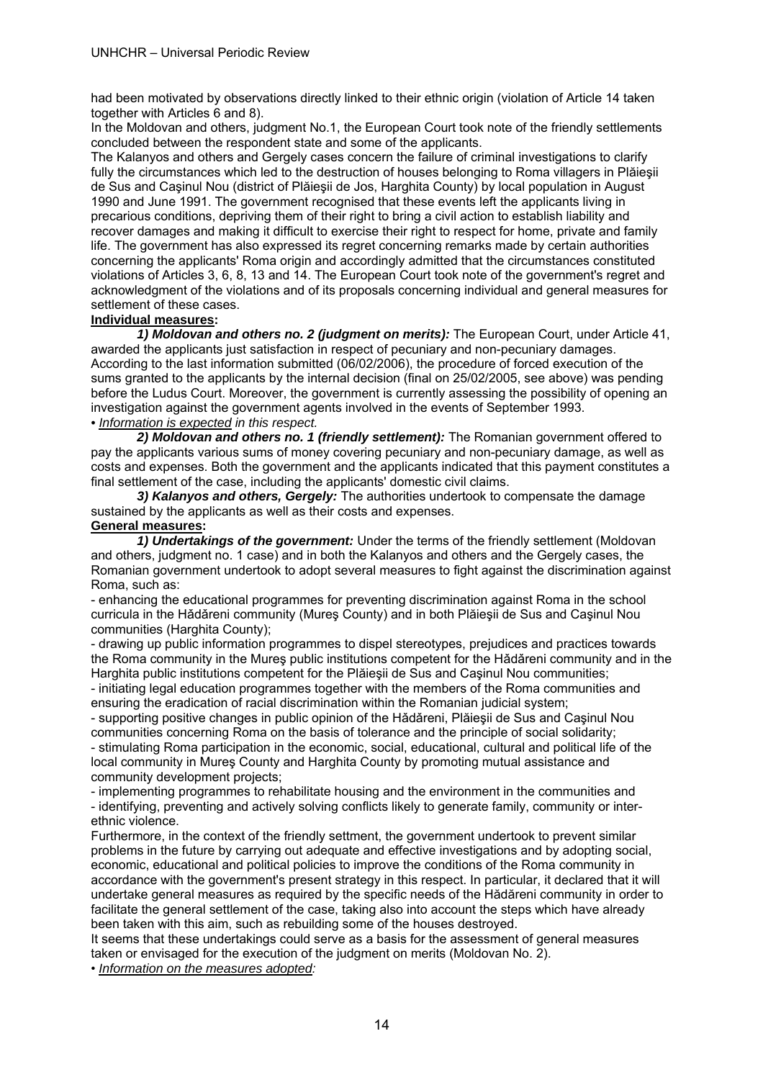had been motivated by observations directly linked to their ethnic origin (violation of Article 14 taken together with Articles 6 and 8).

In the Moldovan and others, judgment No.1, the European Court took note of the friendly settlements concluded between the respondent state and some of the applicants.

The Kalanyos and others and Gergely cases concern the failure of criminal investigations to clarify fully the circumstances which led to the destruction of houses belonging to Roma villagers in Plăieşii de Sus and Caşinul Nou (district of Plăieşii de Jos, Harghita County) by local population in August 1990 and June 1991. The government recognised that these events left the applicants living in precarious conditions, depriving them of their right to bring a civil action to establish liability and recover damages and making it difficult to exercise their right to respect for home, private and family life. The government has also expressed its regret concerning remarks made by certain authorities concerning the applicants' Roma origin and accordingly admitted that the circumstances constituted violations of Articles 3, 6, 8, 13 and 14. The European Court took note of the government's regret and acknowledgment of the violations and of its proposals concerning individual and general measures for settlement of these cases.

#### **Individual measures:**

 *1) Moldovan and others no. 2 (judgment on merits):* The European Court, under Article 41, awarded the applicants just satisfaction in respect of pecuniary and non-pecuniary damages. According to the last information submitted (06/02/2006), the procedure of forced execution of the sums granted to the applicants by the internal decision (final on 25/02/2005, see above) was pending before the Ludus Court. Moreover, the government is currently assessing the possibility of opening an investigation against the government agents involved in the events of September 1993. *• Information is expected in this respect.* 

*2) Moldovan and others no. 1 (friendly settlement):* The Romanian government offered to pay the applicants various sums of money covering pecuniary and non-pecuniary damage, as well as costs and expenses. Both the government and the applicants indicated that this payment constitutes a final settlement of the case, including the applicants' domestic civil claims.

 *3) Kalanyos and others, Gergely:* The authorities undertook to compensate the damage sustained by the applicants as well as their costs and expenses.

#### **General measures:**

 *1) Undertakings of the government:* Under the terms of the friendly settlement (Moldovan and others, judgment no. 1 case) and in both the Kalanyos and others and the Gergely cases, the Romanian government undertook to adopt several measures to fight against the discrimination against Roma, such as:

- enhancing the educational programmes for preventing discrimination against Roma in the school curricula in the Hǎdǎreni community (Mureş County) and in both Plăieşii de Sus and Caşinul Nou communities (Harghita County);

- drawing up public information programmes to dispel stereotypes, prejudices and practices towards the Roma community in the Mureş public institutions competent for the Hǎdǎreni community and in the Harghita public institutions competent for the Plăiesii de Sus and Casinul Nou communities;

- initiating legal education programmes together with the members of the Roma communities and ensuring the eradication of racial discrimination within the Romanian judicial system;

- supporting positive changes in public opinion of the Hǎdǎreni, Plăieşii de Sus and Caşinul Nou communities concerning Roma on the basis of tolerance and the principle of social solidarity; - stimulating Roma participation in the economic, social, educational, cultural and political life of the local community in Mureş County and Harghita County by promoting mutual assistance and community development projects;

- implementing programmes to rehabilitate housing and the environment in the communities and - identifying, preventing and actively solving conflicts likely to generate family, community or interethnic violence.

Furthermore, in the context of the friendly settment, the government undertook to prevent similar problems in the future by carrying out adequate and effective investigations and by adopting social, economic, educational and political policies to improve the conditions of the Roma community in accordance with the government's present strategy in this respect. In particular, it declared that it will undertake general measures as required by the specific needs of the Hădăreni community in order to facilitate the general settlement of the case, taking also into account the steps which have already been taken with this aim, such as rebuilding some of the houses destroyed.

It seems that these undertakings could serve as a basis for the assessment of general measures taken or envisaged for the execution of the judgment on merits (Moldovan No. 2).

• *Information on the measures adopted:*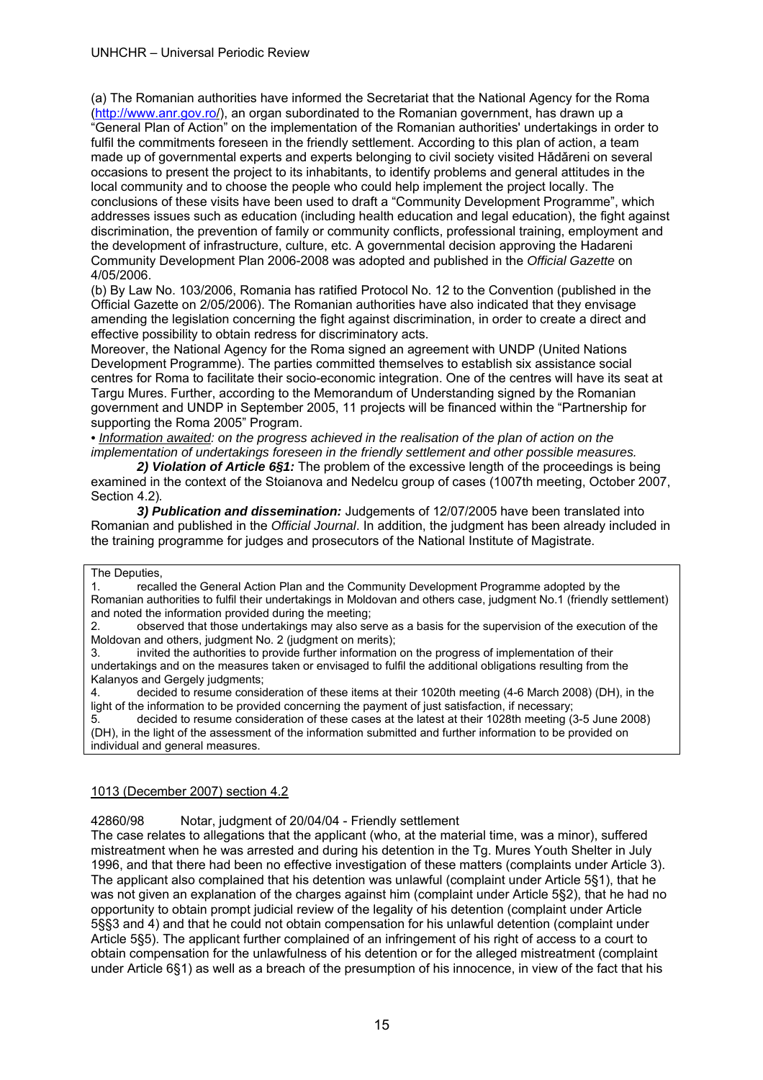#### UNHCHR – Universal Periodic Review

(a) The Romanian authorities have informed the Secretariat that the National Agency for the Roma (http://www.anr.gov.ro/), an organ subordinated to the Romanian government, has drawn up a "General Plan of Action" on the implementation of the Romanian authorities' undertakings in order to fulfil the commitments foreseen in the friendly settlement. According to this plan of action, a team made up of governmental experts and experts belonging to civil society visited Hǎdǎreni on several occasions to present the project to its inhabitants, to identify problems and general attitudes in the local community and to choose the people who could help implement the project locally. The conclusions of these visits have been used to draft a "Community Development Programme", which addresses issues such as education (including health education and legal education), the fight against discrimination, the prevention of family or community conflicts, professional training, employment and the development of infrastructure, culture, etc. A governmental decision approving the Hadareni Community Development Plan 2006-2008 was adopted and published in the *Official Gazette* on 4/05/2006.

(b) By Law No. 103/2006, Romania has ratified Protocol No. 12 to the Convention (published in the Official Gazette on 2/05/2006). The Romanian authorities have also indicated that they envisage amending the legislation concerning the fight against discrimination, in order to create a direct and effective possibility to obtain redress for discriminatory acts.

Moreover, the National Agency for the Roma signed an agreement with UNDP (United Nations Development Programme). The parties committed themselves to establish six assistance social centres for Roma to facilitate their socio-economic integration. One of the centres will have its seat at Targu Mures. Further, according to the Memorandum of Understanding signed by the Romanian government and UNDP in September 2005, 11 projects will be financed within the "Partnership for supporting the Roma 2005" Program.

*• Information awaited: on the progress achieved in the realisation of the plan of action on the implementation of undertakings foreseen in the friendly settlement and other possible measures.*

*2) Violation of Article 6§1:* The problem of the excessive length of the proceedings is being examined in the context of the Stoianova and Nedelcu group of cases (1007th meeting, October 2007, Section 4.2)*.*

*3) Publication and dissemination:* Judgements of 12/07/2005 have been translated into Romanian and published in the *Official Journal*. In addition, the judgment has been already included in the training programme for judges and prosecutors of the National Institute of Magistrate.

#### The Deputies,

1. recalled the General Action Plan and the Community Development Programme adopted by the Romanian authorities to fulfil their undertakings in Moldovan and others case, judgment No.1 (friendly settlement) and noted the information provided during the meeting;

2. observed that those undertakings may also serve as a basis for the supervision of the execution of the Moldovan and others, judgment No. 2 (judgment on merits);

3. invited the authorities to provide further information on the progress of implementation of their undertakings and on the measures taken or envisaged to fulfil the additional obligations resulting from the Kalanyos and Gergely judgments;

4. decided to resume consideration of these items at their 1020th meeting (4-6 March 2008) (DH), in the light of the information to be provided concerning the payment of just satisfaction, if necessary;

5. decided to resume consideration of these cases at the latest at their 1028th meeting (3-5 June 2008) (DH), in the light of the assessment of the information submitted and further information to be provided on individual and general measures.

#### 1013 (December 2007) section 4.2

42860/98 Notar, judgment of 20/04/04 - Friendly settlement

The case relates to allegations that the applicant (who, at the material time, was a minor), suffered mistreatment when he was arrested and during his detention in the Tg. Mures Youth Shelter in July 1996, and that there had been no effective investigation of these matters (complaints under Article 3). The applicant also complained that his detention was unlawful (complaint under Article 5§1), that he was not given an explanation of the charges against him (complaint under Article 5§2), that he had no opportunity to obtain prompt judicial review of the legality of his detention (complaint under Article 5§§3 and 4) and that he could not obtain compensation for his unlawful detention (complaint under Article 5§5). The applicant further complained of an infringement of his right of access to a court to obtain compensation for the unlawfulness of his detention or for the alleged mistreatment (complaint under Article 6§1) as well as a breach of the presumption of his innocence, in view of the fact that his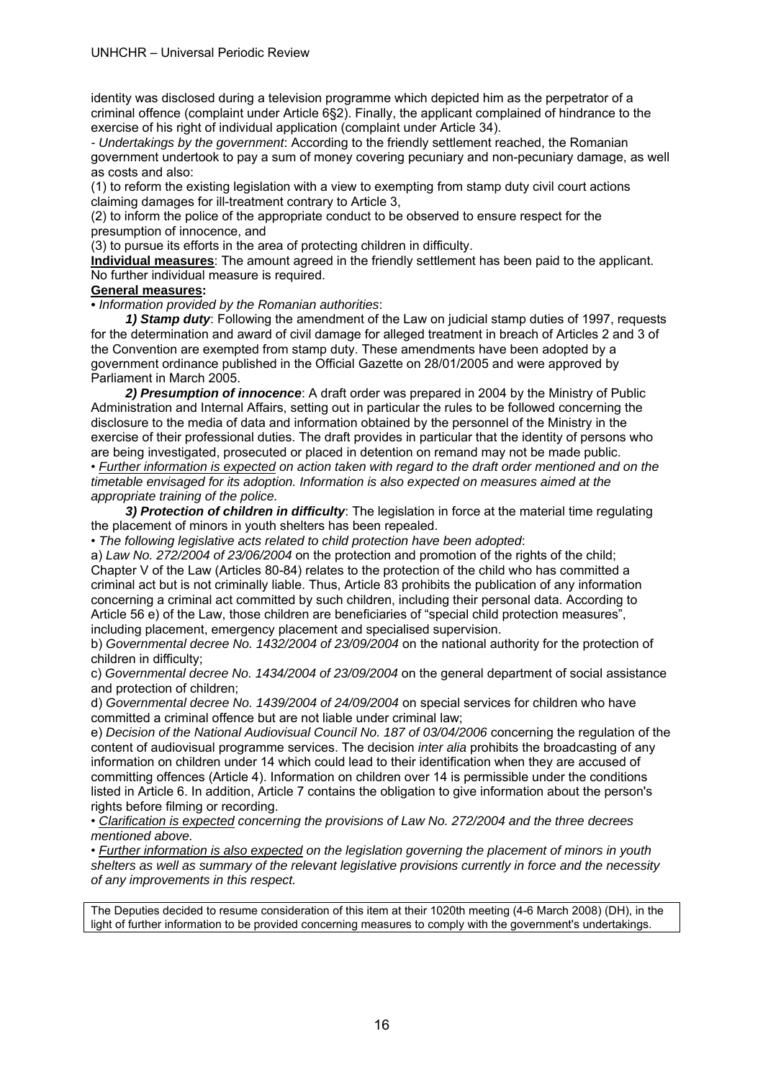identity was disclosed during a television programme which depicted him as the perpetrator of a criminal offence (complaint under Article 6§2). Finally, the applicant complained of hindrance to the exercise of his right of individual application (complaint under Article 34).

*- Undertakings by the government*: According to the friendly settlement reached, the Romanian government undertook to pay a sum of money covering pecuniary and non-pecuniary damage, as well as costs and also:

(1) to reform the existing legislation with a view to exempting from stamp duty civil court actions claiming damages for ill-treatment contrary to Article 3,

(2) to inform the police of the appropriate conduct to be observed to ensure respect for the presumption of innocence, and

(3) to pursue its efforts in the area of protecting children in difficulty.

**Individual measures**: The amount agreed in the friendly settlement has been paid to the applicant. No further individual measure is required.

#### **General measures:**

*• Information provided by the Romanian authorities*:

 *1) Stamp duty*: Following the amendment of the Law on judicial stamp duties of 1997, requests for the determination and award of civil damage for alleged treatment in breach of Articles 2 and 3 of the Convention are exempted from stamp duty. These amendments have been adopted by a government ordinance published in the Official Gazette on 28/01/2005 and were approved by Parliament in March 2005.

 *2) Presumption of innocence*: A draft order was prepared in 2004 by the Ministry of Public Administration and Internal Affairs, setting out in particular the rules to be followed concerning the disclosure to the media of data and information obtained by the personnel of the Ministry in the exercise of their professional duties. The draft provides in particular that the identity of persons who are being investigated, prosecuted or placed in detention on remand may not be made public. • *Further information is expected on action taken with regard to the draft order mentioned and on the timetable envisaged for its adoption. Information is also expected on measures aimed at the appropriate training of the police.* 

**3) Protection of children in difficulty**: The legislation in force at the material time regulating the placement of minors in youth shelters has been repealed.

• *The following legislative acts related to child protection have been adopted*:

a) *Law No. 272/2004 of 23/06/2004* on the protection and promotion of the rights of the child; Chapter V of the Law (Articles 80-84) relates to the protection of the child who has committed a criminal act but is not criminally liable. Thus, Article 83 prohibits the publication of any information concerning a criminal act committed by such children, including their personal data. According to Article 56 e) of the Law, those children are beneficiaries of "special child protection measures", including placement, emergency placement and specialised supervision.

b) *Governmental decree No. 1432/2004 of 23/09/2004* on the national authority for the protection of children in difficulty;

c) *Governmental decree No. 1434/2004 of 23/09/2004* on the general department of social assistance and protection of children;

d) *Governmental decree No. 1439/2004 of 24/09/2004* on special services for children who have committed a criminal offence but are not liable under criminal law;

e) *Decision of the National Audiovisual Council No. 187 of 03/04/2006* concerning the regulation of the content of audiovisual programme services. The decision *inter alia* prohibits the broadcasting of any information on children under 14 which could lead to their identification when they are accused of committing offences (Article 4). Information on children over 14 is permissible under the conditions listed in Article 6. In addition, Article 7 contains the obligation to give information about the person's rights before filming or recording.

• *Clarification is expected concerning the provisions of Law No. 272/2004 and the three decrees mentioned above.* 

• *Further information is also expected on the legislation governing the placement of minors in youth shelters as well as summary of the relevant legislative provisions currently in force and the necessity of any improvements in this respect.* 

The Deputies decided to resume consideration of this item at their 1020th meeting (4-6 March 2008) (DH), in the light of further information to be provided concerning measures to comply with the government's undertakings.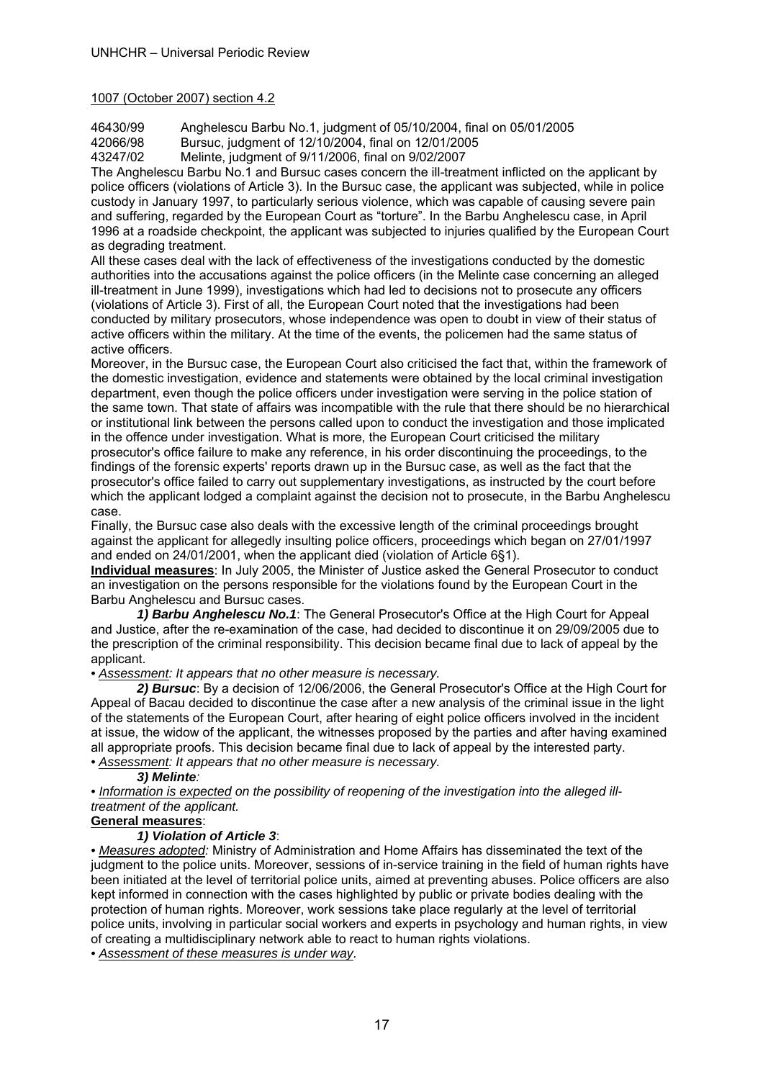#### 1007 (October 2007) section 4.2

46430/99 Anghelescu Barbu No.1, judgment of 05/10/2004, final on 05/01/2005

42066/98 Bursuc, judgment of 12/10/2004, final on 12/01/2005

43247/02 Melinte, judgment of 9/11/2006, final on 9/02/2007

The Anghelescu Barbu No.1 and Bursuc cases concern the ill-treatment inflicted on the applicant by police officers (violations of Article 3). In the Bursuc case, the applicant was subjected, while in police custody in January 1997, to particularly serious violence, which was capable of causing severe pain and suffering, regarded by the European Court as "torture". In the Barbu Anghelescu case, in April 1996 at a roadside checkpoint, the applicant was subjected to injuries qualified by the European Court as degrading treatment.

All these cases deal with the lack of effectiveness of the investigations conducted by the domestic authorities into the accusations against the police officers (in the Melinte case concerning an alleged ill-treatment in June 1999), investigations which had led to decisions not to prosecute any officers (violations of Article 3). First of all, the European Court noted that the investigations had been conducted by military prosecutors, whose independence was open to doubt in view of their status of active officers within the military. At the time of the events, the policemen had the same status of active officers.

Moreover, in the Bursuc case, the European Court also criticised the fact that, within the framework of the domestic investigation, evidence and statements were obtained by the local criminal investigation department, even though the police officers under investigation were serving in the police station of the same town. That state of affairs was incompatible with the rule that there should be no hierarchical or institutional link between the persons called upon to conduct the investigation and those implicated in the offence under investigation. What is more, the European Court criticised the military prosecutor's office failure to make any reference, in his order discontinuing the proceedings, to the findings of the forensic experts' reports drawn up in the Bursuc case, as well as the fact that the prosecutor's office failed to carry out supplementary investigations, as instructed by the court before which the applicant lodged a complaint against the decision not to prosecute, in the Barbu Anghelescu case.

Finally, the Bursuc case also deals with the excessive length of the criminal proceedings brought against the applicant for allegedly insulting police officers, proceedings which began on 27/01/1997 and ended on 24/01/2001, when the applicant died (violation of Article 6§1).

**Individual measures**: In July 2005, the Minister of Justice asked the General Prosecutor to conduct an investigation on the persons responsible for the violations found by the European Court in the Barbu Anghelescu and Bursuc cases.

*1) Barbu Anghelescu No.1*: The General Prosecutor's Office at the High Court for Appeal and Justice, after the re-examination of the case, had decided to discontinue it on 29/09/2005 due to the prescription of the criminal responsibility. This decision became final due to lack of appeal by the applicant.

*• Assessment: It appears that no other measure is necessary.* 

*2) Bursuc*: By a decision of 12/06/2006, the General Prosecutor's Office at the High Court for Appeal of Bacau decided to discontinue the case after a new analysis of the criminal issue in the light of the statements of the European Court, after hearing of eight police officers involved in the incident at issue, the widow of the applicant, the witnesses proposed by the parties and after having examined all appropriate proofs. This decision became final due to lack of appeal by the interested party. *• Assessment: It appears that no other measure is necessary.* 

#### *3) Melinte:*

*• Information is expected on the possibility of reopening of the investigation into the alleged illtreatment of the applicant.* 

### **General measures**:

#### *1) Violation of Article 3*:

*• Measures adopted:* Ministry of Administration and Home Affairs has disseminated the text of the judgment to the police units. Moreover, sessions of in-service training in the field of human rights have been initiated at the level of territorial police units, aimed at preventing abuses. Police officers are also kept informed in connection with the cases highlighted by public or private bodies dealing with the protection of human rights. Moreover, work sessions take place regularly at the level of territorial police units, involving in particular social workers and experts in psychology and human rights, in view of creating a multidisciplinary network able to react to human rights violations.

*• Assessment of these measures is under way.*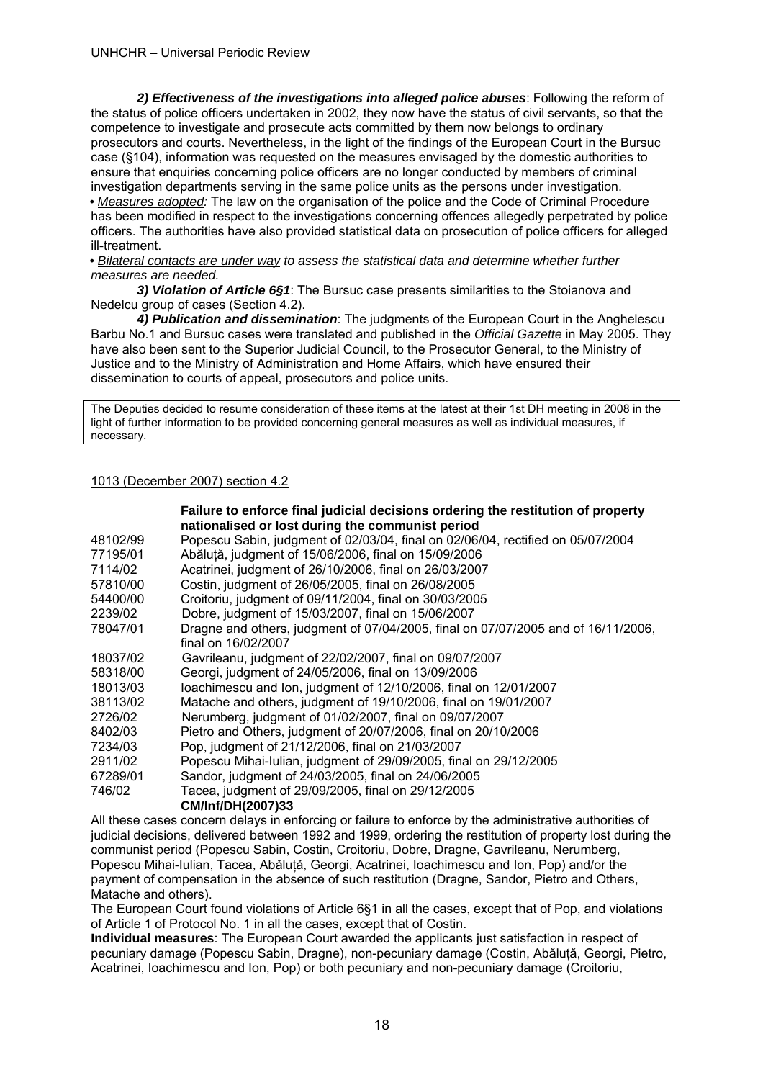*2) Effectiveness of the investigations into alleged police abuses*: Following the reform of the status of police officers undertaken in 2002, they now have the status of civil servants, so that the competence to investigate and prosecute acts committed by them now belongs to ordinary prosecutors and courts. Nevertheless, in the light of the findings of the European Court in the Bursuc case (§104), information was requested on the measures envisaged by the domestic authorities to ensure that enquiries concerning police officers are no longer conducted by members of criminal investigation departments serving in the same police units as the persons under investigation. *• Measures adopted:* The law on the organisation of the police and the Code of Criminal Procedure has been modified in respect to the investigations concerning offences allegedly perpetrated by police officers. The authorities have also provided statistical data on prosecution of police officers for alleged ill-treatment.

*• Bilateral contacts are under way to assess the statistical data and determine whether further measures are needed.* 

 *3) Violation of Article 6§1*: The Bursuc case presents similarities to the Stoianova and Nedelcu group of cases (Section 4.2).

 *4) Publication and dissemination*: The judgments of the European Court in the Anghelescu Barbu No.1 and Bursuc cases were translated and published in the *Official Gazette* in May 2005. They have also been sent to the Superior Judicial Council, to the Prosecutor General, to the Ministry of Justice and to the Ministry of Administration and Home Affairs, which have ensured their dissemination to courts of appeal, prosecutors and police units.

The Deputies decided to resume consideration of these items at the latest at their 1st DH meeting in 2008 in the light of further information to be provided concerning general measures as well as individual measures, if necessary.

#### 1013 (December 2007) section 4.2

|          | Failure to enforce final judicial decisions ordering the restitution of property  |
|----------|-----------------------------------------------------------------------------------|
|          | nationalised or lost during the communist period                                  |
| 48102/99 | Popescu Sabin, judgment of 02/03/04, final on 02/06/04, rectified on 05/07/2004   |
| 77195/01 | Abăluță, judgment of 15/06/2006, final on 15/09/2006                              |
| 7114/02  | Acatrinei, judgment of 26/10/2006, final on 26/03/2007                            |
| 57810/00 | Costin, judgment of 26/05/2005, final on 26/08/2005                               |
| 54400/00 | Croitoriu, judgment of 09/11/2004, final on 30/03/2005                            |
| 2239/02  | Dobre, judgment of 15/03/2007, final on 15/06/2007                                |
| 78047/01 | Dragne and others, judgment of 07/04/2005, final on 07/07/2005 and of 16/11/2006, |
|          | final on 16/02/2007                                                               |
| 18037/02 | Gavrileanu, judgment of 22/02/2007, final on 09/07/2007                           |
| 58318/00 | Georgi, judgment of 24/05/2006, final on 13/09/2006                               |
| 18013/03 | loachimescu and Ion, judgment of 12/10/2006, final on 12/01/2007                  |
| 38113/02 | Matache and others, judgment of 19/10/2006, final on 19/01/2007                   |
| 2726/02  | Nerumberg, judgment of 01/02/2007, final on 09/07/2007                            |
| 8402/03  | Pietro and Others, judgment of 20/07/2006, final on 20/10/2006                    |
| 7234/03  | Pop, judgment of 21/12/2006, final on 21/03/2007                                  |
| 2911/02  | Popescu Mihai-Iulian, judgment of 29/09/2005, final on 29/12/2005                 |
| 67289/01 | Sandor, judgment of 24/03/2005, final on 24/06/2005                               |
| 746/02   | Tacea, judgment of 29/09/2005, final on 29/12/2005                                |
|          | CM/Inf/DH(2007)33                                                                 |

All these cases concern delays in enforcing or failure to enforce by the administrative authorities of judicial decisions, delivered between 1992 and 1999, ordering the restitution of property lost during the communist period (Popescu Sabin, Costin, Croitoriu, Dobre, Dragne, Gavrileanu, Nerumberg, Popescu Mihai-Iulian, Tacea, Abǎlutǎ, Georgi, Acatrinei, Ioachimescu and Ion, Pop) and/or the payment of compensation in the absence of such restitution (Dragne, Sandor, Pietro and Others, Matache and others).

The European Court found violations of Article 6§1 in all the cases, except that of Pop, and violations of Article 1 of Protocol No. 1 in all the cases, except that of Costin.

**Individual measures**: The European Court awarded the applicants just satisfaction in respect of pecuniary damage (Popescu Sabin, Dragne), non-pecuniary damage (Costin, Abǎlutǎ, Georgi, Pietro, Acatrinei, Ioachimescu and Ion, Pop) or both pecuniary and non-pecuniary damage (Croitoriu,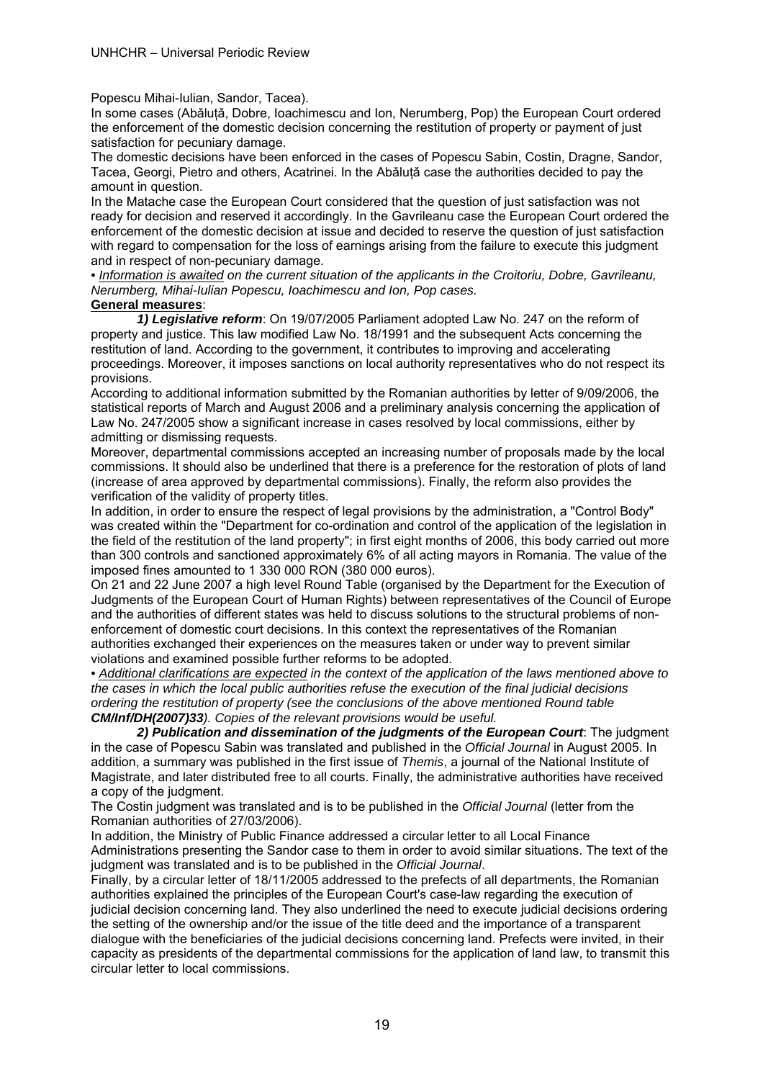Popescu Mihai-Iulian, Sandor, Tacea).

In some cases (Abǎluţǎ, Dobre, Ioachimescu and Ion, Nerumberg, Pop) the European Court ordered the enforcement of the domestic decision concerning the restitution of property or payment of just satisfaction for pecuniary damage.

The domestic decisions have been enforced in the cases of Popescu Sabin, Costin, Dragne, Sandor, Tacea, Georgi, Pietro and others, Acatrinei. In the Abǎluţǎ case the authorities decided to pay the amount in question.

In the Matache case the European Court considered that the question of just satisfaction was not ready for decision and reserved it accordingly. In the Gavrileanu case the European Court ordered the enforcement of the domestic decision at issue and decided to reserve the question of just satisfaction with regard to compensation for the loss of earnings arising from the failure to execute this judgment and in respect of non-pecuniary damage.

*• Information is awaited on the current situation of the applicants in the Croitoriu, Dobre, Gavrileanu, Nerumberg, Mihai-Iulian Popescu, Ioachimescu and Ion, Pop cases.* 

#### **General measures**:

 *1) Legislative reform*: On 19/07/2005 Parliament adopted Law No. 247 on the reform of property and justice. This law modified Law No. 18/1991 and the subsequent Acts concerning the restitution of land. According to the government, it contributes to improving and accelerating proceedings. Moreover, it imposes sanctions on local authority representatives who do not respect its provisions.

According to additional information submitted by the Romanian authorities by letter of 9/09/2006, the statistical reports of March and August 2006 and a preliminary analysis concerning the application of Law No. 247/2005 show a significant increase in cases resolved by local commissions, either by admitting or dismissing requests.

Moreover, departmental commissions accepted an increasing number of proposals made by the local commissions. It should also be underlined that there is a preference for the restoration of plots of land (increase of area approved by departmental commissions). Finally, the reform also provides the verification of the validity of property titles.

In addition, in order to ensure the respect of legal provisions by the administration, a "Control Body" was created within the "Department for co-ordination and control of the application of the legislation in the field of the restitution of the land property"; in first eight months of 2006, this body carried out more than 300 controls and sanctioned approximately 6% of all acting mayors in Romania. The value of the imposed fines amounted to 1 330 000 RON (380 000 euros).

On 21 and 22 June 2007 a high level Round Table (organised by the Department for the Execution of Judgments of the European Court of Human Rights) between representatives of the Council of Europe and the authorities of different states was held to discuss solutions to the structural problems of nonenforcement of domestic court decisions. In this context the representatives of the Romanian authorities exchanged their experiences on the measures taken or under way to prevent similar violations and examined possible further reforms to be adopted.

*• Additional clarifications are expected in the context of the application of the laws mentioned above to the cases in which the local public authorities refuse the execution of the final judicial decisions ordering the restitution of property (see the conclusions of the above mentioned Round table CM/Inf/DH(2007)33). Copies of the relevant provisions would be useful.* 

 *2) Publication and dissemination of the judgments of the European Court*: The judgment in the case of Popescu Sabin was translated and published in the *Official Journal* in August 2005. In addition, a summary was published in the first issue of *Themis*, a journal of the National Institute of Magistrate, and later distributed free to all courts. Finally, the administrative authorities have received a copy of the judgment.

The Costin judgment was translated and is to be published in the *Official Journal* (letter from the Romanian authorities of 27/03/2006).

In addition, the Ministry of Public Finance addressed a circular letter to all Local Finance Administrations presenting the Sandor case to them in order to avoid similar situations. The text of the judgment was translated and is to be published in the *Official Journal*.

Finally, by a circular letter of 18/11/2005 addressed to the prefects of all departments, the Romanian authorities explained the principles of the European Court's case-law regarding the execution of judicial decision concerning land. They also underlined the need to execute judicial decisions ordering the setting of the ownership and/or the issue of the title deed and the importance of a transparent dialogue with the beneficiaries of the judicial decisions concerning land. Prefects were invited, in their capacity as presidents of the departmental commissions for the application of land law, to transmit this circular letter to local commissions.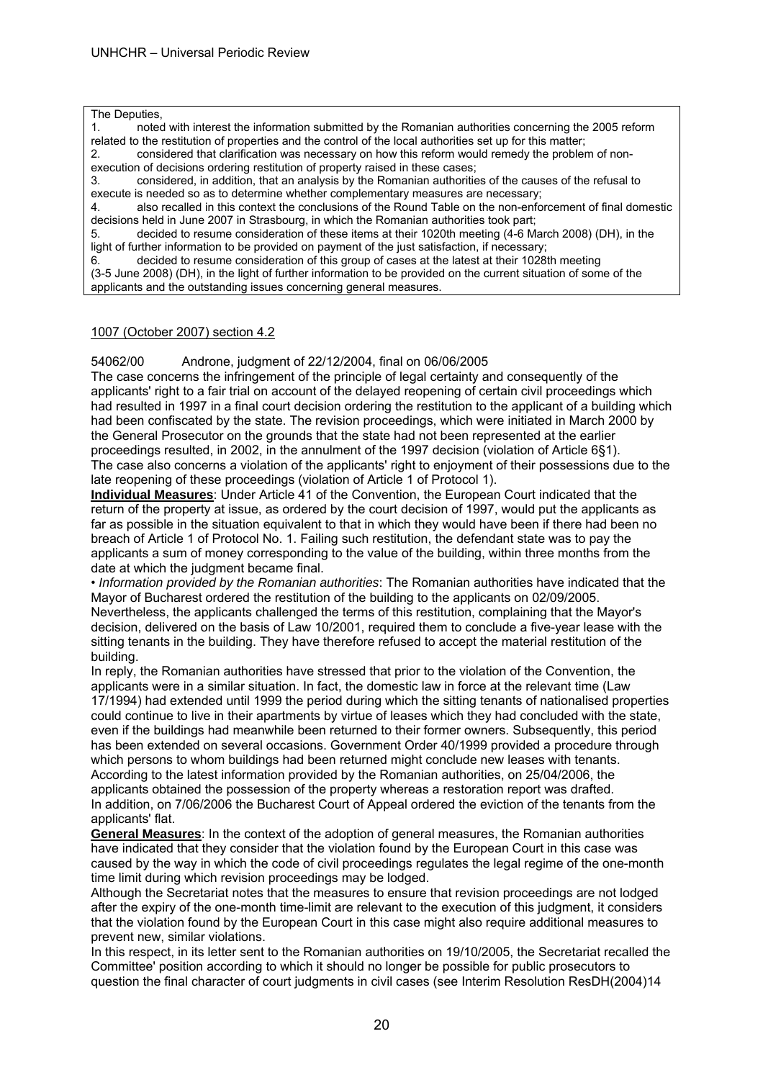The Deputies,

1. noted with interest the information submitted by the Romanian authorities concerning the 2005 reform related to the restitution of properties and the control of the local authorities set up for this matter;

2. considered that clarification was necessary on how this reform would remedy the problem of nonexecution of decisions ordering restitution of property raised in these cases;

3. considered, in addition, that an analysis by the Romanian authorities of the causes of the refusal to execute is needed so as to determine whether complementary measures are necessary;

4. also recalled in this context the conclusions of the Round Table on the non-enforcement of final domestic decisions held in June 2007 in Strasbourg, in which the Romanian authorities took part;

5. decided to resume consideration of these items at their 1020th meeting (4-6 March 2008) (DH), in the light of further information to be provided on payment of the just satisfaction, if necessary;

6. decided to resume consideration of this group of cases at the latest at their 1028th meeting (3-5 June 2008) (DH), in the light of further information to be provided on the current situation of some of the applicants and the outstanding issues concerning general measures.

#### 1007 (October 2007) section 4.2

54062/00 Androne, judgment of 22/12/2004, final on 06/06/2005

The case concerns the infringement of the principle of legal certainty and consequently of the applicants' right to a fair trial on account of the delayed reopening of certain civil proceedings which had resulted in 1997 in a final court decision ordering the restitution to the applicant of a building which had been confiscated by the state. The revision proceedings, which were initiated in March 2000 by the General Prosecutor on the grounds that the state had not been represented at the earlier proceedings resulted, in 2002, in the annulment of the 1997 decision (violation of Article 6§1). The case also concerns a violation of the applicants' right to enjoyment of their possessions due to the late reopening of these proceedings (violation of Article 1 of Protocol 1).

**Individual Measures**: Under Article 41 of the Convention, the European Court indicated that the return of the property at issue, as ordered by the court decision of 1997, would put the applicants as far as possible in the situation equivalent to that in which they would have been if there had been no breach of Article 1 of Protocol No. 1. Failing such restitution, the defendant state was to pay the applicants a sum of money corresponding to the value of the building, within three months from the date at which the judgment became final.

• *Information provided by the Romanian authorities*: The Romanian authorities have indicated that the Mayor of Bucharest ordered the restitution of the building to the applicants on 02/09/2005. Nevertheless, the applicants challenged the terms of this restitution, complaining that the Mayor's decision, delivered on the basis of Law 10/2001, required them to conclude a five-year lease with the sitting tenants in the building. They have therefore refused to accept the material restitution of the building.

In reply, the Romanian authorities have stressed that prior to the violation of the Convention, the applicants were in a similar situation. In fact, the domestic law in force at the relevant time (Law 17/1994) had extended until 1999 the period during which the sitting tenants of nationalised properties could continue to live in their apartments by virtue of leases which they had concluded with the state, even if the buildings had meanwhile been returned to their former owners. Subsequently, this period has been extended on several occasions. Government Order 40/1999 provided a procedure through which persons to whom buildings had been returned might conclude new leases with tenants. According to the latest information provided by the Romanian authorities, on 25/04/2006, the applicants obtained the possession of the property whereas a restoration report was drafted. In addition, on 7/06/2006 the Bucharest Court of Appeal ordered the eviction of the tenants from the applicants' flat.

**General Measures**: In the context of the adoption of general measures, the Romanian authorities have indicated that they consider that the violation found by the European Court in this case was caused by the way in which the code of civil proceedings regulates the legal regime of the one-month time limit during which revision proceedings may be lodged.

Although the Secretariat notes that the measures to ensure that revision proceedings are not lodged after the expiry of the one-month time-limit are relevant to the execution of this judgment, it considers that the violation found by the European Court in this case might also require additional measures to prevent new, similar violations.

In this respect, in its letter sent to the Romanian authorities on 19/10/2005, the Secretariat recalled the Committee' position according to which it should no longer be possible for public prosecutors to question the final character of court judgments in civil cases (see Interim Resolution ResDH(2004)14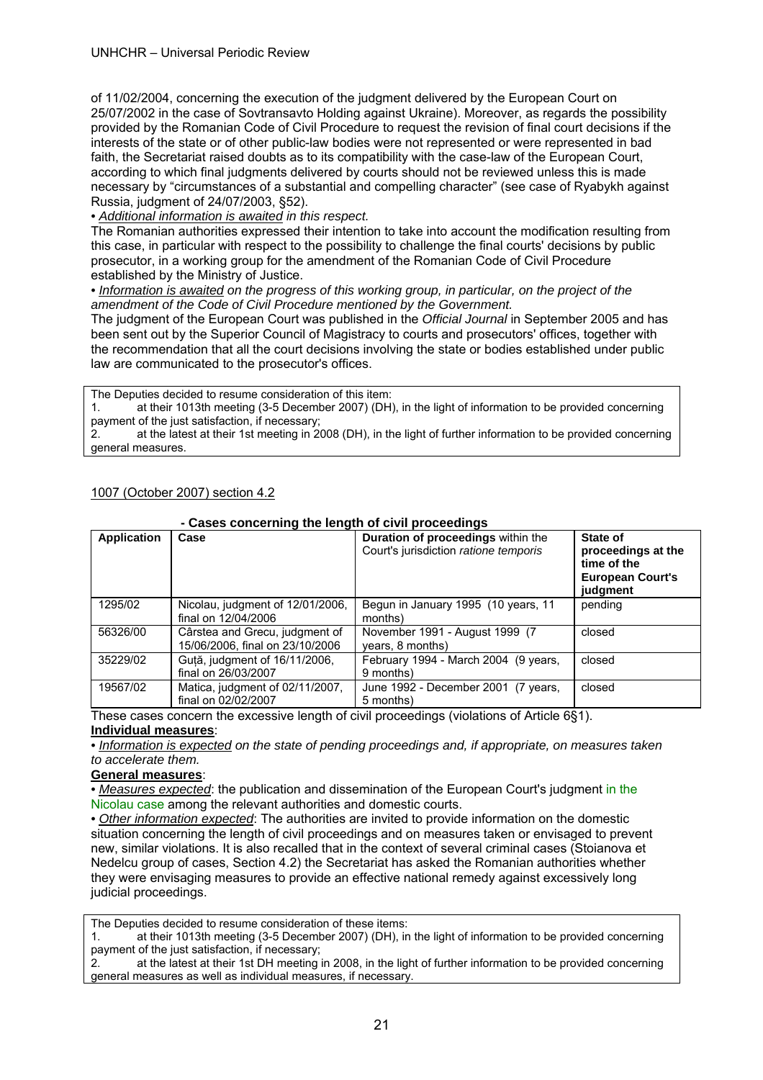#### UNHCHR – Universal Periodic Review

of 11/02/2004, concerning the execution of the judgment delivered by the European Court on 25/07/2002 in the case of Sovtransavto Holding against Ukraine). Moreover, as regards the possibility provided by the Romanian Code of Civil Procedure to request the revision of final court decisions if the interests of the state or of other public-law bodies were not represented or were represented in bad faith, the Secretariat raised doubts as to its compatibility with the case-law of the European Court, according to which final judgments delivered by courts should not be reviewed unless this is made necessary by "circumstances of a substantial and compelling character" (see case of Ryabykh against Russia, judgment of 24/07/2003, §52).

*• Additional information is awaited in this respect.* 

The Romanian authorities expressed their intention to take into account the modification resulting from this case, in particular with respect to the possibility to challenge the final courts' decisions by public prosecutor, in a working group for the amendment of the Romanian Code of Civil Procedure established by the Ministry of Justice.

*• Information is awaited on the progress of this working group, in particular, on the project of the amendment of the Code of Civil Procedure mentioned by the Government.* 

The judgment of the European Court was published in the *Official Journal* in September 2005 and has been sent out by the Superior Council of Magistracy to courts and prosecutors' offices, together with the recommendation that all the court decisions involving the state or bodies established under public law are communicated to the prosecutor's offices.

The Deputies decided to resume consideration of this item:

1. at their 1013th meeting (3-5 December 2007) (DH), in the light of information to be provided concerning payment of the just satisfaction, if necessary;

2. at the latest at their 1st meeting in 2008 (DH), in the light of further information to be provided concerning general measures.

|                    | - Cases concerning the length of civil proceedings                |                                                                             |                                                                                      |
|--------------------|-------------------------------------------------------------------|-----------------------------------------------------------------------------|--------------------------------------------------------------------------------------|
| <b>Application</b> | Case                                                              | Duration of proceedings within the<br>Court's jurisdiction ratione temporis | State of<br>proceedings at the<br>time of the<br><b>European Court's</b><br>judgment |
| 1295/02            | Nicolau, judgment of 12/01/2006,<br>final on 12/04/2006           | Begun in January 1995 (10 years, 11<br>months)                              | pending                                                                              |
| 56326/00           | Cârstea and Grecu, judgment of<br>15/06/2006, final on 23/10/2006 | November 1991 - August 1999 (7)<br>years, 8 months)                         | closed                                                                               |
| 35229/02           | Guță, judgment of 16/11/2006,<br>final on 26/03/2007              | February 1994 - March 2004 (9 years,<br>9 months)                           | closed                                                                               |
| 19567/02           | Matica, judgment of 02/11/2007,<br>final on 02/02/2007            | June 1992 - December 2001 (7 years,<br>5 months)                            | closed                                                                               |

#### 1007 (October 2007) section 4.2

#### These cases concern the excessive length of civil proceedings (violations of Article 6§1). **Individual measures**:

 **- Cases concerning the length of civil proceedings**

*• Information is expected on the state of pending proceedings and, if appropriate, on measures taken to accelerate them.*

#### **General measures**:

*• Measures expected*: the publication and dissemination of the European Court's judgment in the Nicolau case among the relevant authorities and domestic courts.

*• Other information expected*: The authorities are invited to provide information on the domestic situation concerning the length of civil proceedings and on measures taken or envisaged to prevent new, similar violations. It is also recalled that in the context of several criminal cases (Stoianova et Nedelcu group of cases, Section 4.2) the Secretariat has asked the Romanian authorities whether they were envisaging measures to provide an effective national remedy against excessively long judicial proceedings.

The Deputies decided to resume consideration of these items:

1. at their 1013th meeting (3-5 December 2007) (DH), in the light of information to be provided concerning payment of the just satisfaction, if necessary;

2. at the latest at their 1st DH meeting in 2008, in the light of further information to be provided concerning general measures as well as individual measures, if necessary.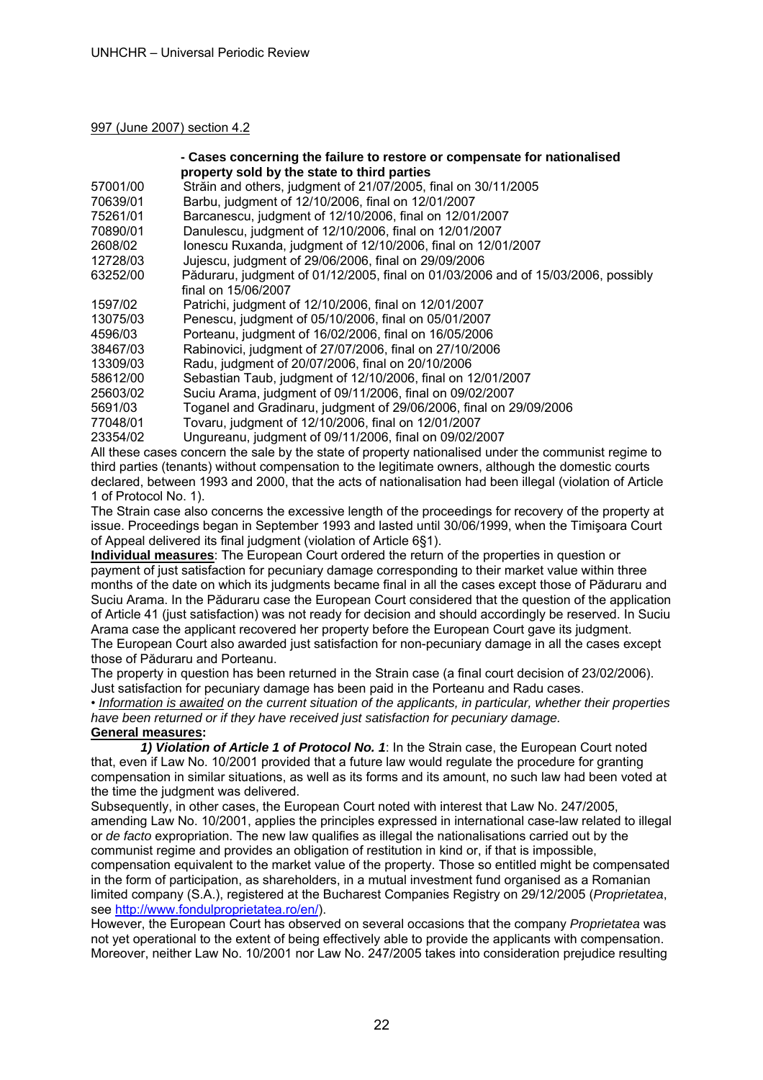#### 997 (June 2007) section 4.2

|          | - Cases concerning the failure to restore or compensate for nationalised          |
|----------|-----------------------------------------------------------------------------------|
|          | property sold by the state to third parties                                       |
| 57001/00 | Străin and others, judgment of 21/07/2005, final on 30/11/2005                    |
| 70639/01 | Barbu, judgment of 12/10/2006, final on 12/01/2007                                |
| 75261/01 | Barcanescu, judgment of 12/10/2006, final on 12/01/2007                           |
| 70890/01 | Danulescu, judgment of 12/10/2006, final on 12/01/2007                            |
| 2608/02  | lonescu Ruxanda, judgment of 12/10/2006, final on 12/01/2007                      |
| 12728/03 | Jujescu, judgment of 29/06/2006, final on 29/09/2006                              |
| 63252/00 | Păduraru, judgment of 01/12/2005, final on 01/03/2006 and of 15/03/2006, possibly |
|          | final on 15/06/2007                                                               |
| 1597/02  | Patrichi, judgment of 12/10/2006, final on 12/01/2007                             |
| 13075/03 | Penescu, judgment of 05/10/2006, final on 05/01/2007                              |
| 4596/03  | Porteanu, judgment of 16/02/2006, final on 16/05/2006                             |
| 38467/03 | Rabinovici, judgment of 27/07/2006, final on 27/10/2006                           |
| 13309/03 | Radu, judgment of 20/07/2006, final on 20/10/2006                                 |
| 58612/00 | Sebastian Taub, judgment of 12/10/2006, final on 12/01/2007                       |
| 25603/02 | Suciu Arama, judgment of 09/11/2006, final on 09/02/2007                          |
| 5691/03  | Toganel and Gradinaru, judgment of 29/06/2006, final on 29/09/2006                |
| 77048/01 | Tovaru, judgment of 12/10/2006, final on 12/01/2007                               |
| 23354/02 | Ungureanu, judgment of 09/11/2006, final on 09/02/2007                            |
|          |                                                                                   |

All these cases concern the sale by the state of property nationalised under the communist regime to third parties (tenants) without compensation to the legitimate owners, although the domestic courts declared, between 1993 and 2000, that the acts of nationalisation had been illegal (violation of Article 1 of Protocol No. 1).

The Strain case also concerns the excessive length of the proceedings for recovery of the property at issue. Proceedings began in September 1993 and lasted until 30/06/1999, when the Timişoara Court of Appeal delivered its final judgment (violation of Article 6§1).

**Individual measures**: The European Court ordered the return of the properties in question or payment of just satisfaction for pecuniary damage corresponding to their market value within three months of the date on which its judgments became final in all the cases except those of Păduraru and Suciu Arama. In the Păduraru case the European Court considered that the question of the application of Article 41 (just satisfaction) was not ready for decision and should accordingly be reserved. In Suciu Arama case the applicant recovered her property before the European Court gave its judgment. The European Court also awarded just satisfaction for non-pecuniary damage in all the cases except those of Păduraru and Porteanu.

The property in question has been returned in the Strain case (a final court decision of 23/02/2006). Just satisfaction for pecuniary damage has been paid in the Porteanu and Radu cases.

• *Information is awaited on the current situation of the applicants, in particular, whether their properties have been returned or if they have received just satisfaction for pecuniary damage.* 

# **General measures:**

 *1) Violation of Article 1 of Protocol No. 1*: In the Strain case, the European Court noted that, even if Law No. 10/2001 provided that a future law would regulate the procedure for granting compensation in similar situations, as well as its forms and its amount, no such law had been voted at the time the judgment was delivered.

Subsequently, in other cases, the European Court noted with interest that Law No. 247/2005, amending Law No. 10/2001, applies the principles expressed in international case-law related to illegal or *de facto* expropriation. The new law qualifies as illegal the nationalisations carried out by the communist regime and provides an obligation of restitution in kind or, if that is impossible, compensation equivalent to the market value of the property. Those so entitled might be compensated in the form of participation, as shareholders, in a mutual investment fund organised as a Romanian limited company (S.A.), registered at the Bucharest Companies Registry on 29/12/2005 (*Proprietatea*, see http://www.fondulproprietatea.ro/en/).

However, the European Court has observed on several occasions that the company *Proprietatea* was not yet operational to the extent of being effectively able to provide the applicants with compensation. Moreover, neither Law No. 10/2001 nor Law No. 247/2005 takes into consideration prejudice resulting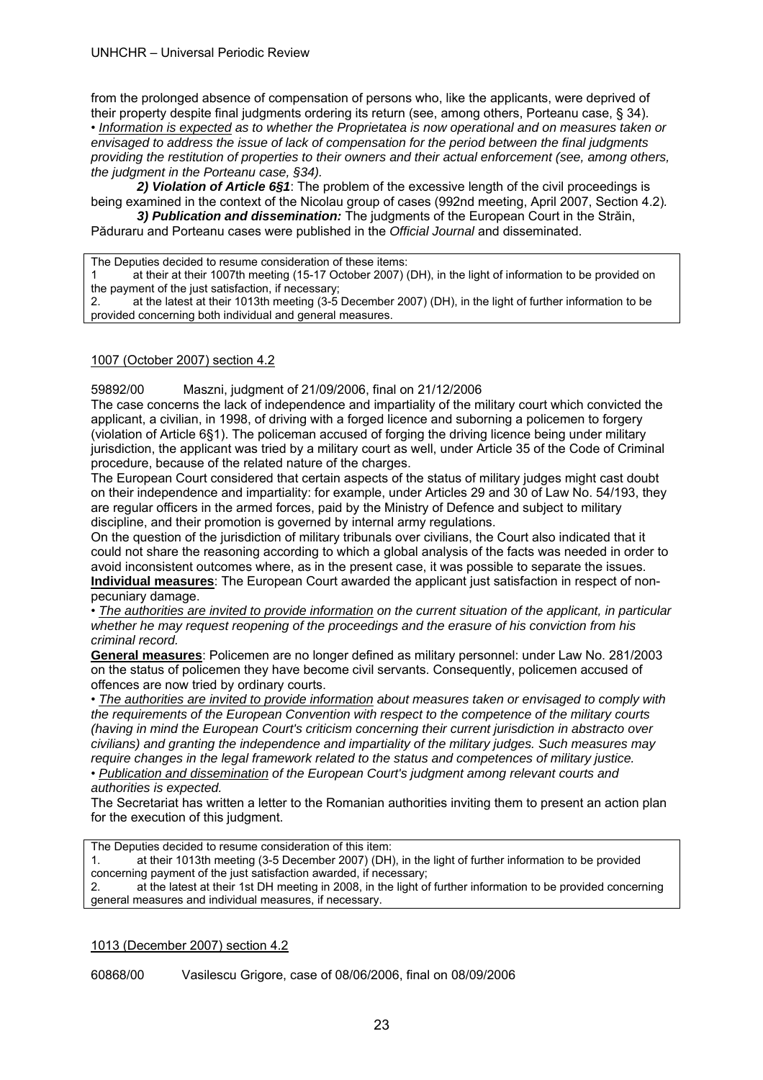from the prolonged absence of compensation of persons who, like the applicants, were deprived of their property despite final judgments ordering its return (see, among others, Porteanu case, § 34). • *Information is expected as to whether the Proprietatea is now operational and on measures taken or envisaged to address the issue of lack of compensation for the period between the final judgments providing the restitution of properties to their owners and their actual enforcement (see, among others, the judgment in the Porteanu case, §34).* 

 *2) Violation of Article 6§1*: The problem of the excessive length of the civil proceedings is being examined in the context of the Nicolau group of cases (992nd meeting, April 2007, Section 4.2)*.*

 *3) Publication and dissemination:* The judgments of the European Court in the Străin, Păduraru and Porteanu cases were published in the *Official Journal* and disseminated.

The Deputies decided to resume consideration of these items:

1 at their at their 1007th meeting (15-17 October 2007) (DH), in the light of information to be provided on the payment of the just satisfaction, if necessary;

2. at the latest at their 1013th meeting (3-5 December 2007) (DH), in the light of further information to be provided concerning both individual and general measures.

#### 1007 (October 2007) section 4.2

59892/00 Maszni, judgment of 21/09/2006, final on 21/12/2006

The case concerns the lack of independence and impartiality of the military court which convicted the applicant, a civilian, in 1998, of driving with a forged licence and suborning a policemen to forgery (violation of Article 6§1). The policeman accused of forging the driving licence being under military jurisdiction, the applicant was tried by a military court as well, under Article 35 of the Code of Criminal procedure, because of the related nature of the charges.

The European Court considered that certain aspects of the status of military judges might cast doubt on their independence and impartiality: for example, under Articles 29 and 30 of Law No. 54/193, they are regular officers in the armed forces, paid by the Ministry of Defence and subject to military discipline, and their promotion is governed by internal army regulations.

On the question of the jurisdiction of military tribunals over civilians, the Court also indicated that it could not share the reasoning according to which a global analysis of the facts was needed in order to avoid inconsistent outcomes where, as in the present case, it was possible to separate the issues. **Individual measures**: The European Court awarded the applicant just satisfaction in respect of nonpecuniary damage.

• *The authorities are invited to provide information on the current situation of the applicant, in particular whether he may request reopening of the proceedings and the erasure of his conviction from his criminal record.* 

**General measures**: Policemen are no longer defined as military personnel: under Law No. 281/2003 on the status of policemen they have become civil servants. Consequently, policemen accused of offences are now tried by ordinary courts.

• *The authorities are invited to provide information about measures taken or envisaged to comply with the requirements of the European Convention with respect to the competence of the military courts (having in mind the European Court's criticism concerning their current jurisdiction in abstracto over civilians) and granting the independence and impartiality of the military judges. Such measures may require changes in the legal framework related to the status and competences of military justice.* 

• *Publication and dissemination of the European Court's judgment among relevant courts and authorities is expected.* 

The Secretariat has written a letter to the Romanian authorities inviting them to present an action plan for the execution of this judgment.

The Deputies decided to resume consideration of this item:

1. at their 1013th meeting (3-5 December 2007) (DH), in the light of further information to be provided concerning payment of the just satisfaction awarded, if necessary;

2. at the latest at their 1st DH meeting in 2008, in the light of further information to be provided concerning general measures and individual measures, if necessary.

#### 1013 (December 2007) section 4.2

60868/00 Vasilescu Grigore, case of 08/06/2006, final on 08/09/2006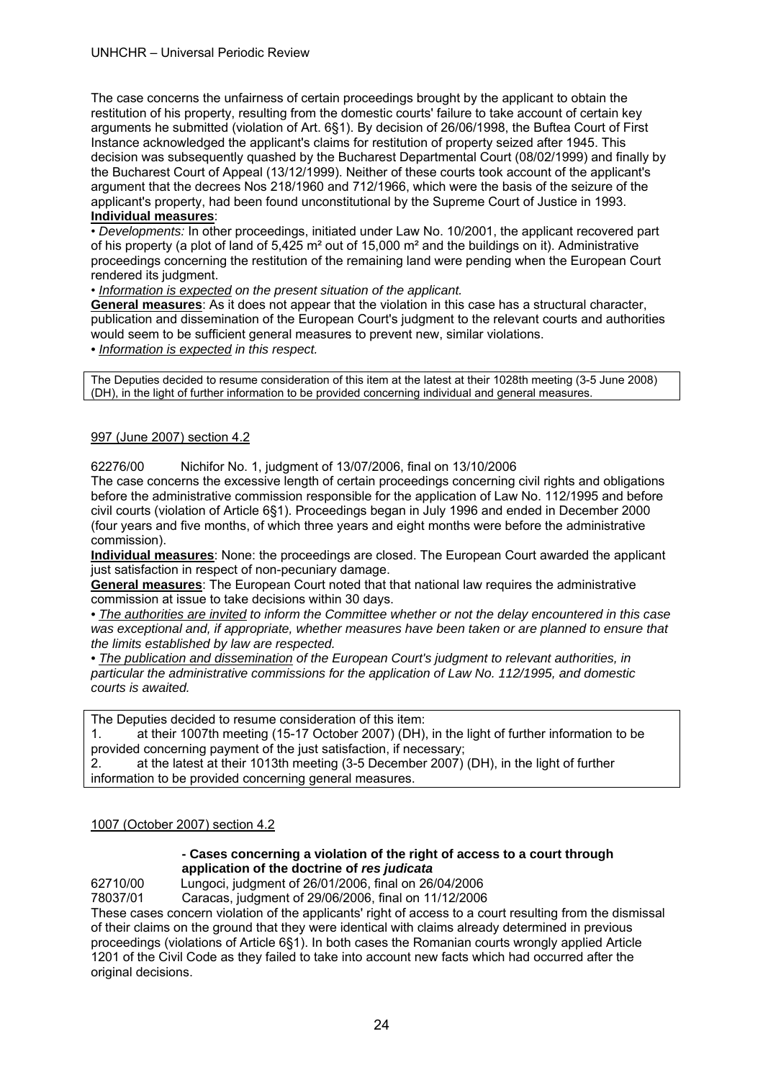#### UNHCHR – Universal Periodic Review

The case concerns the unfairness of certain proceedings brought by the applicant to obtain the restitution of his property, resulting from the domestic courts' failure to take account of certain key arguments he submitted (violation of Art. 6§1). By decision of 26/06/1998, the Buftea Court of First Instance acknowledged the applicant's claims for restitution of property seized after 1945. This decision was subsequently quashed by the Bucharest Departmental Court (08/02/1999) and finally by the Bucharest Court of Appeal (13/12/1999). Neither of these courts took account of the applicant's argument that the decrees Nos 218/1960 and 712/1966, which were the basis of the seizure of the applicant's property, had been found unconstitutional by the Supreme Court of Justice in 1993.

## **Individual measures**:

• *Developments:* In other proceedings, initiated under Law No. 10/2001, the applicant recovered part of his property (a plot of land of 5,425 m² out of 15,000 m² and the buildings on it). Administrative proceedings concerning the restitution of the remaining land were pending when the European Court rendered its judgment.

#### • *Information is expected on the present situation of the applicant.*

**General measures**: As it does not appear that the violation in this case has a structural character, publication and dissemination of the European Court's judgment to the relevant courts and authorities would seem to be sufficient general measures to prevent new, similar violations.

*• Information is expected in this respect.*

The Deputies decided to resume consideration of this item at the latest at their 1028th meeting (3-5 June 2008) (DH), in the light of further information to be provided concerning individual and general measures.

#### 997 (June 2007) section 4.2

#### 62276/00 Nichifor No. 1, judgment of 13/07/2006, final on 13/10/2006

The case concerns the excessive length of certain proceedings concerning civil rights and obligations before the administrative commission responsible for the application of Law No. 112/1995 and before civil courts (violation of Article 6§1). Proceedings began in July 1996 and ended in December 2000 (four years and five months, of which three years and eight months were before the administrative commission).

**Individual measures**: None: the proceedings are closed. The European Court awarded the applicant just satisfaction in respect of non-pecuniary damage.

**General measures**: The European Court noted that that national law requires the administrative commission at issue to take decisions within 30 days.

*• The authorities are invited to inform the Committee whether or not the delay encountered in this case was exceptional and, if appropriate, whether measures have been taken or are planned to ensure that the limits established by law are respected.* 

*• The publication and dissemination of the European Court's judgment to relevant authorities, in particular the administrative commissions for the application of Law No. 112/1995, and domestic courts is awaited.* 

The Deputies decided to resume consideration of this item:

1. at their 1007th meeting (15-17 October 2007) (DH), in the light of further information to be provided concerning payment of the just satisfaction, if necessary;

2. at the latest at their 1013th meeting (3-5 December 2007) (DH), in the light of further information to be provided concerning general measures.

#### 1007 (October 2007) section 4.2

#### **- Cases concerning a violation of the right of access to a court through application of the doctrine of** *res judicata*

62710/00 Lungoci, judgment of 26/01/2006, final on 26/04/2006

78037/01 Caracas, judgment of 29/06/2006, final on 11/12/2006

These cases concern violation of the applicants' right of access to a court resulting from the dismissal of their claims on the ground that they were identical with claims already determined in previous proceedings (violations of Article 6§1). In both cases the Romanian courts wrongly applied Article 1201 of the Civil Code as they failed to take into account new facts which had occurred after the original decisions.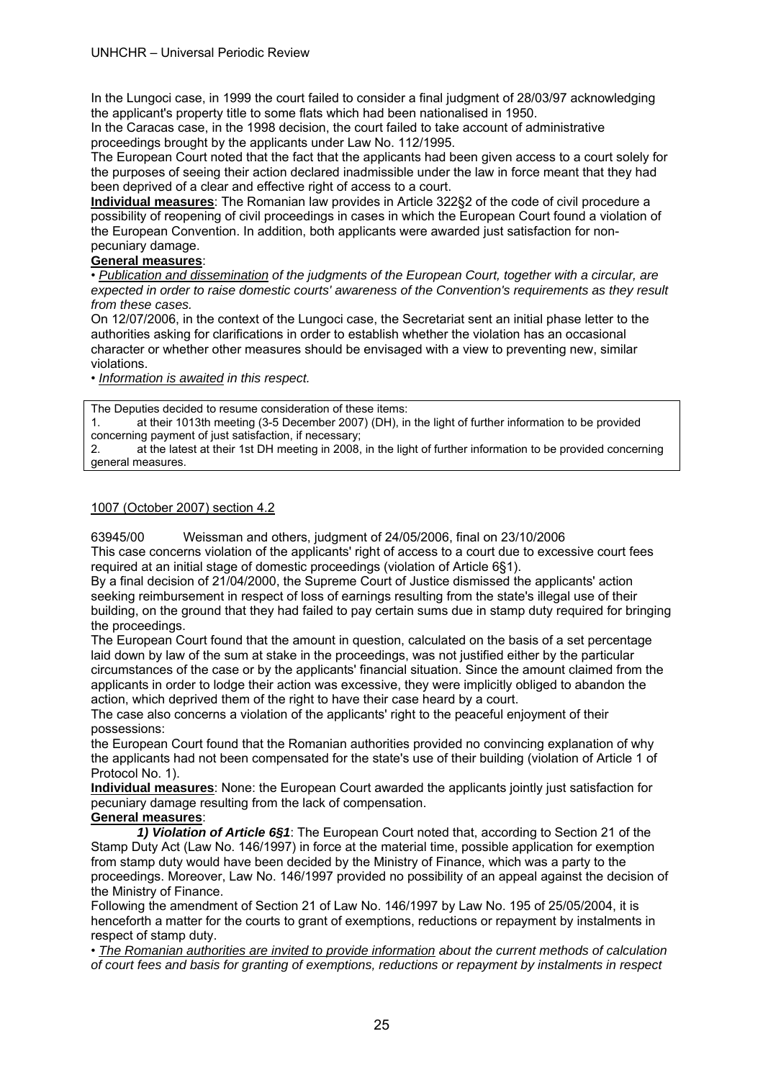In the Lungoci case, in 1999 the court failed to consider a final judgment of 28/03/97 acknowledging the applicant's property title to some flats which had been nationalised in 1950.

In the Caracas case, in the 1998 decision, the court failed to take account of administrative proceedings brought by the applicants under Law No. 112/1995.

The European Court noted that the fact that the applicants had been given access to a court solely for the purposes of seeing their action declared inadmissible under the law in force meant that they had been deprived of a clear and effective right of access to a court.

**Individual measures**: The Romanian law provides in Article 322§2 of the code of civil procedure a possibility of reopening of civil proceedings in cases in which the European Court found a violation of the European Convention. In addition, both applicants were awarded just satisfaction for nonpecuniary damage.

#### **General measures**:

• *Publication and dissemination of the judgments of the European Court, together with a circular, are expected in order to raise domestic courts' awareness of the Convention's requirements as they result from these cases.* 

On 12/07/2006, in the context of the Lungoci case, the Secretariat sent an initial phase letter to the authorities asking for clarifications in order to establish whether the violation has an occasional character or whether other measures should be envisaged with a view to preventing new, similar violations.

• *Information is awaited in this respect.* 

The Deputies decided to resume consideration of these items:

1. at their 1013th meeting (3-5 December 2007) (DH), in the light of further information to be provided concerning payment of just satisfaction, if necessary;

2. at the latest at their 1st DH meeting in 2008, in the light of further information to be provided concerning general measures.

#### 1007 (October 2007) section 4.2

63945/00 Weissman and others, judgment of 24/05/2006, final on 23/10/2006

This case concerns violation of the applicants' right of access to a court due to excessive court fees required at an initial stage of domestic proceedings (violation of Article 6§1).

By a final decision of 21/04/2000, the Supreme Court of Justice dismissed the applicants' action seeking reimbursement in respect of loss of earnings resulting from the state's illegal use of their building, on the ground that they had failed to pay certain sums due in stamp duty required for bringing the proceedings.

The European Court found that the amount in question, calculated on the basis of a set percentage laid down by law of the sum at stake in the proceedings, was not justified either by the particular circumstances of the case or by the applicants' financial situation. Since the amount claimed from the applicants in order to lodge their action was excessive, they were implicitly obliged to abandon the action, which deprived them of the right to have their case heard by a court.

The case also concerns a violation of the applicants' right to the peaceful enjoyment of their possessions:

the European Court found that the Romanian authorities provided no convincing explanation of why the applicants had not been compensated for the state's use of their building (violation of Article 1 of Protocol No. 1).

**Individual measures**: None: the European Court awarded the applicants jointly just satisfaction for pecuniary damage resulting from the lack of compensation.

#### **General measures**:

*1) Violation of Article 6§1*: The European Court noted that, according to Section 21 of the Stamp Duty Act (Law No. 146/1997) in force at the material time, possible application for exemption from stamp duty would have been decided by the Ministry of Finance, which was a party to the proceedings. Moreover, Law No. 146/1997 provided no possibility of an appeal against the decision of the Ministry of Finance.

Following the amendment of Section 21 of Law No. 146/1997 by Law No. 195 of 25/05/2004, it is henceforth a matter for the courts to grant of exemptions, reductions or repayment by instalments in respect of stamp duty.

• *The Romanian authorities are invited to provide information about the current methods of calculation of court fees and basis for granting of exemptions, reductions or repayment by instalments in respect*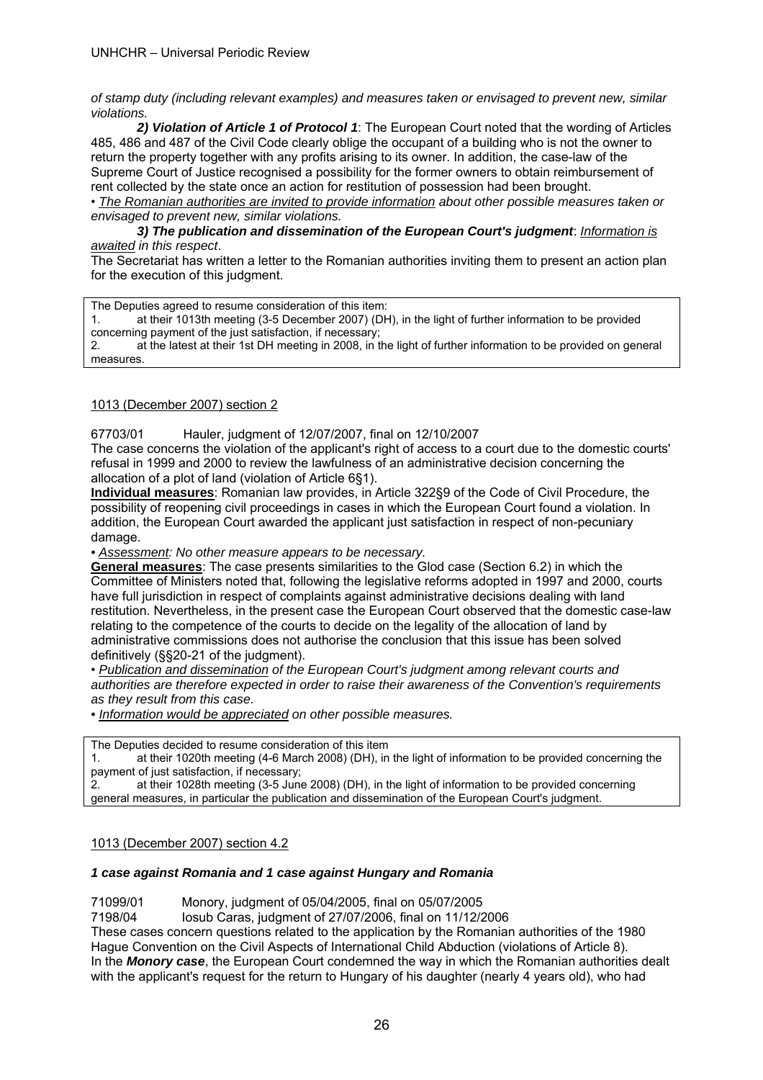*of stamp duty (including relevant examples) and measures taken or envisaged to prevent new, similar violations.* 

*2) Violation of Article 1 of Protocol 1*: The European Court noted that the wording of Articles 485, 486 and 487 of the Civil Code clearly oblige the occupant of a building who is not the owner to return the property together with any profits arising to its owner. In addition, the case-law of the Supreme Court of Justice recognised a possibility for the former owners to obtain reimbursement of rent collected by the state once an action for restitution of possession had been brought.

• *The Romanian authorities are invited to provide information about other possible measures taken or envisaged to prevent new, similar violations.* 

*3) The publication and dissemination of the European Court's judgment*: *Information is awaited in this respect*.

The Secretariat has written a letter to the Romanian authorities inviting them to present an action plan for the execution of this judgment.

The Deputies agreed to resume consideration of this item:

1. at their 1013th meeting (3-5 December 2007) (DH), in the light of further information to be provided concerning payment of the just satisfaction, if necessary;

2. at the latest at their 1st DH meeting in 2008, in the light of further information to be provided on general measures.

# 1013 (December 2007) section 2

67703/01 Hauler, judgment of 12/07/2007, final on 12/10/2007

The case concerns the violation of the applicant's right of access to a court due to the domestic courts' refusal in 1999 and 2000 to review the lawfulness of an administrative decision concerning the allocation of a plot of land (violation of Article 6§1).

**Individual measures**: Romanian law provides, in Article 322§9 of the Code of Civil Procedure, the possibility of reopening civil proceedings in cases in which the European Court found a violation. In addition, the European Court awarded the applicant just satisfaction in respect of non-pecuniary damage.

*• Assessment: No other measure appears to be necessary.* 

**General measures**: The case presents similarities to the Glod case (Section 6.2) in which the Committee of Ministers noted that, following the legislative reforms adopted in 1997 and 2000, courts have full jurisdiction in respect of complaints against administrative decisions dealing with land restitution. Nevertheless, in the present case the European Court observed that the domestic case-law relating to the competence of the courts to decide on the legality of the allocation of land by administrative commissions does not authorise the conclusion that this issue has been solved definitively (§§20-21 of the judgment).

• *Publication and dissemination of the European Court's judgment among relevant courts and authorities are therefore expected in order to raise their awareness of the Convention's requirements as they result from this case.* 

*• Information would be appreciated on other possible measures.* 

The Deputies decided to resume consideration of this item

1. at their 1020th meeting (4-6 March 2008) (DH), in the light of information to be provided concerning the payment of just satisfaction, if necessary;

2. at their 1028th meeting (3-5 June 2008) (DH), in the light of information to be provided concerning general measures, in particular the publication and dissemination of the European Court's judgment.

#### 1013 (December 2007) section 4.2

#### *1 case against Romania and 1 case against Hungary and Romania*

71099/01 Monory, judgment of 05/04/2005, final on 05/07/2005

7198/04 Iosub Caras, judgment of 27/07/2006, final on 11/12/2006

These cases concern questions related to the application by the Romanian authorities of the 1980 Hague Convention on the Civil Aspects of International Child Abduction (violations of Article 8). In the *Monory case*, the European Court condemned the way in which the Romanian authorities dealt with the applicant's request for the return to Hungary of his daughter (nearly 4 years old), who had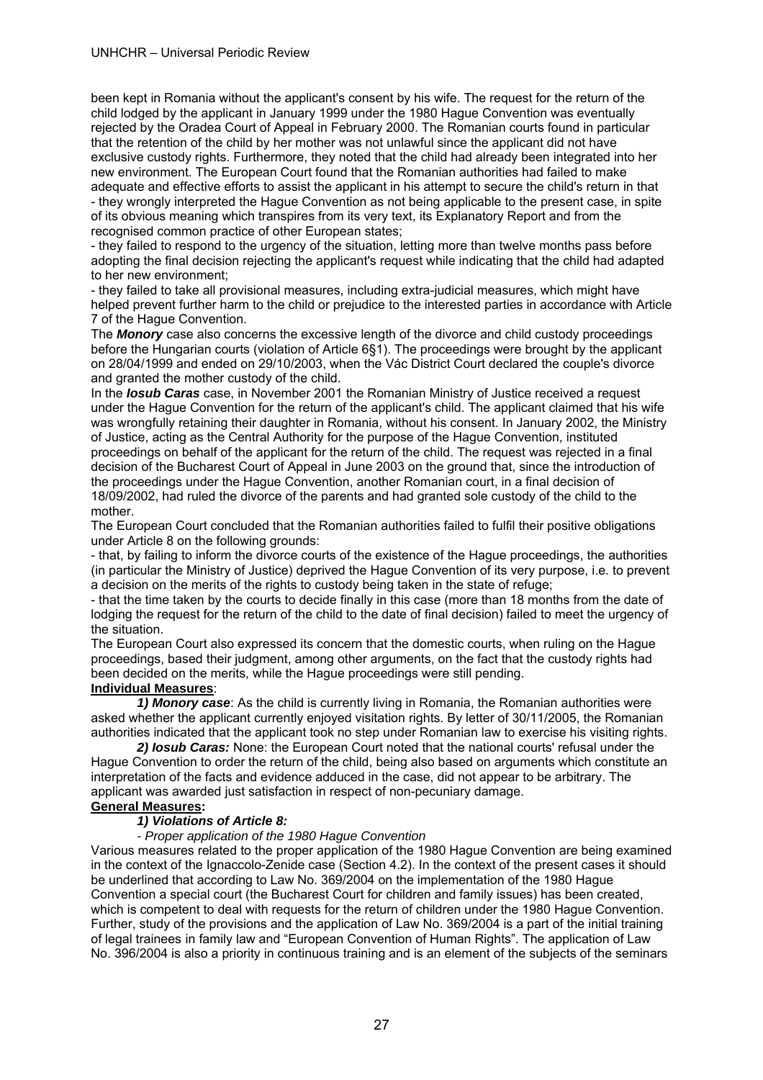been kept in Romania without the applicant's consent by his wife. The request for the return of the child lodged by the applicant in January 1999 under the 1980 Hague Convention was eventually rejected by the Oradea Court of Appeal in February 2000. The Romanian courts found in particular that the retention of the child by her mother was not unlawful since the applicant did not have exclusive custody rights. Furthermore, they noted that the child had already been integrated into her new environment. The European Court found that the Romanian authorities had failed to make adequate and effective efforts to assist the applicant in his attempt to secure the child's return in that - they wrongly interpreted the Hague Convention as not being applicable to the present case, in spite of its obvious meaning which transpires from its very text, its Explanatory Report and from the recognised common practice of other European states;

- they failed to respond to the urgency of the situation, letting more than twelve months pass before adopting the final decision rejecting the applicant's request while indicating that the child had adapted to her new environment;

- they failed to take all provisional measures, including extra-judicial measures, which might have helped prevent further harm to the child or prejudice to the interested parties in accordance with Article 7 of the Hague Convention.

The *Monory* case also concerns the excessive length of the divorce and child custody proceedings before the Hungarian courts (violation of Article 6§1). The proceedings were brought by the applicant on 28/04/1999 and ended on 29/10/2003, when the Vác District Court declared the couple's divorce and granted the mother custody of the child.

In the *Iosub Caras* case, in November 2001 the Romanian Ministry of Justice received a request under the Hague Convention for the return of the applicant's child. The applicant claimed that his wife was wrongfully retaining their daughter in Romania, without his consent. In January 2002, the Ministry of Justice, acting as the Central Authority for the purpose of the Hague Convention, instituted proceedings on behalf of the applicant for the return of the child. The request was rejected in a final decision of the Bucharest Court of Appeal in June 2003 on the ground that, since the introduction of the proceedings under the Hague Convention, another Romanian court, in a final decision of 18/09/2002, had ruled the divorce of the parents and had granted sole custody of the child to the mother.

The European Court concluded that the Romanian authorities failed to fulfil their positive obligations under Article 8 on the following grounds:

- that, by failing to inform the divorce courts of the existence of the Hague proceedings, the authorities (in particular the Ministry of Justice) deprived the Hague Convention of its very purpose, i.e. to prevent a decision on the merits of the rights to custody being taken in the state of refuge;

- that the time taken by the courts to decide finally in this case (more than 18 months from the date of lodging the request for the return of the child to the date of final decision) failed to meet the urgency of the situation.

The European Court also expressed its concern that the domestic courts, when ruling on the Hague proceedings, based their judgment, among other arguments, on the fact that the custody rights had been decided on the merits, while the Hague proceedings were still pending.

#### **Individual Measures**:

*1) Monory case*: As the child is currently living in Romania, the Romanian authorities were asked whether the applicant currently enjoyed visitation rights. By letter of 30/11/2005, the Romanian authorities indicated that the applicant took no step under Romanian law to exercise his visiting rights.

*2) Iosub Caras:* None: the European Court noted that the national courts' refusal under the Hague Convention to order the return of the child, being also based on arguments which constitute an interpretation of the facts and evidence adduced in the case, did not appear to be arbitrary. The applicant was awarded just satisfaction in respect of non-pecuniary damage.

#### **General Measures:**

#### *1) Violations of Article 8:*

*- Proper application of the 1980 Hague Convention* 

Various measures related to the proper application of the 1980 Hague Convention are being examined in the context of the Ignaccolo-Zenide case (Section 4.2). In the context of the present cases it should be underlined that according to Law No. 369/2004 on the implementation of the 1980 Hague Convention a special court (the Bucharest Court for children and family issues) has been created, which is competent to deal with requests for the return of children under the 1980 Hague Convention. Further, study of the provisions and the application of Law No. 369/2004 is a part of the initial training of legal trainees in family law and "European Convention of Human Rights". The application of Law No. 396/2004 is also a priority in continuous training and is an element of the subjects of the seminars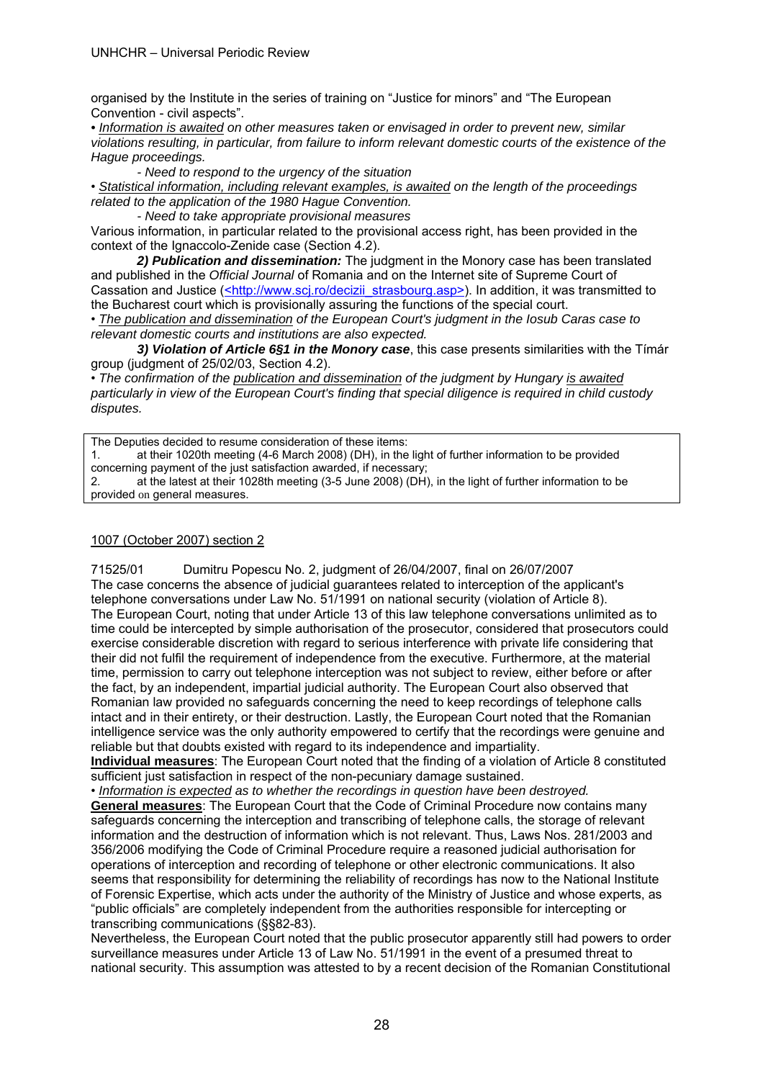organised by the Institute in the series of training on "Justice for minors" and "The European Convention - civil aspects".

*• Information is awaited on other measures taken or envisaged in order to prevent new, similar violations resulting, in particular, from failure to inform relevant domestic courts of the existence of the Hague proceedings.* 

*- Need to respond to the urgency of the situation* 

• *Statistical information, including relevant examples, is awaited on the length of the proceedings related to the application of the 1980 Hague Convention.* 

*- Need to take appropriate provisional measures* 

Various information, in particular related to the provisional access right, has been provided in the context of the Ignaccolo-Zenide case (Section 4.2).

 *2) Publication and dissemination:* The judgment in the Monory case has been translated and published in the *Official Journal* of Romania and on the Internet site of Supreme Court of Cassation and Justice (<http://www.scj.ro/decizii\_strasbourg.asp>). In addition, it was transmitted to the Bucharest court which is provisionally assuring the functions of the special court.

• *The publication and dissemination of the European Court's judgment in the Iosub Caras case to relevant domestic courts and institutions are also expected.*

 *3) Violation of Article 6§1 in the Monory case*, this case presents similarities with the Tímár group (judgment of 25/02/03, Section 4.2).

• *The confirmation of the publication and dissemination of the judgment by Hungary is awaited particularly in view of the European Court's finding that special diligence is required in child custody disputes.* 

The Deputies decided to resume consideration of these items:

1. at their 1020th meeting (4-6 March 2008) (DH), in the light of further information to be provided concerning payment of the just satisfaction awarded, if necessary;

2. at the latest at their 1028th meeting (3-5 June 2008) (DH), in the light of further information to be provided on general measures.

#### 1007 (October 2007) section 2

71525/01 Dumitru Popescu No. 2, judgment of 26/04/2007, final on 26/07/2007 The case concerns the absence of judicial guarantees related to interception of the applicant's telephone conversations under Law No. 51/1991 on national security (violation of Article 8). The European Court, noting that under Article 13 of this law telephone conversations unlimited as to time could be intercepted by simple authorisation of the prosecutor, considered that prosecutors could exercise considerable discretion with regard to serious interference with private life considering that their did not fulfil the requirement of independence from the executive. Furthermore, at the material time, permission to carry out telephone interception was not subject to review, either before or after the fact, by an independent, impartial judicial authority. The European Court also observed that Romanian law provided no safeguards concerning the need to keep recordings of telephone calls intact and in their entirety, or their destruction. Lastly, the European Court noted that the Romanian intelligence service was the only authority empowered to certify that the recordings were genuine and reliable but that doubts existed with regard to its independence and impartiality.

**Individual measures**: The European Court noted that the finding of a violation of Article 8 constituted sufficient just satisfaction in respect of the non-pecuniary damage sustained.

• *Information is expected as to whether the recordings in question have been destroyed.*  **General measures**: The European Court that the Code of Criminal Procedure now contains many safeguards concerning the interception and transcribing of telephone calls, the storage of relevant information and the destruction of information which is not relevant. Thus, Laws Nos. 281/2003 and 356/2006 modifying the Code of Criminal Procedure require a reasoned judicial authorisation for operations of interception and recording of telephone or other electronic communications. It also seems that responsibility for determining the reliability of recordings has now to the National Institute of Forensic Expertise, which acts under the authority of the Ministry of Justice and whose experts, as "public officials" are completely independent from the authorities responsible for intercepting or transcribing communications (§§82-83).

Nevertheless, the European Court noted that the public prosecutor apparently still had powers to order surveillance measures under Article 13 of Law No. 51/1991 in the event of a presumed threat to national security. This assumption was attested to by a recent decision of the Romanian Constitutional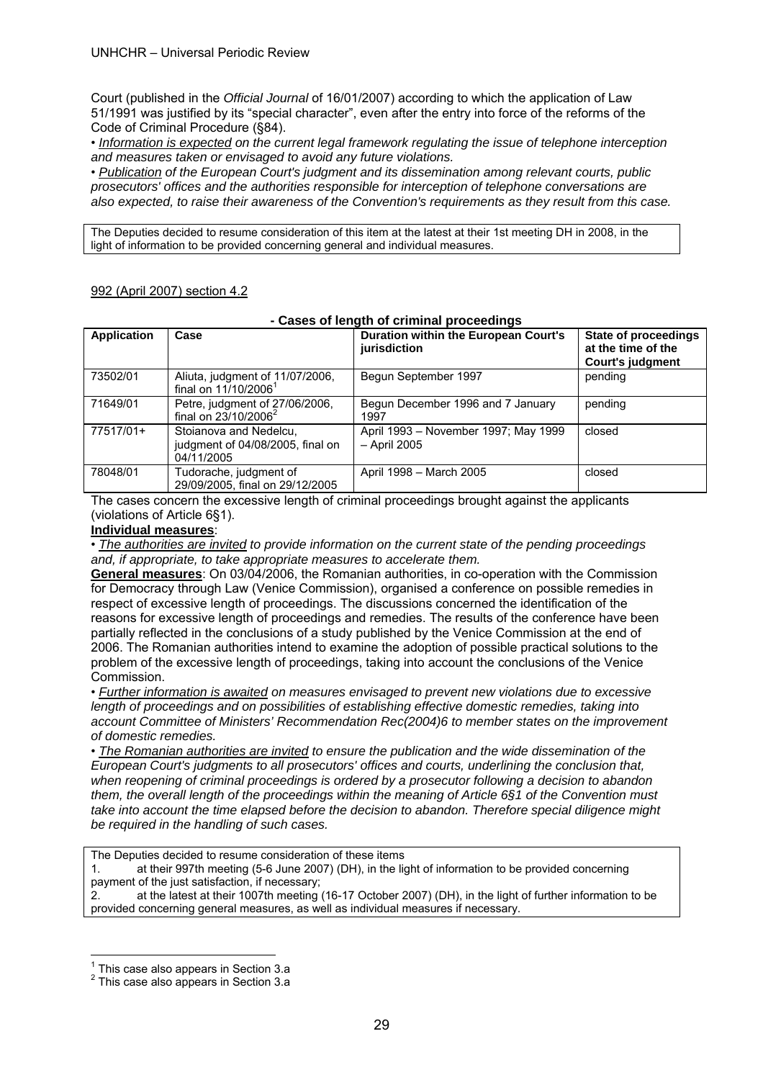Court (published in the *Official Journal* of 16/01/2007) according to which the application of Law 51/1991 was justified by its "special character", even after the entry into force of the reforms of the Code of Criminal Procedure (§84).

• *Information is expected on the current legal framework regulating the issue of telephone interception and measures taken or envisaged to avoid any future violations.*

• *Publication of the European Court's judgment and its dissemination among relevant courts, public prosecutors' offices and the authorities responsible for interception of telephone conversations are also expected, to raise their awareness of the Convention's requirements as they result from this case.*

The Deputies decided to resume consideration of this item at the latest at their 1st meeting DH in 2008, in the light of information to be provided concerning general and individual measures.

### 992 (April 2007) section 4.2

#### **- Cases of length of criminal proceedings**

| <b>Application</b> | Case                                                                     | <b>Duration within the European Court's</b><br>jurisdiction | <b>State of proceedings</b><br>at the time of the<br><b>Court's judgment</b> |
|--------------------|--------------------------------------------------------------------------|-------------------------------------------------------------|------------------------------------------------------------------------------|
| 73502/01           | Aliuta, judgment of 11/07/2006,<br>final on 11/10/2006 <sup>1</sup>      | Begun September 1997                                        | pending                                                                      |
| 71649/01           | Petre, judgment of 27/06/2006,<br>final on $23/10/2006^2$                | Begun December 1996 and 7 January<br>1997                   | pending                                                                      |
| 77517/01+          | Stoianova and Nedelcu,<br>judgment of 04/08/2005, final on<br>04/11/2005 | April 1993 – November 1997; May 1999<br>- April 2005        | closed                                                                       |
| 78048/01           | Tudorache, judgment of<br>29/09/2005, final on 29/12/2005                | April 1998 - March 2005                                     | closed                                                                       |

The cases concern the excessive length of criminal proceedings brought against the applicants (violations of Article 6§1).

#### **Individual measures**:

• *The authorities are invited to provide information on the current state of the pending proceedings and, if appropriate, to take appropriate measures to accelerate them.*

**General measures**: On 03/04/2006, the Romanian authorities, in co-operation with the Commission for Democracy through Law (Venice Commission), organised a conference on possible remedies in respect of excessive length of proceedings. The discussions concerned the identification of the reasons for excessive length of proceedings and remedies. The results of the conference have been partially reflected in the conclusions of a study published by the Venice Commission at the end of 2006. The Romanian authorities intend to examine the adoption of possible practical solutions to the problem of the excessive length of proceedings, taking into account the conclusions of the Venice Commission.

• *Further information is awaited on measures envisaged to prevent new violations due to excessive length of proceedings and on possibilities of establishing effective domestic remedies, taking into account Committee of Ministers' Recommendation Rec(2004)6 to member states on the improvement of domestic remedies.* 

• *The Romanian authorities are invited to ensure the publication and the wide dissemination of the European Court's judgments to all prosecutors' offices and courts, underlining the conclusion that, when reopening of criminal proceedings is ordered by a prosecutor following a decision to abandon them, the overall length of the proceedings within the meaning of Article 6§1 of the Convention must take into account the time elapsed before the decision to abandon. Therefore special diligence might be required in the handling of such cases.* 

The Deputies decided to resume consideration of these items

1. at their 997th meeting (5-6 June 2007) (DH), in the light of information to be provided concerning payment of the just satisfaction, if necessary;

2. at the latest at their 1007th meeting (16-17 October 2007) (DH), in the light of further information to be provided concerning general measures, as well as individual measures if necessary.

 $\overline{a}$ 

 $1$  This case also appears in Section 3.a

<sup>&</sup>lt;sup>2</sup> This case also appears in Section 3.a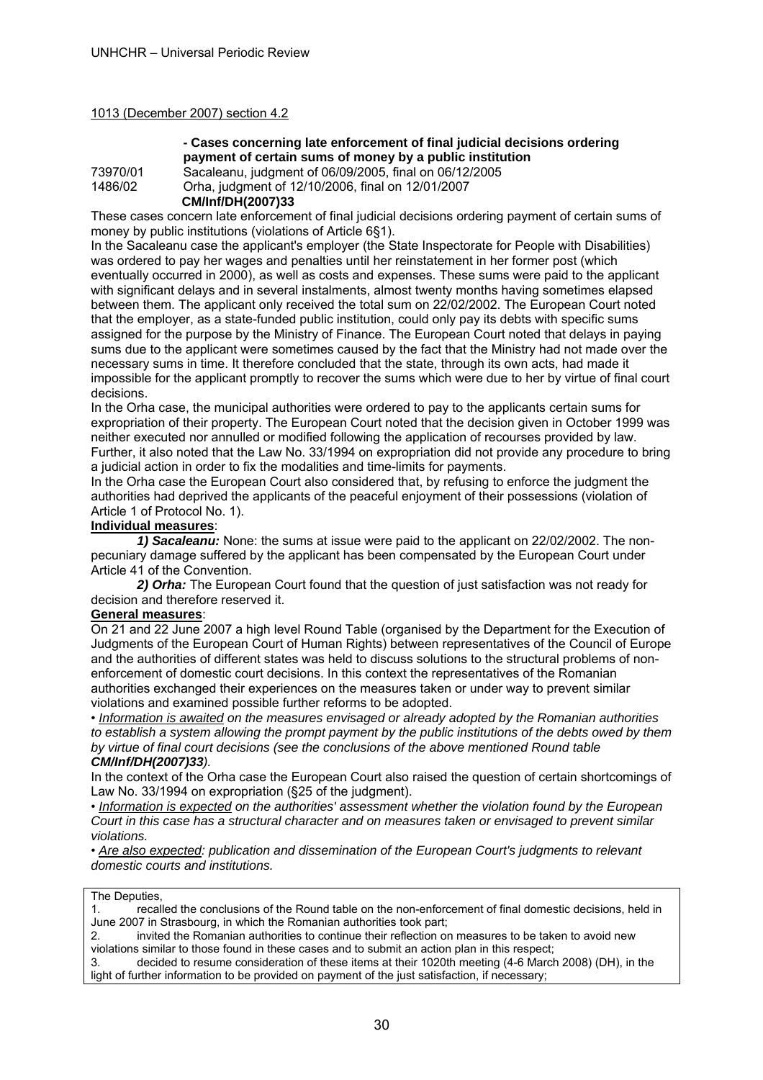#### 1013 (December 2007) section 4.2

#### **- Cases concerning late enforcement of final judicial decisions ordering payment of certain sums of money by a public institution**

73970/01 Sacaleanu, judgment of 06/09/2005, final on 06/12/2005 1486/02 Orha, judgment of 12/10/2006, final on 12/01/2007  **CM/Inf/DH(2007)33** 

These cases concern late enforcement of final judicial decisions ordering payment of certain sums of money by public institutions (violations of Article 6§1).

In the Sacaleanu case the applicant's employer (the State Inspectorate for People with Disabilities) was ordered to pay her wages and penalties until her reinstatement in her former post (which eventually occurred in 2000), as well as costs and expenses. These sums were paid to the applicant with significant delays and in several instalments, almost twenty months having sometimes elapsed between them. The applicant only received the total sum on 22/02/2002. The European Court noted that the employer, as a state-funded public institution, could only pay its debts with specific sums assigned for the purpose by the Ministry of Finance. The European Court noted that delays in paying sums due to the applicant were sometimes caused by the fact that the Ministry had not made over the necessary sums in time. It therefore concluded that the state, through its own acts, had made it impossible for the applicant promptly to recover the sums which were due to her by virtue of final court decisions.

In the Orha case, the municipal authorities were ordered to pay to the applicants certain sums for expropriation of their property. The European Court noted that the decision given in October 1999 was neither executed nor annulled or modified following the application of recourses provided by law. Further, it also noted that the Law No. 33/1994 on expropriation did not provide any procedure to bring a judicial action in order to fix the modalities and time-limits for payments.

In the Orha case the European Court also considered that, by refusing to enforce the judgment the authorities had deprived the applicants of the peaceful enjoyment of their possessions (violation of Article 1 of Protocol No. 1).

## **Individual measures**:

 *1) Sacaleanu:* None: the sums at issue were paid to the applicant on 22/02/2002. The nonpecuniary damage suffered by the applicant has been compensated by the European Court under Article 41 of the Convention.

 *2) Orha:* The European Court found that the question of just satisfaction was not ready for decision and therefore reserved it.

#### **General measures**:

On 21 and 22 June 2007 a high level Round Table (organised by the Department for the Execution of Judgments of the European Court of Human Rights) between representatives of the Council of Europe and the authorities of different states was held to discuss solutions to the structural problems of nonenforcement of domestic court decisions. In this context the representatives of the Romanian authorities exchanged their experiences on the measures taken or under way to prevent similar violations and examined possible further reforms to be adopted.

• *Information is awaited on the measures envisaged or already adopted by the Romanian authorities to establish a system allowing the prompt payment by the public institutions of the debts owed by them by virtue of final court decisions (see the conclusions of the above mentioned Round table CM/Inf/DH(2007)33).* 

In the context of the Orha case the European Court also raised the question of certain shortcomings of Law No. 33/1994 on expropriation (§25 of the judgment).

• *Information is expected on the authorities' assessment whether the violation found by the European Court in this case has a structural character and on measures taken or envisaged to prevent similar violations.* 

• *Are also expected: publication and dissemination of the European Court's judgments to relevant domestic courts and institutions.* 

#### The Deputies,

1. recalled the conclusions of the Round table on the non-enforcement of final domestic decisions, held in June 2007 in Strasbourg, in which the Romanian authorities took part;

2. invited the Romanian authorities to continue their reflection on measures to be taken to avoid new violations similar to those found in these cases and to submit an action plan in this respect;

3. decided to resume consideration of these items at their 1020th meeting (4-6 March 2008) (DH), in the light of further information to be provided on payment of the just satisfaction, if necessary;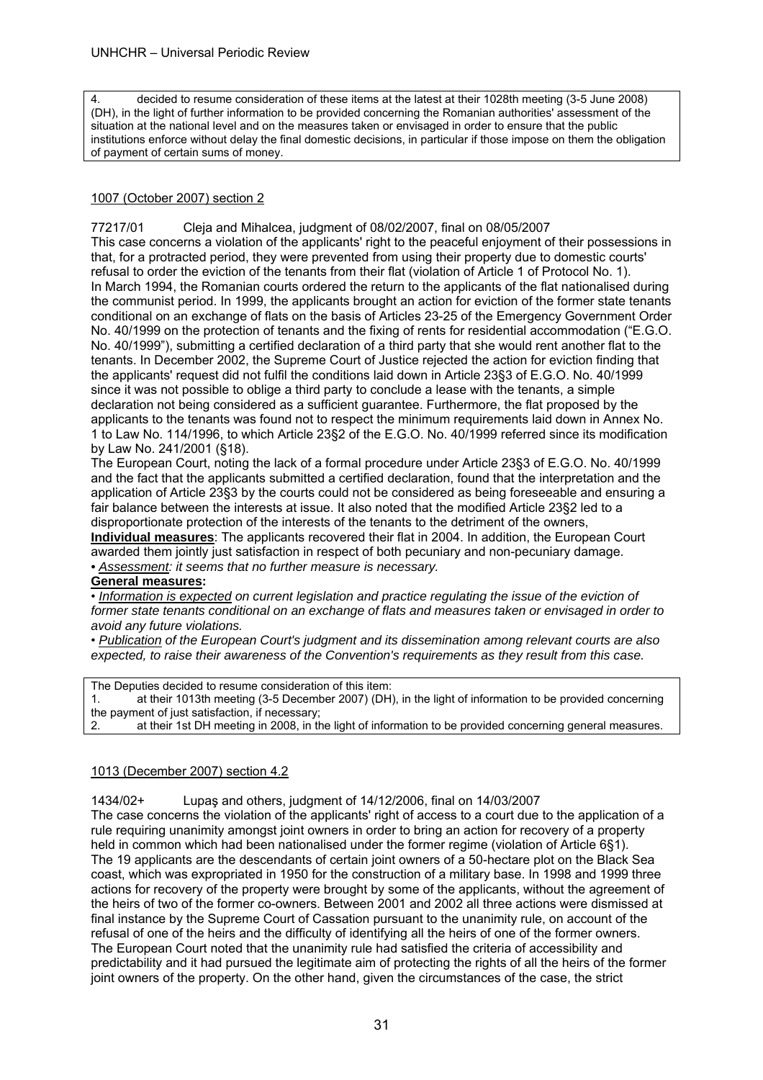4. decided to resume consideration of these items at the latest at their 1028th meeting (3-5 June 2008) (DH), in the light of further information to be provided concerning the Romanian authorities' assessment of the situation at the national level and on the measures taken or envisaged in order to ensure that the public institutions enforce without delay the final domestic decisions, in particular if those impose on them the obligation of payment of certain sums of money.

#### 1007 (October 2007) section 2

77217/01 Cleja and Mihalcea, judgment of 08/02/2007, final on 08/05/2007 This case concerns a violation of the applicants' right to the peaceful enjoyment of their possessions in that, for a protracted period, they were prevented from using their property due to domestic courts' refusal to order the eviction of the tenants from their flat (violation of Article 1 of Protocol No. 1). In March 1994, the Romanian courts ordered the return to the applicants of the flat nationalised during the communist period. In 1999, the applicants brought an action for eviction of the former state tenants conditional on an exchange of flats on the basis of Articles 23-25 of the Emergency Government Order No. 40/1999 on the protection of tenants and the fixing of rents for residential accommodation ("E.G.O. No. 40/1999"), submitting a certified declaration of a third party that she would rent another flat to the tenants. In December 2002, the Supreme Court of Justice rejected the action for eviction finding that the applicants' request did not fulfil the conditions laid down in Article 23§3 of E.G.O. No. 40/1999 since it was not possible to oblige a third party to conclude a lease with the tenants, a simple declaration not being considered as a sufficient guarantee. Furthermore, the flat proposed by the applicants to the tenants was found not to respect the minimum requirements laid down in Annex No. 1 to Law No. 114/1996, to which Article 23§2 of the E.G.O. No. 40/1999 referred since its modification by Law No. 241/2001 (§18).

The European Court, noting the lack of a formal procedure under Article 23§3 of E.G.O. No. 40/1999 and the fact that the applicants submitted a certified declaration, found that the interpretation and the application of Article 23§3 by the courts could not be considered as being foreseeable and ensuring a fair balance between the interests at issue. It also noted that the modified Article 23§2 led to a disproportionate protection of the interests of the tenants to the detriment of the owners, **Individual measures**: The applicants recovered their flat in 2004. In addition, the European Court awarded them jointly just satisfaction in respect of both pecuniary and non-pecuniary damage. *• Assessment: it seems that no further measure is necessary.* 

#### **General measures:**

• *Information is expected on current legislation and practice regulating the issue of the eviction of former state tenants conditional on an exchange of flats and measures taken or envisaged in order to avoid any future violations.* 

• *Publication of the European Court's judgment and its dissemination among relevant courts are also expected, to raise their awareness of the Convention's requirements as they result from this case.* 

The Deputies decided to resume consideration of this item:

1. at their 1013th meeting (3-5 December 2007) (DH), in the light of information to be provided concerning the payment of just satisfaction, if necessary;

2. at their 1st DH meeting in 2008, in the light of information to be provided concerning general measures.

#### 1013 (December 2007) section 4.2

1434/02+ Lupaş and others, judgment of 14/12/2006, final on 14/03/2007

The case concerns the violation of the applicants' right of access to a court due to the application of a rule requiring unanimity amongst joint owners in order to bring an action for recovery of a property held in common which had been nationalised under the former regime (violation of Article 6§1). The 19 applicants are the descendants of certain joint owners of a 50-hectare plot on the Black Sea coast, which was expropriated in 1950 for the construction of a military base. In 1998 and 1999 three actions for recovery of the property were brought by some of the applicants, without the agreement of the heirs of two of the former co-owners. Between 2001 and 2002 all three actions were dismissed at final instance by the Supreme Court of Cassation pursuant to the unanimity rule, on account of the refusal of one of the heirs and the difficulty of identifying all the heirs of one of the former owners. The European Court noted that the unanimity rule had satisfied the criteria of accessibility and predictability and it had pursued the legitimate aim of protecting the rights of all the heirs of the former joint owners of the property. On the other hand, given the circumstances of the case, the strict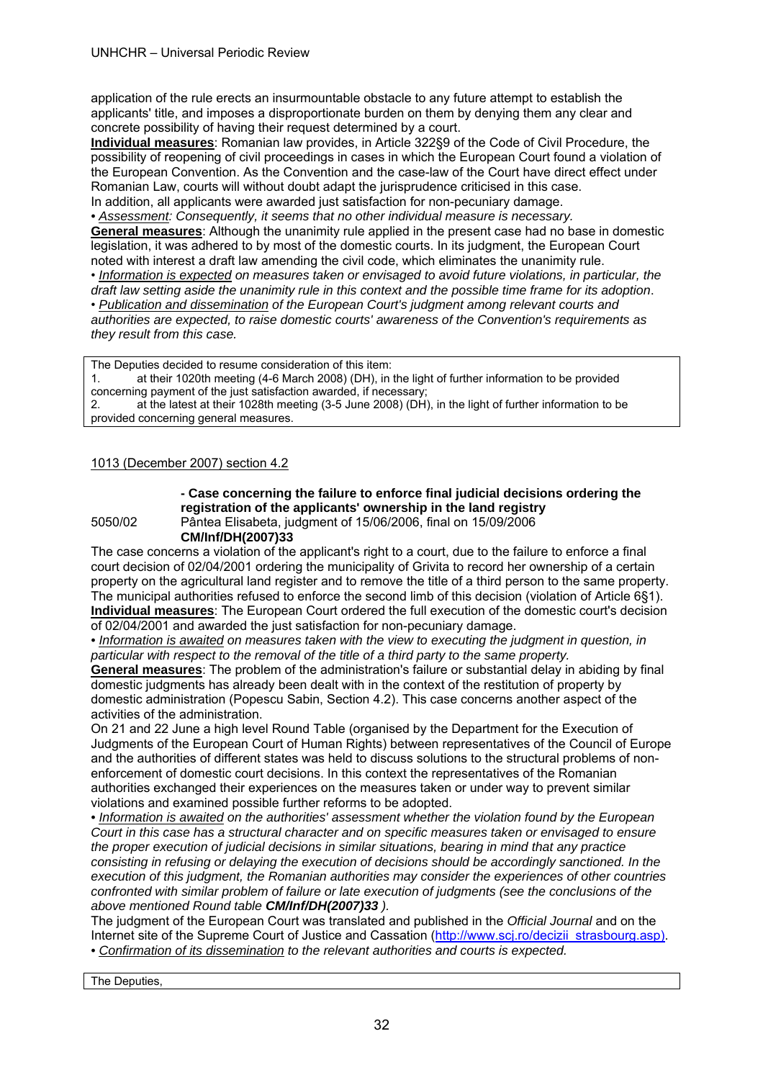application of the rule erects an insurmountable obstacle to any future attempt to establish the applicants' title, and imposes a disproportionate burden on them by denying them any clear and concrete possibility of having their request determined by a court.

**Individual measures**: Romanian law provides, in Article 322§9 of the Code of Civil Procedure, the possibility of reopening of civil proceedings in cases in which the European Court found a violation of the European Convention. As the Convention and the case-law of the Court have direct effect under Romanian Law, courts will without doubt adapt the jurisprudence criticised in this case. In addition, all applicants were awarded just satisfaction for non-pecuniary damage.

*• Assessment: Consequently, it seems that no other individual measure is necessary.* 

**General measures**: Although the unanimity rule applied in the present case had no base in domestic legislation, it was adhered to by most of the domestic courts. In its judgment, the European Court noted with interest a draft law amending the civil code, which eliminates the unanimity rule.

• *Information is expected on measures taken or envisaged to avoid future violations, in particular, the draft law setting aside the unanimity rule in this context and the possible time frame for its adoption*.

• *Publication and dissemination of the European Court's judgment among relevant courts and* 

*authorities are expected, to raise domestic courts' awareness of the Convention's requirements as they result from this case.* 

The Deputies decided to resume consideration of this item: 1. at their 1020th meeting (4-6 March 2008) (DH), in the light of further information to be provided concerning payment of the just satisfaction awarded, if necessary; 2. at the latest at their 1028th meeting (3-5 June 2008) (DH), in the light of further information to be provided concerning general measures.

#### 1013 (December 2007) section 4.2

**- Case concerning the failure to enforce final judicial decisions ordering the registration of the applicants' ownership in the land registry**  5050/02 Pântea Elisabeta, judgment of 15/06/2006, final on 15/09/2006

**CM/Inf/DH(2007)33** The case concerns a violation of the applicant's right to a court, due to the failure to enforce a final court decision of 02/04/2001 ordering the municipality of Grivita to record her ownership of a certain property on the agricultural land register and to remove the title of a third person to the same property. The municipal authorities refused to enforce the second limb of this decision (violation of Article 6§1).

**Individual measures**: The European Court ordered the full execution of the domestic court's decision of 02/04/2001 and awarded the just satisfaction for non-pecuniary damage.

*• Information is awaited on measures taken with the view to executing the judgment in question, in particular with respect to the removal of the title of a third party to the same property.* 

**General measures**: The problem of the administration's failure or substantial delay in abiding by final domestic judgments has already been dealt with in the context of the restitution of property by domestic administration (Popescu Sabin, Section 4.2). This case concerns another aspect of the activities of the administration.

On 21 and 22 June a high level Round Table (organised by the Department for the Execution of Judgments of the European Court of Human Rights) between representatives of the Council of Europe and the authorities of different states was held to discuss solutions to the structural problems of nonenforcement of domestic court decisions. In this context the representatives of the Romanian authorities exchanged their experiences on the measures taken or under way to prevent similar violations and examined possible further reforms to be adopted.

*• Information is awaited on the authorities' assessment whether the violation found by the European Court in this case has a structural character and on specific measures taken or envisaged to ensure the proper execution of judicial decisions in similar situations, bearing in mind that any practice consisting in refusing or delaying the execution of decisions should be accordingly sanctioned. In the execution of this judgment, the Romanian authorities may consider the experiences of other countries confronted with similar problem of failure or late execution of judgments (see the conclusions of the above mentioned Round table CM/Inf/DH(2007)33 ).* 

The judgment of the European Court was translated and published in the *Official Journal* and on the Internet site of the Supreme Court of Justice and Cassation (http://www.scj.ro/decizii\_strasbourg.asp). *• Confirmation of its dissemination to the relevant authorities and courts is expected.* 

The Deputies,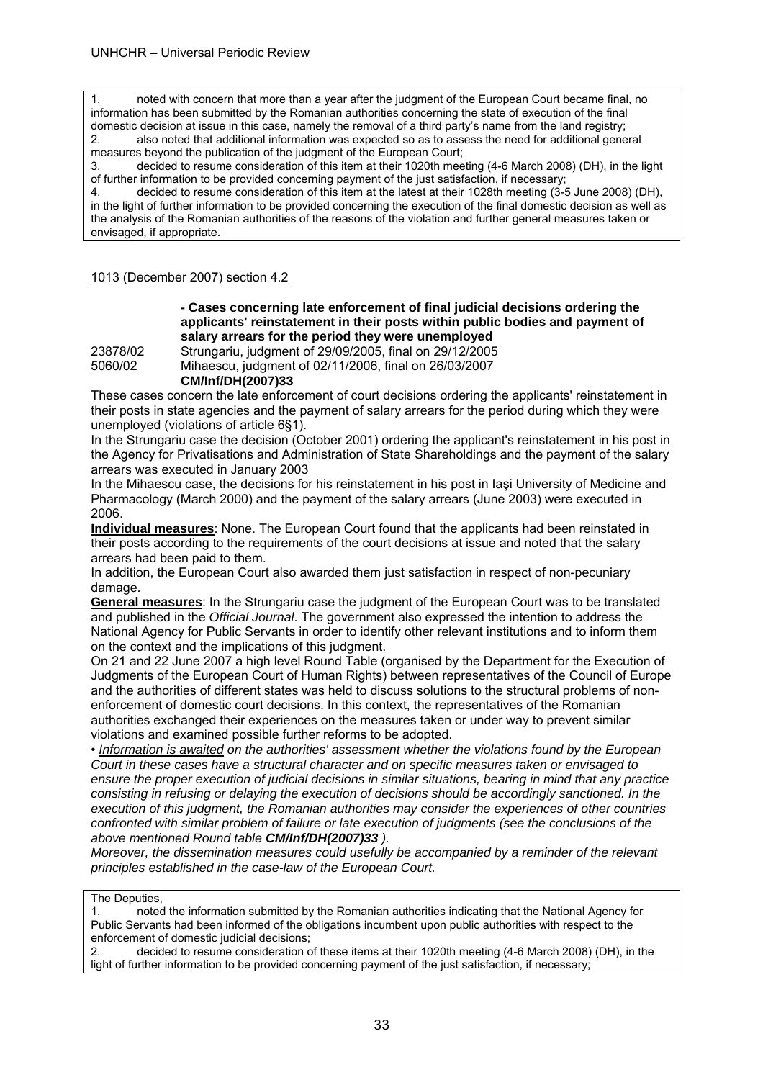1. noted with concern that more than a year after the judgment of the European Court became final, no information has been submitted by the Romanian authorities concerning the state of execution of the final domestic decision at issue in this case, namely the removal of a third party's name from the land registry; 2. also noted that additional information was expected so as to assess the need for additional general

measures beyond the publication of the judgment of the European Court;

3. decided to resume consideration of this item at their 1020th meeting (4-6 March 2008) (DH), in the light of further information to be provided concerning payment of the just satisfaction, if necessary;

4. decided to resume consideration of this item at the latest at their 1028th meeting (3-5 June 2008) (DH), in the light of further information to be provided concerning the execution of the final domestic decision as well as the analysis of the Romanian authorities of the reasons of the violation and further general measures taken or envisaged, if appropriate.

#### 1013 (December 2007) section 4.2

#### **- Cases concerning late enforcement of final judicial decisions ordering the applicants' reinstatement in their posts within public bodies and payment of salary arrears for the period they were unemployed**

23878/02 Strungariu, judgment of 29/09/2005, final on 29/12/2005

5060/02 Mihaescu, judgment of 02/11/2006, final on 26/03/2007

#### **CM/Inf/DH(2007)33**

These cases concern the late enforcement of court decisions ordering the applicants' reinstatement in their posts in state agencies and the payment of salary arrears for the period during which they were unemployed (violations of article 6§1).

In the Strungariu case the decision (October 2001) ordering the applicant's reinstatement in his post in the Agency for Privatisations and Administration of State Shareholdings and the payment of the salary arrears was executed in January 2003

In the Mihaescu case, the decisions for his reinstatement in his post in Iaşi University of Medicine and Pharmacology (March 2000) and the payment of the salary arrears (June 2003) were executed in 2006.

**Individual measures**: None. The European Court found that the applicants had been reinstated in their posts according to the requirements of the court decisions at issue and noted that the salary arrears had been paid to them.

In addition, the European Court also awarded them just satisfaction in respect of non-pecuniary damage.

**General measures**: In the Strungariu case the judgment of the European Court was to be translated and published in the *Official Journal*. The government also expressed the intention to address the National Agency for Public Servants in order to identify other relevant institutions and to inform them on the context and the implications of this judgment.

On 21 and 22 June 2007 a high level Round Table (organised by the Department for the Execution of Judgments of the European Court of Human Rights) between representatives of the Council of Europe and the authorities of different states was held to discuss solutions to the structural problems of nonenforcement of domestic court decisions. In this context, the representatives of the Romanian authorities exchanged their experiences on the measures taken or under way to prevent similar violations and examined possible further reforms to be adopted.

• *Information is awaited on the authorities' assessment whether the violations found by the European Court in these cases have a structural character and on specific measures taken or envisaged to ensure the proper execution of judicial decisions in similar situations, bearing in mind that any practice consisting in refusing or delaying the execution of decisions should be accordingly sanctioned. In the execution of this judgment, the Romanian authorities may consider the experiences of other countries confronted with similar problem of failure or late execution of judgments (see the conclusions of the above mentioned Round table CM/Inf/DH(2007)33 ).* 

*Moreover, the dissemination measures could usefully be accompanied by a reminder of the relevant principles established in the case-law of the European Court.* 

#### The Deputies,

1. noted the information submitted by the Romanian authorities indicating that the National Agency for Public Servants had been informed of the obligations incumbent upon public authorities with respect to the enforcement of domestic judicial decisions;

2. decided to resume consideration of these items at their 1020th meeting (4-6 March 2008) (DH), in the light of further information to be provided concerning payment of the just satisfaction, if necessary;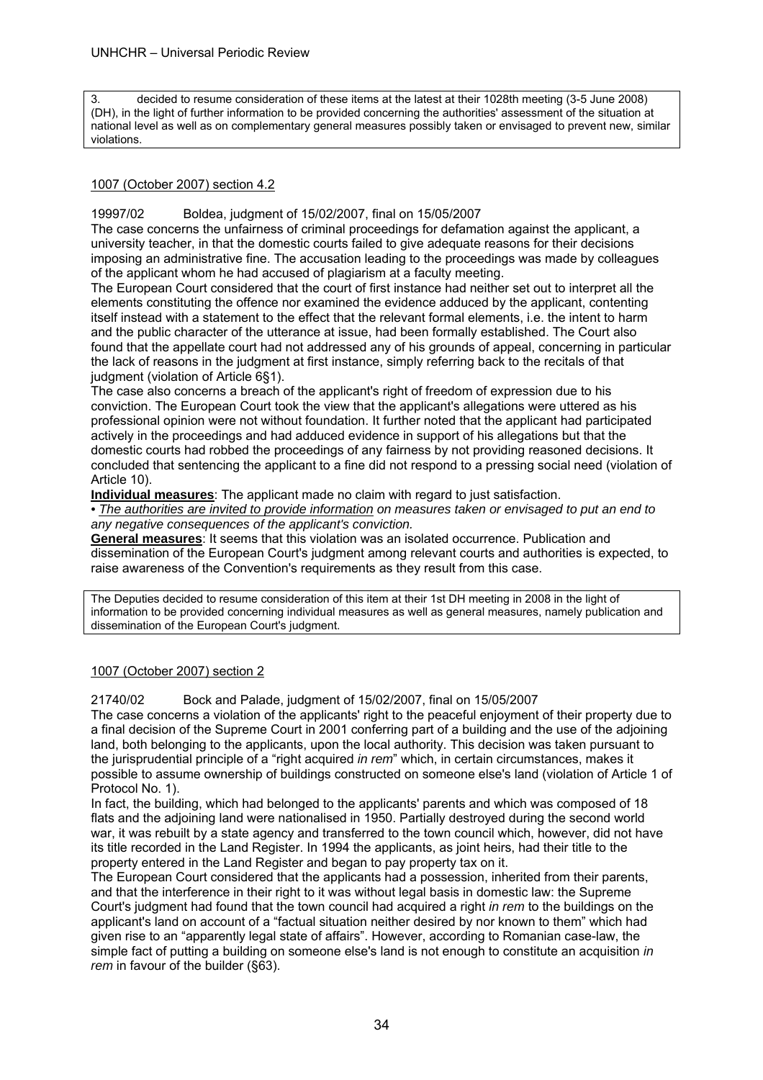3. decided to resume consideration of these items at the latest at their 1028th meeting (3-5 June 2008) (DH), in the light of further information to be provided concerning the authorities' assessment of the situation at national level as well as on complementary general measures possibly taken or envisaged to prevent new, similar violations.

#### 1007 (October 2007) section 4.2

19997/02 Boldea, judgment of 15/02/2007, final on 15/05/2007

The case concerns the unfairness of criminal proceedings for defamation against the applicant, a university teacher, in that the domestic courts failed to give adequate reasons for their decisions imposing an administrative fine. The accusation leading to the proceedings was made by colleagues of the applicant whom he had accused of plagiarism at a faculty meeting.

The European Court considered that the court of first instance had neither set out to interpret all the elements constituting the offence nor examined the evidence adduced by the applicant, contenting itself instead with a statement to the effect that the relevant formal elements, i.e. the intent to harm and the public character of the utterance at issue, had been formally established. The Court also found that the appellate court had not addressed any of his grounds of appeal, concerning in particular the lack of reasons in the judgment at first instance, simply referring back to the recitals of that judgment (violation of Article 6§1).

The case also concerns a breach of the applicant's right of freedom of expression due to his conviction. The European Court took the view that the applicant's allegations were uttered as his professional opinion were not without foundation. It further noted that the applicant had participated actively in the proceedings and had adduced evidence in support of his allegations but that the domestic courts had robbed the proceedings of any fairness by not providing reasoned decisions. It concluded that sentencing the applicant to a fine did not respond to a pressing social need (violation of Article 10).

**Individual measures**: The applicant made no claim with regard to just satisfaction.

*• The authorities are invited to provide information on measures taken or envisaged to put an end to any negative consequences of the applicant's conviction.* 

**General measures**: It seems that this violation was an isolated occurrence. Publication and dissemination of the European Court's judgment among relevant courts and authorities is expected, to raise awareness of the Convention's requirements as they result from this case.

The Deputies decided to resume consideration of this item at their 1st DH meeting in 2008 in the light of information to be provided concerning individual measures as well as general measures, namely publication and dissemination of the European Court's judgment.

#### 1007 (October 2007) section 2

21740/02 Bock and Palade, judgment of 15/02/2007, final on 15/05/2007

The case concerns a violation of the applicants' right to the peaceful enjoyment of their property due to a final decision of the Supreme Court in 2001 conferring part of a building and the use of the adjoining land, both belonging to the applicants, upon the local authority. This decision was taken pursuant to the jurisprudential principle of a "right acquired *in rem*" which, in certain circumstances, makes it possible to assume ownership of buildings constructed on someone else's land (violation of Article 1 of Protocol No. 1).

In fact, the building, which had belonged to the applicants' parents and which was composed of 18 flats and the adjoining land were nationalised in 1950. Partially destroyed during the second world war, it was rebuilt by a state agency and transferred to the town council which, however, did not have its title recorded in the Land Register. In 1994 the applicants, as joint heirs, had their title to the property entered in the Land Register and began to pay property tax on it.

The European Court considered that the applicants had a possession, inherited from their parents, and that the interference in their right to it was without legal basis in domestic law: the Supreme Court's judgment had found that the town council had acquired a right *in rem* to the buildings on the applicant's land on account of a "factual situation neither desired by nor known to them" which had given rise to an "apparently legal state of affairs". However, according to Romanian case-law, the simple fact of putting a building on someone else's land is not enough to constitute an acquisition *in rem* in favour of the builder (§63).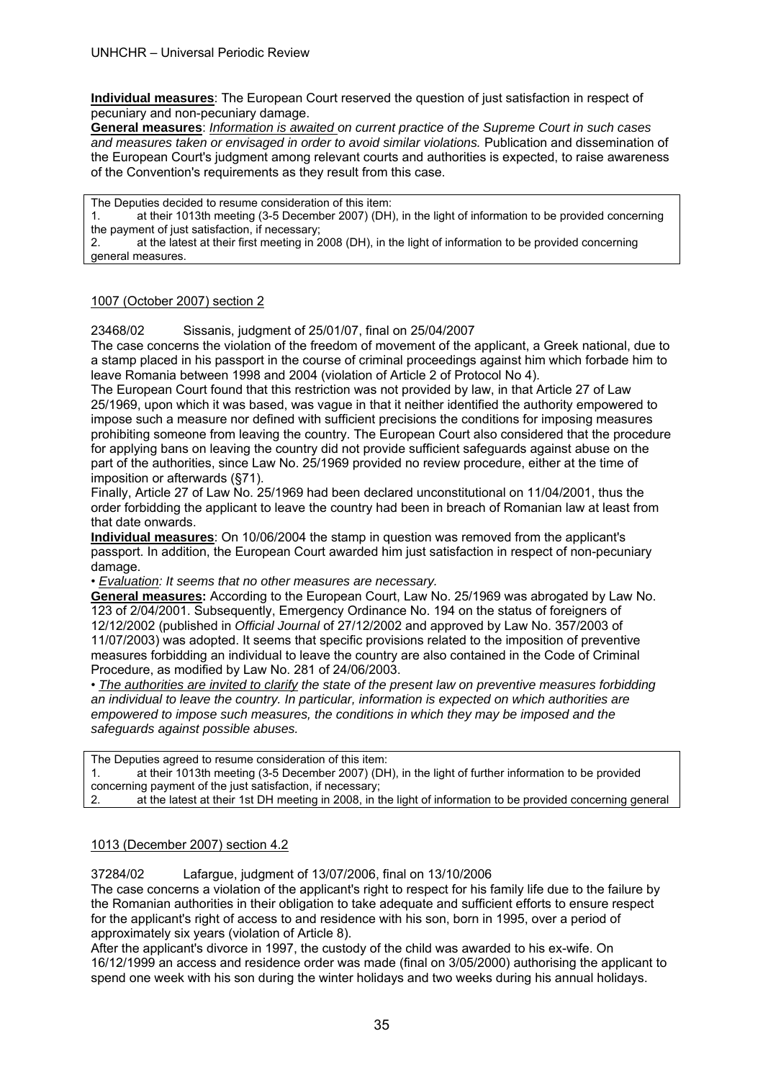**Individual measures**: The European Court reserved the question of just satisfaction in respect of pecuniary and non-pecuniary damage.

**General measures**: *Information is awaited on current practice of the Supreme Court in such cases and measures taken or envisaged in order to avoid similar violations.* Publication and dissemination of the European Court's judgment among relevant courts and authorities is expected, to raise awareness of the Convention's requirements as they result from this case.

The Deputies decided to resume consideration of this item:

1. at their 1013th meeting (3-5 December 2007) (DH), in the light of information to be provided concerning the payment of just satisfaction, if necessary;

2. at the latest at their first meeting in 2008 (DH), in the light of information to be provided concerning general measures.

#### 1007 (October 2007) section 2

23468/02 Sissanis, judgment of 25/01/07, final on 25/04/2007

The case concerns the violation of the freedom of movement of the applicant, a Greek national, due to a stamp placed in his passport in the course of criminal proceedings against him which forbade him to leave Romania between 1998 and 2004 (violation of Article 2 of Protocol No 4).

The European Court found that this restriction was not provided by law, in that Article 27 of Law 25/1969, upon which it was based, was vague in that it neither identified the authority empowered to impose such a measure nor defined with sufficient precisions the conditions for imposing measures prohibiting someone from leaving the country. The European Court also considered that the procedure for applying bans on leaving the country did not provide sufficient safeguards against abuse on the part of the authorities, since Law No. 25/1969 provided no review procedure, either at the time of imposition or afterwards (§71).

Finally, Article 27 of Law No. 25/1969 had been declared unconstitutional on 11/04/2001, thus the order forbidding the applicant to leave the country had been in breach of Romanian law at least from that date onwards.

**Individual measures**: On 10/06/2004 the stamp in question was removed from the applicant's passport. In addition, the European Court awarded him just satisfaction in respect of non-pecuniary damage.

• *Evaluation: It seems that no other measures are necessary.*

**General measures:** According to the European Court, Law No. 25/1969 was abrogated by Law No. 123 of 2/04/2001. Subsequently, Emergency Ordinance No. 194 on the status of foreigners of 12/12/2002 (published in *Official Journal* of 27/12/2002 and approved by Law No. 357/2003 of 11/07/2003) was adopted. It seems that specific provisions related to the imposition of preventive measures forbidding an individual to leave the country are also contained in the Code of Criminal Procedure, as modified by Law No. 281 of 24/06/2003.

• *The authorities are invited to clarify the state of the present law on preventive measures forbidding an individual to leave the country. In particular, information is expected on which authorities are empowered to impose such measures, the conditions in which they may be imposed and the safeguards against possible abuses.* 

The Deputies agreed to resume consideration of this item: 1. at their 1013th meeting (3-5 December 2007) (DH), in the light of further information to be provided concerning payment of the just satisfaction, if necessary; 2. at the latest at their 1st DH meeting in 2008, in the light of information to be provided concerning general

#### 1013 (December 2007) section 4.2

37284/02 Lafargue, judgment of 13/07/2006, final on 13/10/2006

The case concerns a violation of the applicant's right to respect for his family life due to the failure by the Romanian authorities in their obligation to take adequate and sufficient efforts to ensure respect for the applicant's right of access to and residence with his son, born in 1995, over a period of approximately six years (violation of Article 8).

After the applicant's divorce in 1997, the custody of the child was awarded to his ex-wife. On 16/12/1999 an access and residence order was made (final on 3/05/2000) authorising the applicant to spend one week with his son during the winter holidays and two weeks during his annual holidays.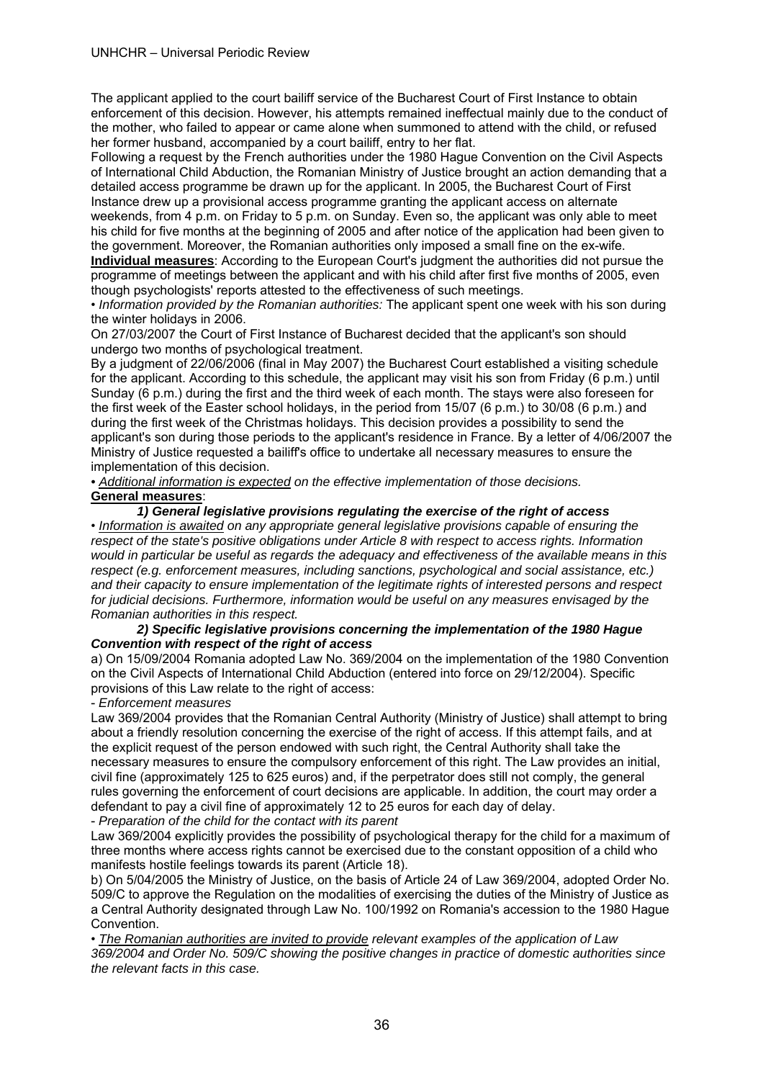The applicant applied to the court bailiff service of the Bucharest Court of First Instance to obtain enforcement of this decision. However, his attempts remained ineffectual mainly due to the conduct of the mother, who failed to appear or came alone when summoned to attend with the child, or refused her former husband, accompanied by a court bailiff, entry to her flat.

Following a request by the French authorities under the 1980 Hague Convention on the Civil Aspects of International Child Abduction, the Romanian Ministry of Justice brought an action demanding that a detailed access programme be drawn up for the applicant. In 2005, the Bucharest Court of First Instance drew up a provisional access programme granting the applicant access on alternate weekends, from 4 p.m. on Friday to 5 p.m. on Sunday. Even so, the applicant was only able to meet his child for five months at the beginning of 2005 and after notice of the application had been given to the government. Moreover, the Romanian authorities only imposed a small fine on the ex-wife.

**Individual measures**: According to the European Court's judgment the authorities did not pursue the programme of meetings between the applicant and with his child after first five months of 2005, even though psychologists' reports attested to the effectiveness of such meetings.

• *Information provided by the Romanian authorities:* The applicant spent one week with his son during the winter holidays in 2006.

On 27/03/2007 the Court of First Instance of Bucharest decided that the applicant's son should undergo two months of psychological treatment.

By a judgment of 22/06/2006 (final in May 2007) the Bucharest Court established a visiting schedule for the applicant. According to this schedule, the applicant may visit his son from Friday (6 p.m.) until Sunday (6 p.m.) during the first and the third week of each month. The stays were also foreseen for the first week of the Easter school holidays, in the period from 15/07 (6 p.m.) to 30/08 (6 p.m.) and during the first week of the Christmas holidays. This decision provides a possibility to send the applicant's son during those periods to the applicant's residence in France. By a letter of 4/06/2007 the Ministry of Justice requested a bailiff's office to undertake all necessary measures to ensure the implementation of this decision.

*• Additional information is expected on the effective implementation of those decisions.*  **General measures**:

*1) General legislative provisions regulating the exercise of the right of access* 

• *Information is awaited on any appropriate general legislative provisions capable of ensuring the respect of the state's positive obligations under Article 8 with respect to access rights. Information would in particular be useful as regards the adequacy and effectiveness of the available means in this respect (e.g. enforcement measures, including sanctions, psychological and social assistance, etc.) and their capacity to ensure implementation of the legitimate rights of interested persons and respect for judicial decisions. Furthermore, information would be useful on any measures envisaged by the Romanian authorities in this respect.* 

#### *2) Specific legislative provisions concerning the implementation of the 1980 Hague Convention with respect of the right of access*

a) On 15/09/2004 Romania adopted Law No. 369/2004 on the implementation of the 1980 Convention on the Civil Aspects of International Child Abduction (entered into force on 29/12/2004). Specific provisions of this Law relate to the right of access:

- *Enforcement measures* 

Law 369/2004 provides that the Romanian Central Authority (Ministry of Justice) shall attempt to bring about a friendly resolution concerning the exercise of the right of access. If this attempt fails, and at the explicit request of the person endowed with such right, the Central Authority shall take the necessary measures to ensure the compulsory enforcement of this right. The Law provides an initial, civil fine (approximately 125 to 625 euros) and, if the perpetrator does still not comply, the general rules governing the enforcement of court decisions are applicable. In addition, the court may order a defendant to pay a civil fine of approximately 12 to 25 euros for each day of delay.

- *Preparation of the child for the contact with its parent* 

Law 369/2004 explicitly provides the possibility of psychological therapy for the child for a maximum of three months where access rights cannot be exercised due to the constant opposition of a child who manifests hostile feelings towards its parent (Article 18).

b) On 5/04/2005 the Ministry of Justice, on the basis of Article 24 of Law 369/2004, adopted Order No. 509/C to approve the Regulation on the modalities of exercising the duties of the Ministry of Justice as a Central Authority designated through Law No. 100/1992 on Romania's accession to the 1980 Hague Convention.

• *The Romanian authorities are invited to provide relevant examples of the application of Law 369/2004 and Order No. 509/C showing the positive changes in practice of domestic authorities since the relevant facts in this case.*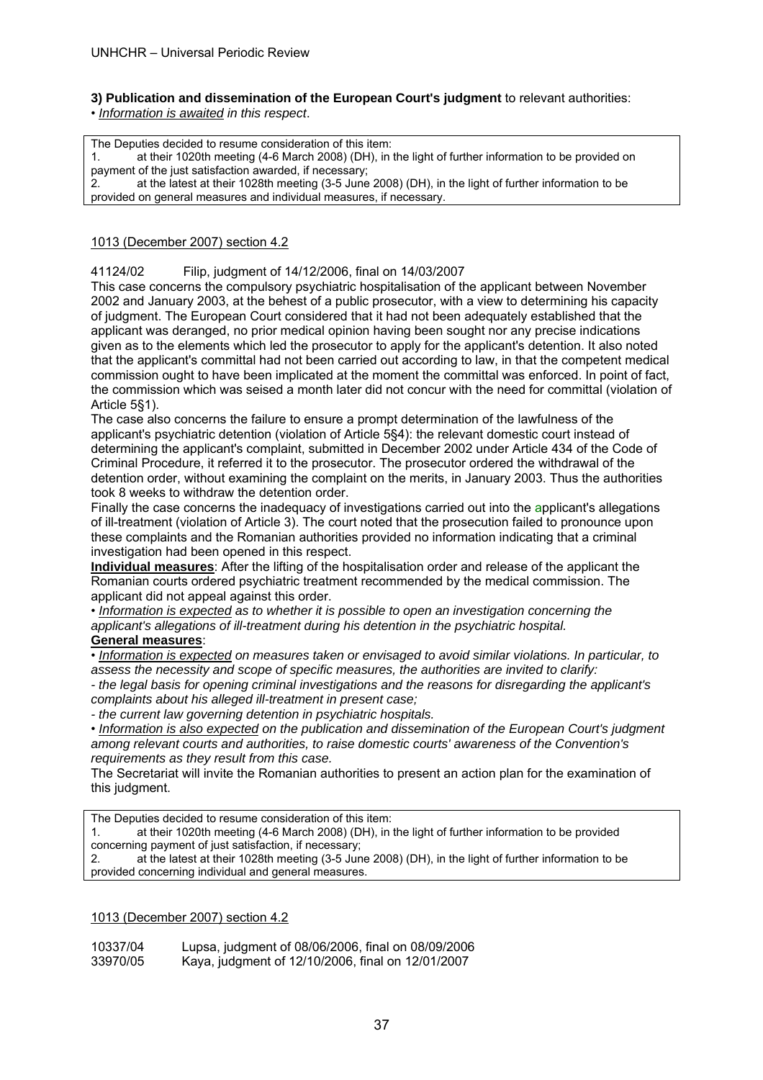#### **3) Publication and dissemination of the European Court's judgment** to relevant authorities:

• *Information is awaited in this respect*.

The Deputies decided to resume consideration of this item: 1. at their 1020th meeting (4-6 March 2008) (DH), in the light of further information to be provided on payment of the just satisfaction awarded, if necessary; 2. at the latest at their 1028th meeting (3-5 June 2008) (DH), in the light of further information to be provided on general measures and individual measures, if necessary.

#### 1013 (December 2007) section 4.2

41124/02 Filip, judgment of 14/12/2006, final on 14/03/2007

This case concerns the compulsory psychiatric hospitalisation of the applicant between November 2002 and January 2003, at the behest of a public prosecutor, with a view to determining his capacity of judgment. The European Court considered that it had not been adequately established that the applicant was deranged, no prior medical opinion having been sought nor any precise indications given as to the elements which led the prosecutor to apply for the applicant's detention. It also noted that the applicant's committal had not been carried out according to law, in that the competent medical commission ought to have been implicated at the moment the committal was enforced. In point of fact, the commission which was seised a month later did not concur with the need for committal (violation of Article 5§1).

The case also concerns the failure to ensure a prompt determination of the lawfulness of the applicant's psychiatric detention (violation of Article 5§4): the relevant domestic court instead of determining the applicant's complaint, submitted in December 2002 under Article 434 of the Code of Criminal Procedure, it referred it to the prosecutor. The prosecutor ordered the withdrawal of the detention order, without examining the complaint on the merits, in January 2003. Thus the authorities took 8 weeks to withdraw the detention order.

Finally the case concerns the inadequacy of investigations carried out into the applicant's allegations of ill-treatment (violation of Article 3). The court noted that the prosecution failed to pronounce upon these complaints and the Romanian authorities provided no information indicating that a criminal investigation had been opened in this respect.

**Individual measures**: After the lifting of the hospitalisation order and release of the applicant the Romanian courts ordered psychiatric treatment recommended by the medical commission. The applicant did not appeal against this order.

• *Information is expected as to whether it is possible to open an investigation concerning the applicant's allegations of ill-treatment during his detention in the psychiatric hospital.* 

### **General measures**:

• *Information is expected on measures taken or envisaged to avoid similar violations. In particular, to assess the necessity and scope of specific measures, the authorities are invited to clarify:* 

*- the legal basis for opening criminal investigations and the reasons for disregarding the applicant's complaints about his alleged ill-treatment in present case;* 

*- the current law governing detention in psychiatric hospitals.* 

• *Information is also expected on the publication and dissemination of the European Court's judgment among relevant courts and authorities, to raise domestic courts' awareness of the Convention's requirements as they result from this case.* 

The Secretariat will invite the Romanian authorities to present an action plan for the examination of this judgment.

The Deputies decided to resume consideration of this item:

1. at their 1020th meeting (4-6 March 2008) (DH), in the light of further information to be provided concerning payment of just satisfaction, if necessary;

2. at the latest at their 1028th meeting (3-5 June 2008) (DH), in the light of further information to be provided concerning individual and general measures.

#### 1013 (December 2007) section 4.2

| 10337/04 | Lupsa, judgment of 08/06/2006, final on 08/09/2006 |
|----------|----------------------------------------------------|
| 33970/05 | Kaya, judgment of 12/10/2006, final on 12/01/2007  |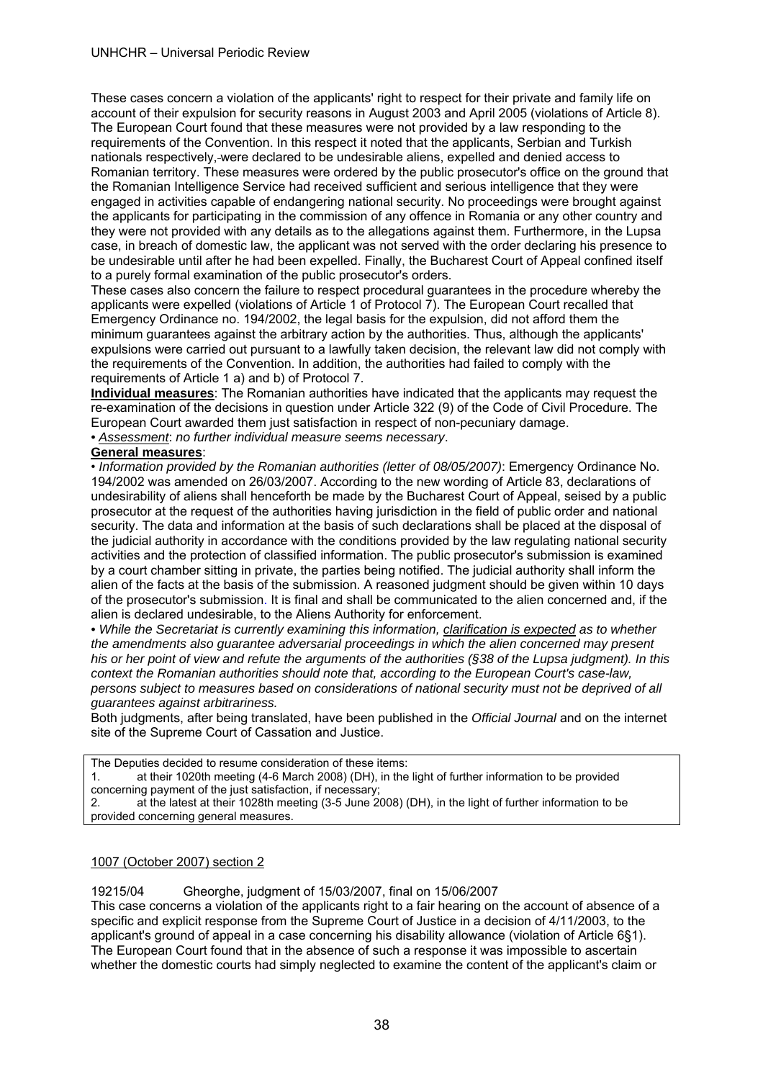These cases concern a violation of the applicants' right to respect for their private and family life on account of their expulsion for security reasons in August 2003 and April 2005 (violations of Article 8). The European Court found that these measures were not provided by a law responding to the requirements of the Convention. In this respect it noted that the applicants, Serbian and Turkish nationals respectively, were declared to be undesirable aliens, expelled and denied access to Romanian territory. These measures were ordered by the public prosecutor's office on the ground that the Romanian Intelligence Service had received sufficient and serious intelligence that they were engaged in activities capable of endangering national security. No proceedings were brought against the applicants for participating in the commission of any offence in Romania or any other country and they were not provided with any details as to the allegations against them. Furthermore, in the Lupsa case, in breach of domestic law, the applicant was not served with the order declaring his presence to be undesirable until after he had been expelled. Finally, the Bucharest Court of Appeal confined itself to a purely formal examination of the public prosecutor's orders.

These cases also concern the failure to respect procedural guarantees in the procedure whereby the applicants were expelled (violations of Article 1 of Protocol 7). The European Court recalled that Emergency Ordinance no. 194/2002, the legal basis for the expulsion, did not afford them the minimum guarantees against the arbitrary action by the authorities. Thus, although the applicants' expulsions were carried out pursuant to a lawfully taken decision, the relevant law did not comply with the requirements of the Convention. In addition, the authorities had failed to comply with the requirements of Article 1 a) and b) of Protocol 7.

**Individual measures**: The Romanian authorities have indicated that the applicants may request the re-examination of the decisions in question under Article 322 (9) of the Code of Civil Procedure. The European Court awarded them just satisfaction in respect of non-pecuniary damage.

*• Assessment*: *no further individual measure seems necessary*.

#### **General measures**:

• *Information provided by the Romanian authorities (letter of 08/05/2007)*: Emergency Ordinance No. 194/2002 was amended on 26/03/2007. According to the new wording of Article 83, declarations of undesirability of aliens shall henceforth be made by the Bucharest Court of Appeal, seised by a public prosecutor at the request of the authorities having jurisdiction in the field of public order and national security. The data and information at the basis of such declarations shall be placed at the disposal of the judicial authority in accordance with the conditions provided by the law regulating national security activities and the protection of classified information. The public prosecutor's submission is examined by a court chamber sitting in private, the parties being notified. The judicial authority shall inform the alien of the facts at the basis of the submission. A reasoned judgment should be given within 10 days of the prosecutor's submission. It is final and shall be communicated to the alien concerned and, if the alien is declared undesirable, to the Aliens Authority for enforcement.

*• While the Secretariat is currently examining this information, clarification is expected as to whether the amendments also guarantee adversarial proceedings in which the alien concerned may present his or her point of view and refute the arguments of the authorities (§38 of the Lupsa judgment). In this context the Romanian authorities should note that, according to the European Court's case-law, persons subject to measures based on considerations of national security must not be deprived of all guarantees against arbitrariness.* 

Both judgments, after being translated, have been published in the *Official Journal* and on the internet site of the Supreme Court of Cassation and Justice.

The Deputies decided to resume consideration of these items:

1. at their 1020th meeting (4-6 March 2008) (DH), in the light of further information to be provided concerning payment of the just satisfaction, if necessary;

2. at the latest at their 1028th meeting (3-5 June 2008) (DH), in the light of further information to be provided concerning general measures.

#### 1007 (October 2007) section 2

#### 19215/04 Gheorghe, judgment of 15/03/2007, final on 15/06/2007

This case concerns a violation of the applicants right to a fair hearing on the account of absence of a specific and explicit response from the Supreme Court of Justice in a decision of 4/11/2003, to the applicant's ground of appeal in a case concerning his disability allowance (violation of Article 6§1). The European Court found that in the absence of such a response it was impossible to ascertain whether the domestic courts had simply neglected to examine the content of the applicant's claim or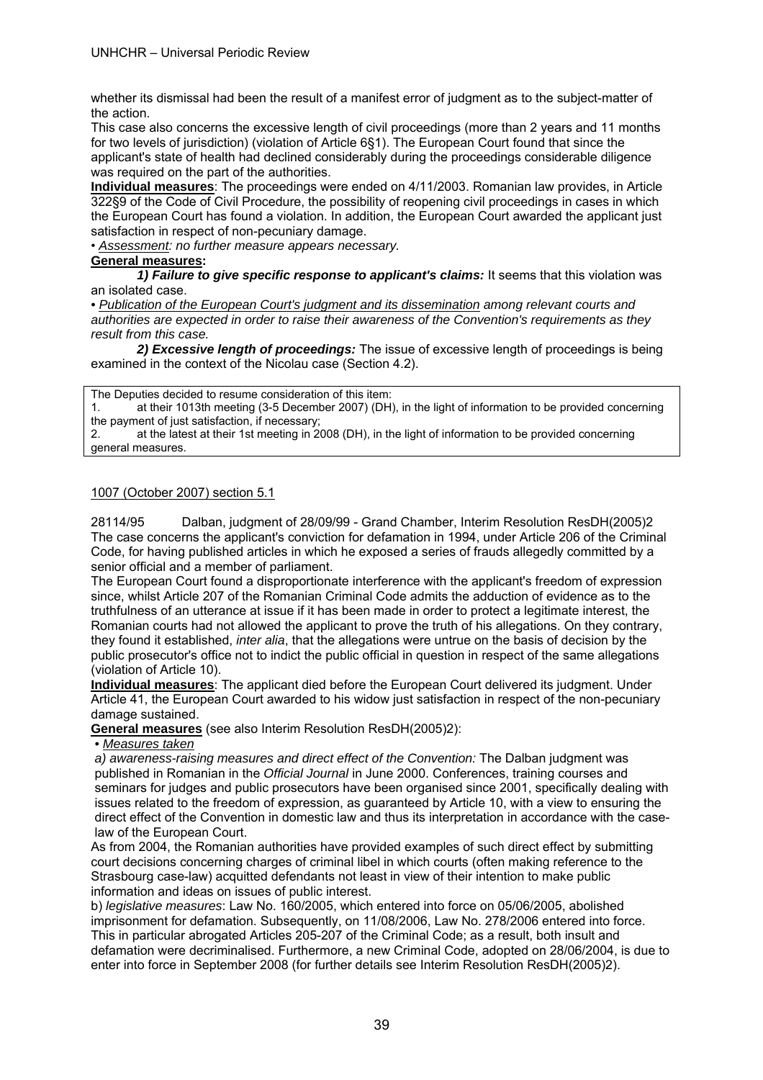whether its dismissal had been the result of a manifest error of judgment as to the subject-matter of the action.

This case also concerns the excessive length of civil proceedings (more than 2 years and 11 months for two levels of jurisdiction) (violation of Article 6§1). The European Court found that since the applicant's state of health had declined considerably during the proceedings considerable diligence was required on the part of the authorities.

**Individual measures**: The proceedings were ended on 4/11/2003. Romanian law provides, in Article 322§9 of the Code of Civil Procedure, the possibility of reopening civil proceedings in cases in which the European Court has found a violation. In addition, the European Court awarded the applicant just satisfaction in respect of non-pecuniary damage.

• *Assessment: no further measure appears necessary.*

#### **General measures:**

 *1) Failure to give specific response to applicant's claims:* It seems that this violation was an isolated case.

*• Publication of the European Court's judgment and its dissemination among relevant courts and authorities are expected in order to raise their awareness of the Convention's requirements as they result from this case.* 

 *2) Excessive length of proceedings:* The issue of excessive length of proceedings is being examined in the context of the Nicolau case (Section 4.2).

The Deputies decided to resume consideration of this item:

1. at their 1013th meeting (3-5 December 2007) (DH), in the light of information to be provided concerning the payment of just satisfaction, if necessary;

2. at the latest at their 1st meeting in 2008 (DH), in the light of information to be provided concerning general measures.

#### 1007 (October 2007) section 5.1

28114/95 Dalban, judgment of 28/09/99 - Grand Chamber, Interim Resolution ResDH(2005)2 The case concerns the applicant's conviction for defamation in 1994, under Article 206 of the Criminal Code, for having published articles in which he exposed a series of frauds allegedly committed by a senior official and a member of parliament.

The European Court found a disproportionate interference with the applicant's freedom of expression since, whilst Article 207 of the Romanian Criminal Code admits the adduction of evidence as to the truthfulness of an utterance at issue if it has been made in order to protect a legitimate interest, the Romanian courts had not allowed the applicant to prove the truth of his allegations. On they contrary, they found it established, *inter alia*, that the allegations were untrue on the basis of decision by the public prosecutor's office not to indict the public official in question in respect of the same allegations (violation of Article 10).

**Individual measures**: The applicant died before the European Court delivered its judgment. Under Article 41, the European Court awarded to his widow just satisfaction in respect of the non-pecuniary damage sustained.

**General measures** (see also Interim Resolution ResDH(2005)2):

*• Measures taken* 

*a) awareness-raising measures and direct effect of the Convention:* The Dalban judgment was published in Romanian in the *Official Journal* in June 2000. Conferences, training courses and seminars for judges and public prosecutors have been organised since 2001, specifically dealing with issues related to the freedom of expression, as guaranteed by Article 10, with a view to ensuring the direct effect of the Convention in domestic law and thus its interpretation in accordance with the caselaw of the European Court.

As from 2004, the Romanian authorities have provided examples of such direct effect by submitting court decisions concerning charges of criminal libel in which courts (often making reference to the Strasbourg case-law) acquitted defendants not least in view of their intention to make public information and ideas on issues of public interest.

b) *legislative measures*: Law No. 160/2005, which entered into force on 05/06/2005, abolished imprisonment for defamation. Subsequently, on 11/08/2006, Law No. 278/2006 entered into force. This in particular abrogated Articles 205-207 of the Criminal Code; as a result, both insult and defamation were decriminalised. Furthermore, a new Criminal Code, adopted on 28/06/2004, is due to enter into force in September 2008 (for further details see Interim Resolution ResDH(2005)2).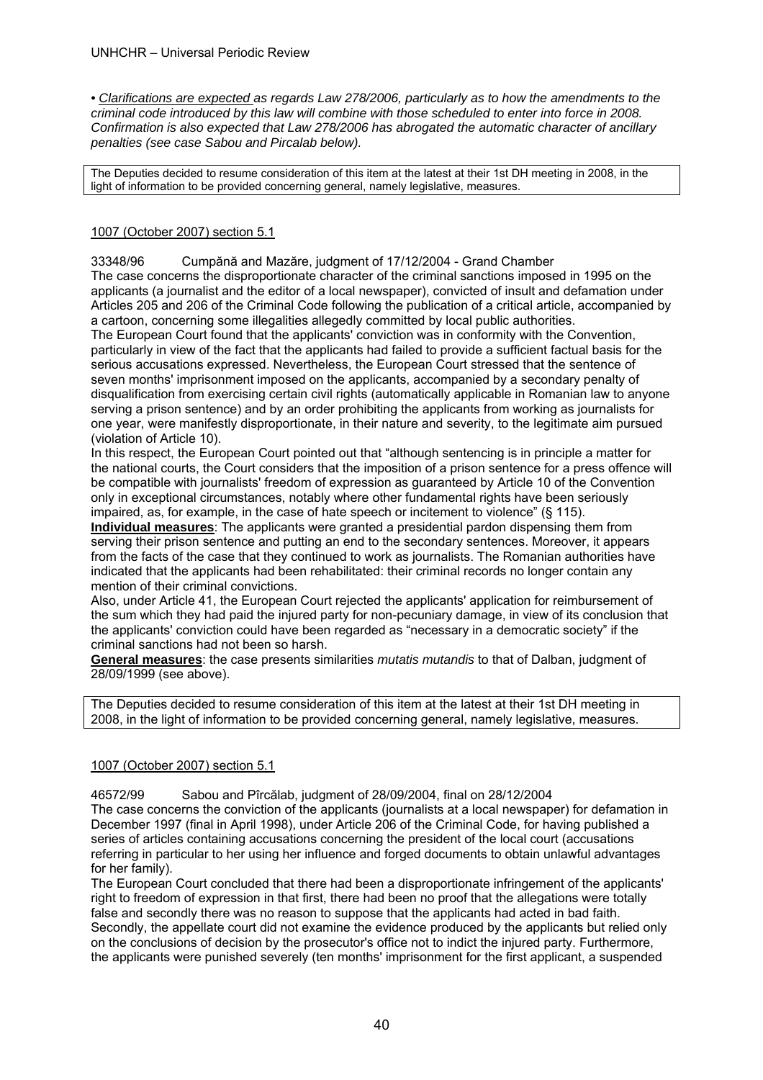*• Clarifications are expected as regards Law 278/2006, particularly as to how the amendments to the criminal code introduced by this law will combine with those scheduled to enter into force in 2008. Confirmation is also expected that Law 278/2006 has abrogated the automatic character of ancillary penalties (see case Sabou and Pircalab below).* 

The Deputies decided to resume consideration of this item at the latest at their 1st DH meeting in 2008, in the light of information to be provided concerning general, namely legislative, measures.

### 1007 (October 2007) section 5.1

33348/96 Cumpănă and Mazăre, judgment of 17/12/2004 - Grand Chamber The case concerns the disproportionate character of the criminal sanctions imposed in 1995 on the applicants (a journalist and the editor of a local newspaper), convicted of insult and defamation under Articles 205 and 206 of the Criminal Code following the publication of a critical article, accompanied by a cartoon, concerning some illegalities allegedly committed by local public authorities.

The European Court found that the applicants' conviction was in conformity with the Convention, particularly in view of the fact that the applicants had failed to provide a sufficient factual basis for the serious accusations expressed. Nevertheless, the European Court stressed that the sentence of seven months' imprisonment imposed on the applicants, accompanied by a secondary penalty of disqualification from exercising certain civil rights (automatically applicable in Romanian law to anyone serving a prison sentence) and by an order prohibiting the applicants from working as journalists for one year, were manifestly disproportionate, in their nature and severity, to the legitimate aim pursued (violation of Article 10).

In this respect, the European Court pointed out that "although sentencing is in principle a matter for the national courts, the Court considers that the imposition of a prison sentence for a press offence will be compatible with journalists' freedom of expression as guaranteed by Article 10 of the Convention only in exceptional circumstances, notably where other fundamental rights have been seriously impaired, as, for example, in the case of hate speech or incitement to violence" (§ 115).

**Individual measures**: The applicants were granted a presidential pardon dispensing them from serving their prison sentence and putting an end to the secondary sentences. Moreover, it appears from the facts of the case that they continued to work as journalists. The Romanian authorities have indicated that the applicants had been rehabilitated: their criminal records no longer contain any mention of their criminal convictions.

Also, under Article 41, the European Court rejected the applicants' application for reimbursement of the sum which they had paid the injured party for non-pecuniary damage, in view of its conclusion that the applicants' conviction could have been regarded as "necessary in a democratic society" if the criminal sanctions had not been so harsh.

**General measures**: the case presents similarities *mutatis mutandis* to that of Dalban, judgment of 28/09/1999 (see above).

The Deputies decided to resume consideration of this item at the latest at their 1st DH meeting in 2008, in the light of information to be provided concerning general, namely legislative, measures.

#### 1007 (October 2007) section 5.1

46572/99 Sabou and Pîrcălab, judgment of 28/09/2004, final on 28/12/2004

The case concerns the conviction of the applicants (journalists at a local newspaper) for defamation in December 1997 (final in April 1998), under Article 206 of the Criminal Code, for having published a series of articles containing accusations concerning the president of the local court (accusations referring in particular to her using her influence and forged documents to obtain unlawful advantages for her family).

The European Court concluded that there had been a disproportionate infringement of the applicants' right to freedom of expression in that first, there had been no proof that the allegations were totally false and secondly there was no reason to suppose that the applicants had acted in bad faith. Secondly, the appellate court did not examine the evidence produced by the applicants but relied only on the conclusions of decision by the prosecutor's office not to indict the injured party. Furthermore, the applicants were punished severely (ten months' imprisonment for the first applicant, a suspended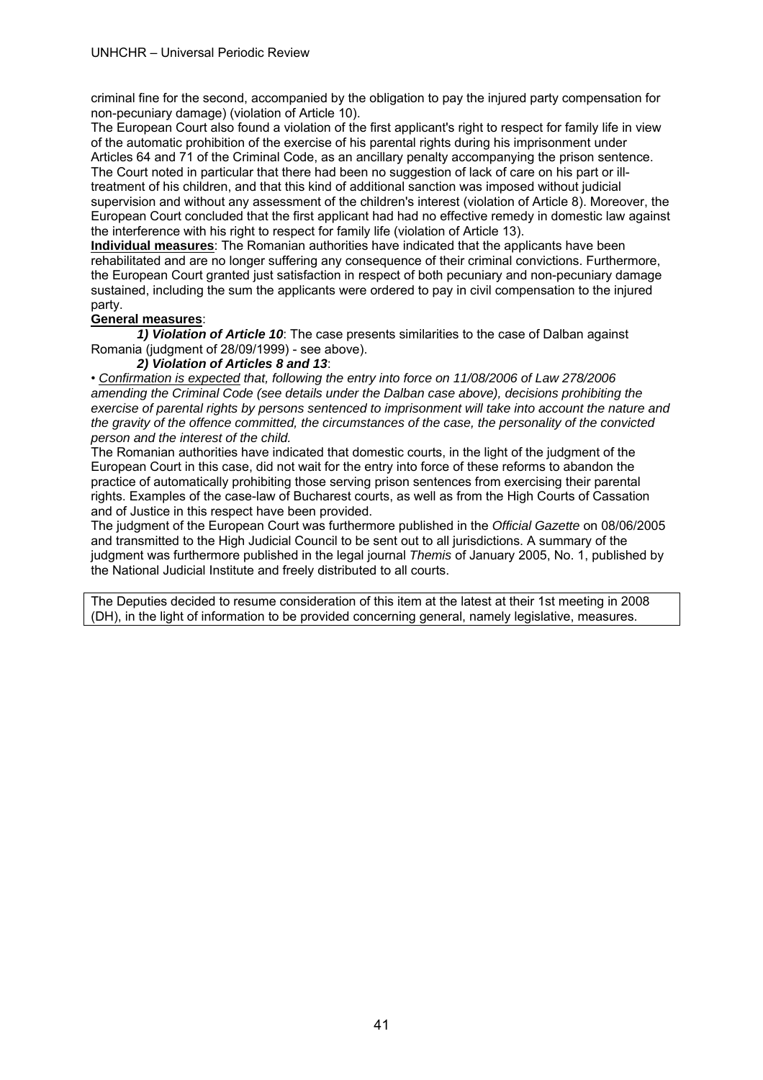criminal fine for the second, accompanied by the obligation to pay the injured party compensation for non-pecuniary damage) (violation of Article 10).

The European Court also found a violation of the first applicant's right to respect for family life in view of the automatic prohibition of the exercise of his parental rights during his imprisonment under Articles 64 and 71 of the Criminal Code, as an ancillary penalty accompanying the prison sentence. The Court noted in particular that there had been no suggestion of lack of care on his part or illtreatment of his children, and that this kind of additional sanction was imposed without judicial supervision and without any assessment of the children's interest (violation of Article 8). Moreover, the European Court concluded that the first applicant had had no effective remedy in domestic law against the interference with his right to respect for family life (violation of Article 13).

**Individual measures**: The Romanian authorities have indicated that the applicants have been rehabilitated and are no longer suffering any consequence of their criminal convictions. Furthermore, the European Court granted just satisfaction in respect of both pecuniary and non-pecuniary damage sustained, including the sum the applicants were ordered to pay in civil compensation to the injured party.

#### **General measures**:

*1) Violation of Article 10*: The case presents similarities to the case of Dalban against Romania (judgment of 28/09/1999) - see above).

#### *2) Violation of Articles 8 and 13*:

• *Confirmation is expected that, following the entry into force on 11/08/2006 of Law 278/2006 amending the Criminal Code (see details under the Dalban case above), decisions prohibiting the exercise of parental rights by persons sentenced to imprisonment will take into account the nature and the gravity of the offence committed, the circumstances of the case, the personality of the convicted person and the interest of the child.*

The Romanian authorities have indicated that domestic courts, in the light of the judgment of the European Court in this case, did not wait for the entry into force of these reforms to abandon the practice of automatically prohibiting those serving prison sentences from exercising their parental rights. Examples of the case-law of Bucharest courts, as well as from the High Courts of Cassation and of Justice in this respect have been provided.

The judgment of the European Court was furthermore published in the *Official Gazette* on 08/06/2005 and transmitted to the High Judicial Council to be sent out to all jurisdictions. A summary of the judgment was furthermore published in the legal journal *Themis* of January 2005, No. 1, published by the National Judicial Institute and freely distributed to all courts.

The Deputies decided to resume consideration of this item at the latest at their 1st meeting in 2008 (DH), in the light of information to be provided concerning general, namely legislative, measures.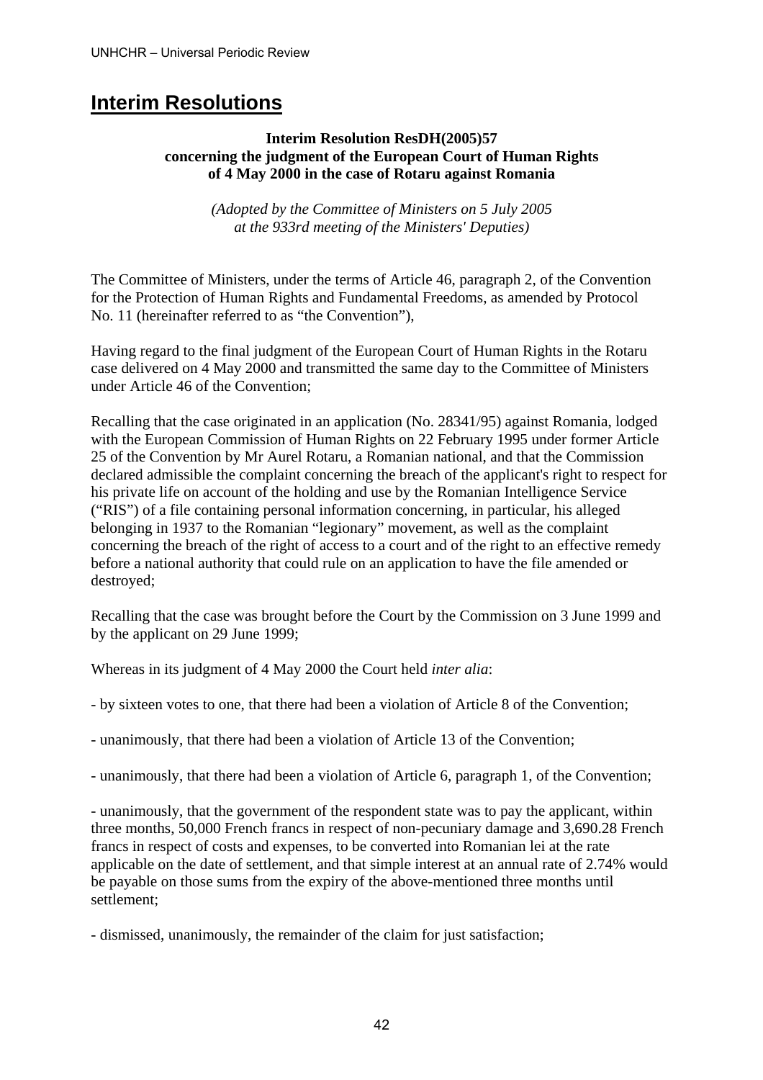# **Interim Resolutions**

# **Interim Resolution ResDH(2005)57 concerning the judgment of the European Court of Human Rights of 4 May 2000 in the case of Rotaru against Romania**

*(Adopted by the Committee of Ministers on 5 July 2005 at the 933rd meeting of the Ministers' Deputies)* 

The Committee of Ministers, under the terms of Article 46, paragraph 2, of the Convention for the Protection of Human Rights and Fundamental Freedoms, as amended by Protocol No. 11 (hereinafter referred to as "the Convention"),

Having regard to the final judgment of the European Court of Human Rights in the Rotaru case delivered on 4 May 2000 and transmitted the same day to the Committee of Ministers under Article 46 of the Convention;

Recalling that the case originated in an application (No. 28341/95) against Romania, lodged with the European Commission of Human Rights on 22 February 1995 under former Article 25 of the Convention by Mr Aurel Rotaru, a Romanian national, and that the Commission declared admissible the complaint concerning the breach of the applicant's right to respect for his private life on account of the holding and use by the Romanian Intelligence Service ("RIS") of a file containing personal information concerning, in particular, his alleged belonging in 1937 to the Romanian "legionary" movement, as well as the complaint concerning the breach of the right of access to a court and of the right to an effective remedy before a national authority that could rule on an application to have the file amended or destroyed;

Recalling that the case was brought before the Court by the Commission on 3 June 1999 and by the applicant on 29 June 1999;

Whereas in its judgment of 4 May 2000 the Court held *inter alia*:

- by sixteen votes to one, that there had been a violation of Article 8 of the Convention;
- unanimously, that there had been a violation of Article 13 of the Convention;
- unanimously, that there had been a violation of Article 6, paragraph 1, of the Convention;

- unanimously, that the government of the respondent state was to pay the applicant, within three months, 50,000 French francs in respect of non-pecuniary damage and 3,690.28 French francs in respect of costs and expenses, to be converted into Romanian lei at the rate applicable on the date of settlement, and that simple interest at an annual rate of 2.74% would be payable on those sums from the expiry of the above-mentioned three months until settlement;

- dismissed, unanimously, the remainder of the claim for just satisfaction;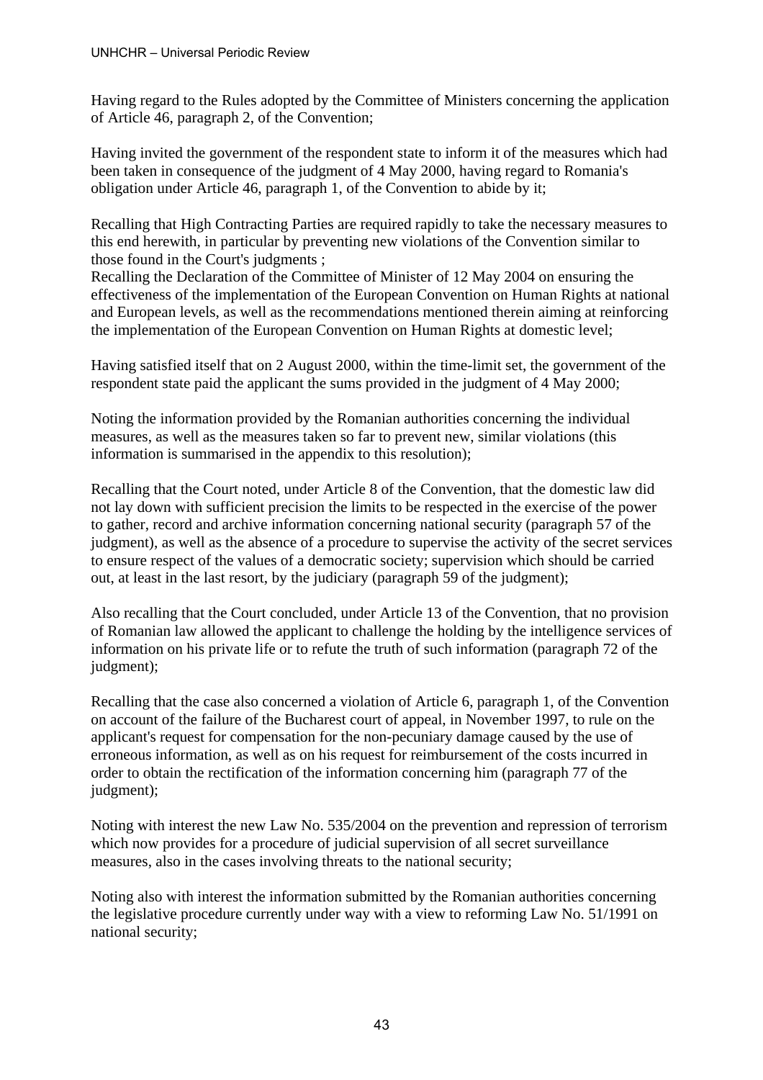Having regard to the Rules adopted by the Committee of Ministers concerning the application of Article 46, paragraph 2, of the Convention;

Having invited the government of the respondent state to inform it of the measures which had been taken in consequence of the judgment of 4 May 2000, having regard to Romania's obligation under Article 46, paragraph 1, of the Convention to abide by it;

Recalling that High Contracting Parties are required rapidly to take the necessary measures to this end herewith, in particular by preventing new violations of the Convention similar to those found in the Court's judgments ;

Recalling the Declaration of the Committee of Minister of 12 May 2004 on ensuring the effectiveness of the implementation of the European Convention on Human Rights at national and European levels, as well as the recommendations mentioned therein aiming at reinforcing the implementation of the European Convention on Human Rights at domestic level;

Having satisfied itself that on 2 August 2000, within the time-limit set, the government of the respondent state paid the applicant the sums provided in the judgment of 4 May 2000;

Noting the information provided by the Romanian authorities concerning the individual measures, as well as the measures taken so far to prevent new, similar violations (this information is summarised in the appendix to this resolution);

Recalling that the Court noted, under Article 8 of the Convention, that the domestic law did not lay down with sufficient precision the limits to be respected in the exercise of the power to gather, record and archive information concerning national security (paragraph 57 of the judgment), as well as the absence of a procedure to supervise the activity of the secret services to ensure respect of the values of a democratic society; supervision which should be carried out, at least in the last resort, by the judiciary (paragraph 59 of the judgment);

Also recalling that the Court concluded, under Article 13 of the Convention, that no provision of Romanian law allowed the applicant to challenge the holding by the intelligence services of information on his private life or to refute the truth of such information (paragraph 72 of the judgment);

Recalling that the case also concerned a violation of Article 6, paragraph 1, of the Convention on account of the failure of the Bucharest court of appeal, in November 1997, to rule on the applicant's request for compensation for the non-pecuniary damage caused by the use of erroneous information, as well as on his request for reimbursement of the costs incurred in order to obtain the rectification of the information concerning him (paragraph 77 of the judgment);

Noting with interest the new Law No. 535/2004 on the prevention and repression of terrorism which now provides for a procedure of judicial supervision of all secret surveillance measures, also in the cases involving threats to the national security;

Noting also with interest the information submitted by the Romanian authorities concerning the legislative procedure currently under way with a view to reforming Law No. 51/1991 on national security;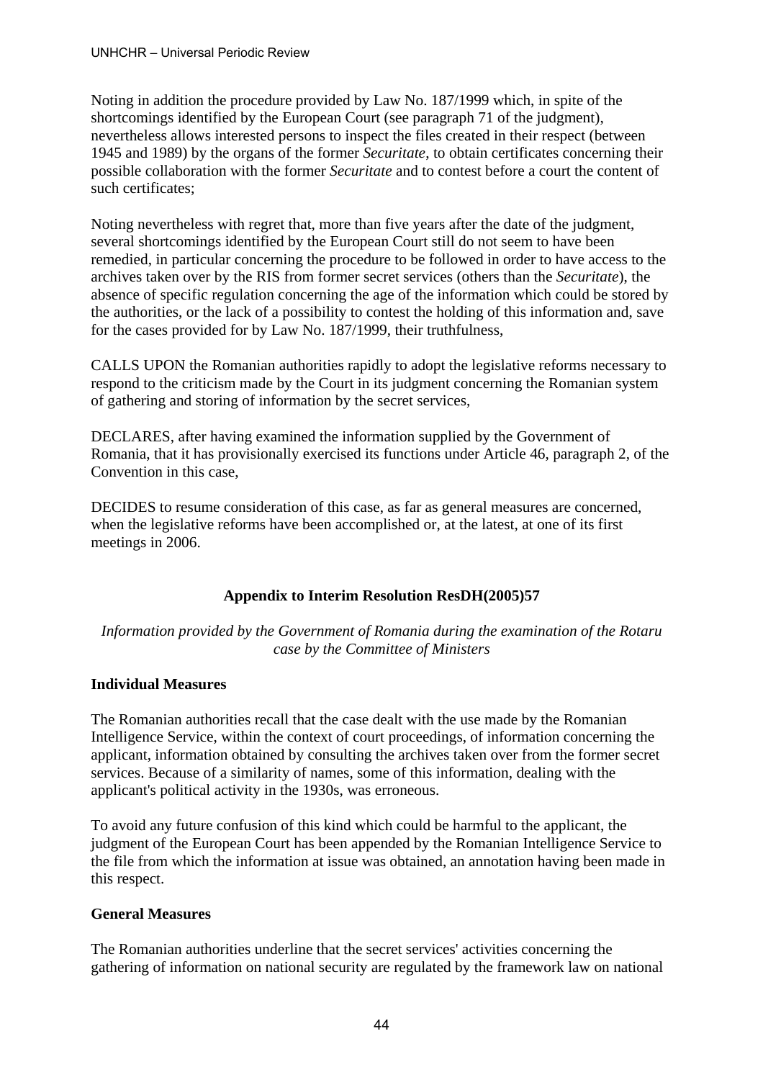Noting in addition the procedure provided by Law No. 187/1999 which, in spite of the shortcomings identified by the European Court (see paragraph 71 of the judgment), nevertheless allows interested persons to inspect the files created in their respect (between 1945 and 1989) by the organs of the former *Securitate*, to obtain certificates concerning their possible collaboration with the former *Securitate* and to contest before a court the content of such certificates;

Noting nevertheless with regret that, more than five years after the date of the judgment, several shortcomings identified by the European Court still do not seem to have been remedied, in particular concerning the procedure to be followed in order to have access to the archives taken over by the RIS from former secret services (others than the *Securitate*), the absence of specific regulation concerning the age of the information which could be stored by the authorities, or the lack of a possibility to contest the holding of this information and, save for the cases provided for by Law No. 187/1999, their truthfulness,

CALLS UPON the Romanian authorities rapidly to adopt the legislative reforms necessary to respond to the criticism made by the Court in its judgment concerning the Romanian system of gathering and storing of information by the secret services,

DECLARES, after having examined the information supplied by the Government of Romania, that it has provisionally exercised its functions under Article 46, paragraph 2, of the Convention in this case,

DECIDES to resume consideration of this case, as far as general measures are concerned, when the legislative reforms have been accomplished or, at the latest, at one of its first meetings in 2006.

# **Appendix to Interim Resolution ResDH(2005)57**

*Information provided by the Government of Romania during the examination of the Rotaru case by the Committee of Ministers* 

# **Individual Measures**

The Romanian authorities recall that the case dealt with the use made by the Romanian Intelligence Service, within the context of court proceedings, of information concerning the applicant, information obtained by consulting the archives taken over from the former secret services. Because of a similarity of names, some of this information, dealing with the applicant's political activity in the 1930s, was erroneous.

To avoid any future confusion of this kind which could be harmful to the applicant, the judgment of the European Court has been appended by the Romanian Intelligence Service to the file from which the information at issue was obtained, an annotation having been made in this respect.

# **General Measures**

The Romanian authorities underline that the secret services' activities concerning the gathering of information on national security are regulated by the framework law on national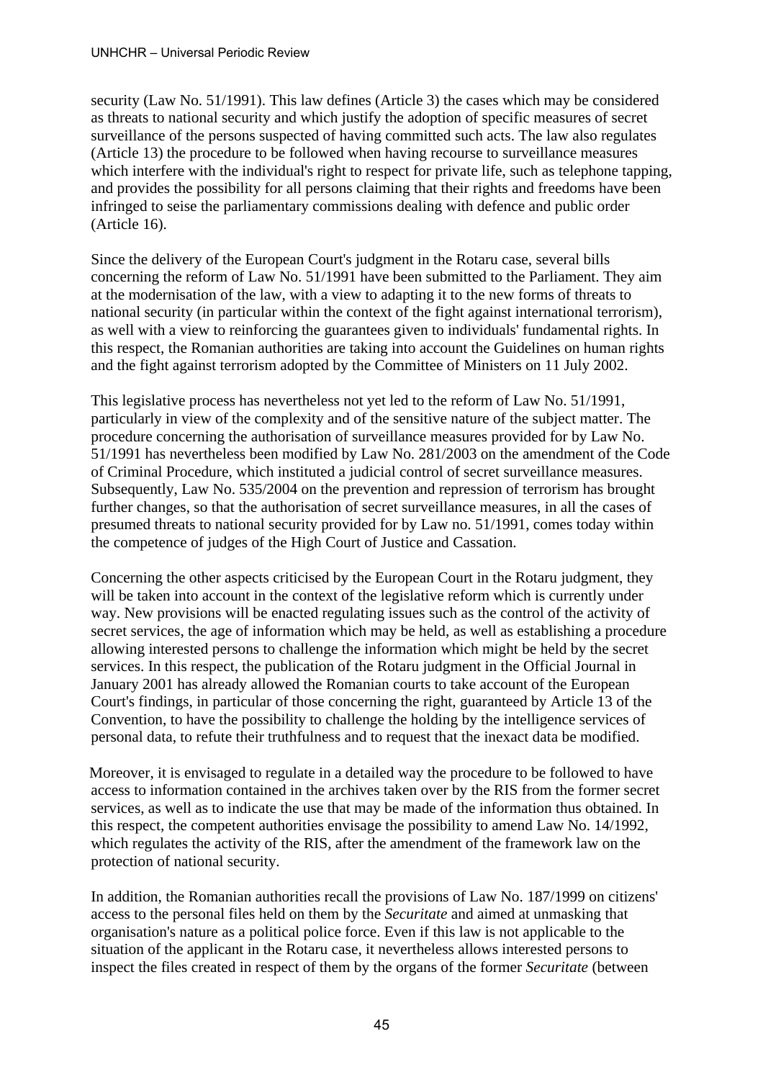security (Law No. 51/1991). This law defines (Article 3) the cases which may be considered as threats to national security and which justify the adoption of specific measures of secret surveillance of the persons suspected of having committed such acts. The law also regulates (Article 13) the procedure to be followed when having recourse to surveillance measures which interfere with the individual's right to respect for private life, such as telephone tapping, and provides the possibility for all persons claiming that their rights and freedoms have been infringed to seise the parliamentary commissions dealing with defence and public order (Article 16).

Since the delivery of the European Court's judgment in the Rotaru case, several bills concerning the reform of Law No. 51/1991 have been submitted to the Parliament. They aim at the modernisation of the law, with a view to adapting it to the new forms of threats to national security (in particular within the context of the fight against international terrorism), as well with a view to reinforcing the guarantees given to individuals' fundamental rights. In this respect, the Romanian authorities are taking into account the Guidelines on human rights and the fight against terrorism adopted by the Committee of Ministers on 11 July 2002.

This legislative process has nevertheless not yet led to the reform of Law No. 51/1991, particularly in view of the complexity and of the sensitive nature of the subject matter. The procedure concerning the authorisation of surveillance measures provided for by Law No. 51/1991 has nevertheless been modified by Law No. 281/2003 on the amendment of the Code of Criminal Procedure, which instituted a judicial control of secret surveillance measures. Subsequently, Law No. 535/2004 on the prevention and repression of terrorism has brought further changes, so that the authorisation of secret surveillance measures, in all the cases of presumed threats to national security provided for by Law no. 51/1991, comes today within the competence of judges of the High Court of Justice and Cassation.

Concerning the other aspects criticised by the European Court in the Rotaru judgment, they will be taken into account in the context of the legislative reform which is currently under way. New provisions will be enacted regulating issues such as the control of the activity of secret services, the age of information which may be held, as well as establishing a procedure allowing interested persons to challenge the information which might be held by the secret services. In this respect, the publication of the Rotaru judgment in the Official Journal in January 2001 has already allowed the Romanian courts to take account of the European Court's findings, in particular of those concerning the right, guaranteed by Article 13 of the Convention, to have the possibility to challenge the holding by the intelligence services of personal data, to refute their truthfulness and to request that the inexact data be modified.

Moreover, it is envisaged to regulate in a detailed way the procedure to be followed to have access to information contained in the archives taken over by the RIS from the former secret services, as well as to indicate the use that may be made of the information thus obtained. In this respect, the competent authorities envisage the possibility to amend Law No. 14/1992, which regulates the activity of the RIS, after the amendment of the framework law on the protection of national security.

In addition, the Romanian authorities recall the provisions of Law No. 187/1999 on citizens' access to the personal files held on them by the *Securitate* and aimed at unmasking that organisation's nature as a political police force. Even if this law is not applicable to the situation of the applicant in the Rotaru case, it nevertheless allows interested persons to inspect the files created in respect of them by the organs of the former *Securitate* (between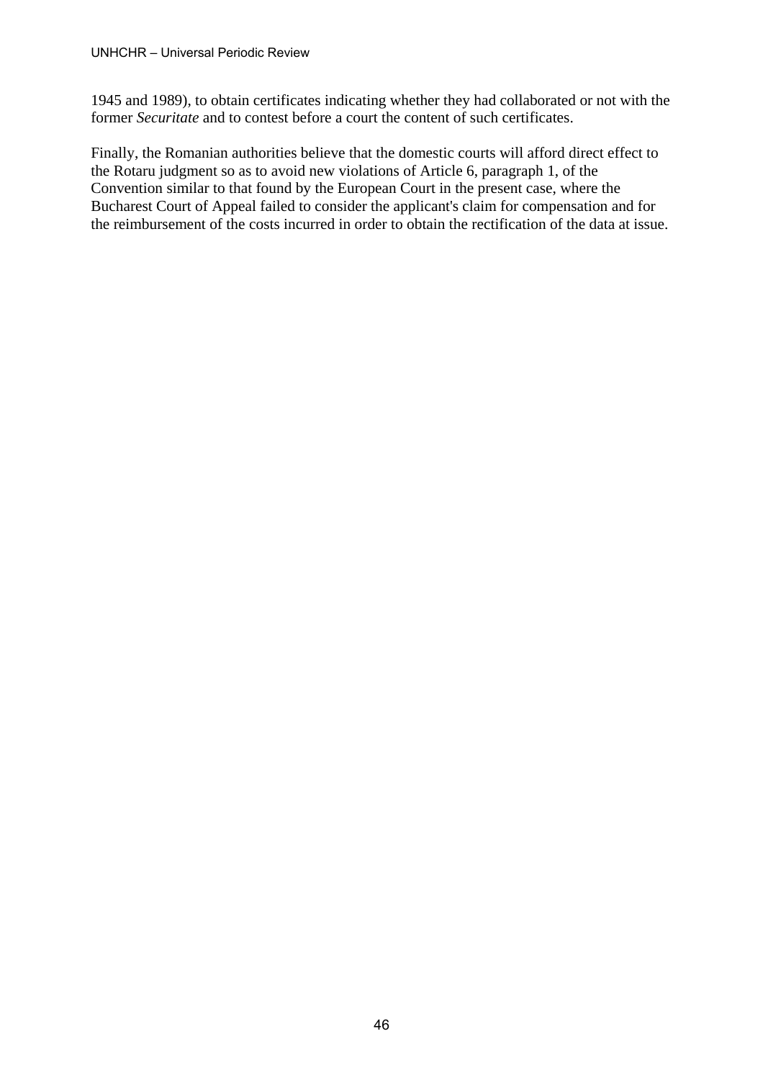1945 and 1989), to obtain certificates indicating whether they had collaborated or not with the former *Securitate* and to contest before a court the content of such certificates.

Finally, the Romanian authorities believe that the domestic courts will afford direct effect to the Rotaru judgment so as to avoid new violations of Article 6, paragraph 1, of the Convention similar to that found by the European Court in the present case, where the Bucharest Court of Appeal failed to consider the applicant's claim for compensation and for the reimbursement of the costs incurred in order to obtain the rectification of the data at issue.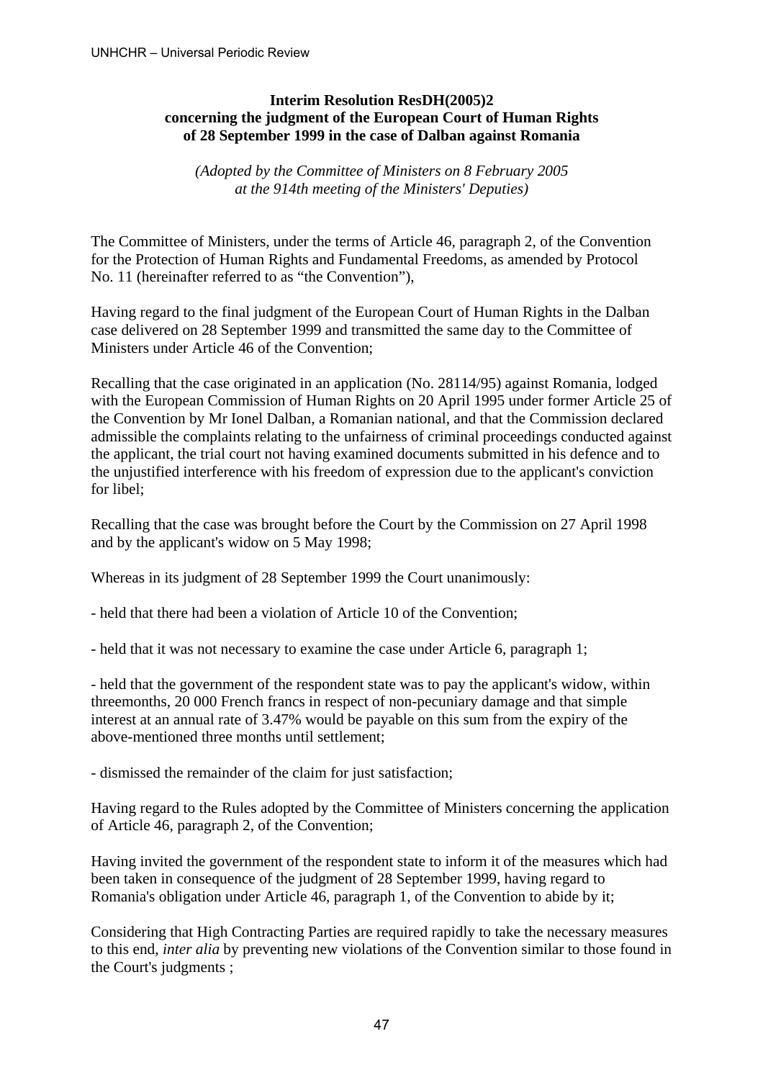# **Interim Resolution ResDH(2005)2 concerning the judgment of the European Court of Human Rights of 28 September 1999 in the case of Dalban against Romania**

*(Adopted by the Committee of Ministers on 8 February 2005 at the 914th meeting of the Ministers' Deputies)* 

The Committee of Ministers, under the terms of Article 46, paragraph 2, of the Convention for the Protection of Human Rights and Fundamental Freedoms, as amended by Protocol No. 11 (hereinafter referred to as "the Convention"),

Having regard to the final judgment of the European Court of Human Rights in the Dalban case delivered on 28 September 1999 and transmitted the same day to the Committee of Ministers under Article 46 of the Convention;

Recalling that the case originated in an application (No. 28114/95) against Romania, lodged with the European Commission of Human Rights on 20 April 1995 under former Article 25 of the Convention by Mr Ionel Dalban, a Romanian national, and that the Commission declared admissible the complaints relating to the unfairness of criminal proceedings conducted against the applicant, the trial court not having examined documents submitted in his defence and to the unjustified interference with his freedom of expression due to the applicant's conviction for libel;

Recalling that the case was brought before the Court by the Commission on 27 April 1998 and by the applicant's widow on 5 May 1998;

Whereas in its judgment of 28 September 1999 the Court unanimously:

- held that there had been a violation of Article 10 of the Convention;

- held that it was not necessary to examine the case under Article 6, paragraph 1;

- held that the government of the respondent state was to pay the applicant's widow, within threemonths, 20 000 French francs in respect of non-pecuniary damage and that simple interest at an annual rate of 3.47% would be payable on this sum from the expiry of the above-mentioned three months until settlement;

- dismissed the remainder of the claim for just satisfaction;

Having regard to the Rules adopted by the Committee of Ministers concerning the application of Article 46, paragraph 2, of the Convention;

Having invited the government of the respondent state to inform it of the measures which had been taken in consequence of the judgment of 28 September 1999, having regard to Romania's obligation under Article 46, paragraph 1, of the Convention to abide by it;

Considering that High Contracting Parties are required rapidly to take the necessary measures to this end, *inter alia* by preventing new violations of the Convention similar to those found in the Court's judgments ;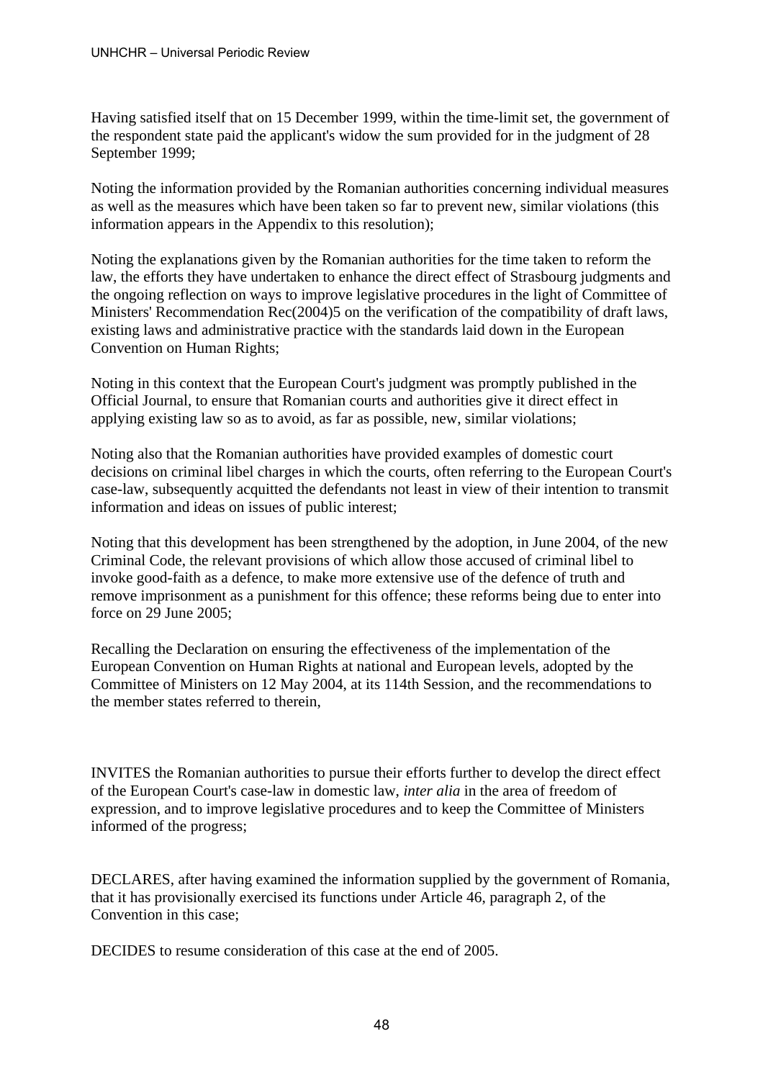Having satisfied itself that on 15 December 1999, within the time-limit set, the government of the respondent state paid the applicant's widow the sum provided for in the judgment of 28 September 1999;

Noting the information provided by the Romanian authorities concerning individual measures as well as the measures which have been taken so far to prevent new, similar violations (this information appears in the Appendix to this resolution);

Noting the explanations given by the Romanian authorities for the time taken to reform the law, the efforts they have undertaken to enhance the direct effect of Strasbourg judgments and the ongoing reflection on ways to improve legislative procedures in the light of Committee of Ministers' Recommendation Rec(2004)5 on the verification of the compatibility of draft laws, existing laws and administrative practice with the standards laid down in the European Convention on Human Rights;

Noting in this context that the European Court's judgment was promptly published in the Official Journal, to ensure that Romanian courts and authorities give it direct effect in applying existing law so as to avoid, as far as possible, new, similar violations;

Noting also that the Romanian authorities have provided examples of domestic court decisions on criminal libel charges in which the courts, often referring to the European Court's case-law, subsequently acquitted the defendants not least in view of their intention to transmit information and ideas on issues of public interest;

Noting that this development has been strengthened by the adoption, in June 2004, of the new Criminal Code, the relevant provisions of which allow those accused of criminal libel to invoke good-faith as a defence, to make more extensive use of the defence of truth and remove imprisonment as a punishment for this offence; these reforms being due to enter into force on 29 June 2005;

Recalling the Declaration on ensuring the effectiveness of the implementation of the European Convention on Human Rights at national and European levels, adopted by the Committee of Ministers on 12 May 2004, at its 114th Session, and the recommendations to the member states referred to therein,

INVITES the Romanian authorities to pursue their efforts further to develop the direct effect of the European Court's case-law in domestic law, *inter alia* in the area of freedom of expression, and to improve legislative procedures and to keep the Committee of Ministers informed of the progress;

DECLARES, after having examined the information supplied by the government of Romania, that it has provisionally exercised its functions under Article 46, paragraph 2, of the Convention in this case;

DECIDES to resume consideration of this case at the end of 2005.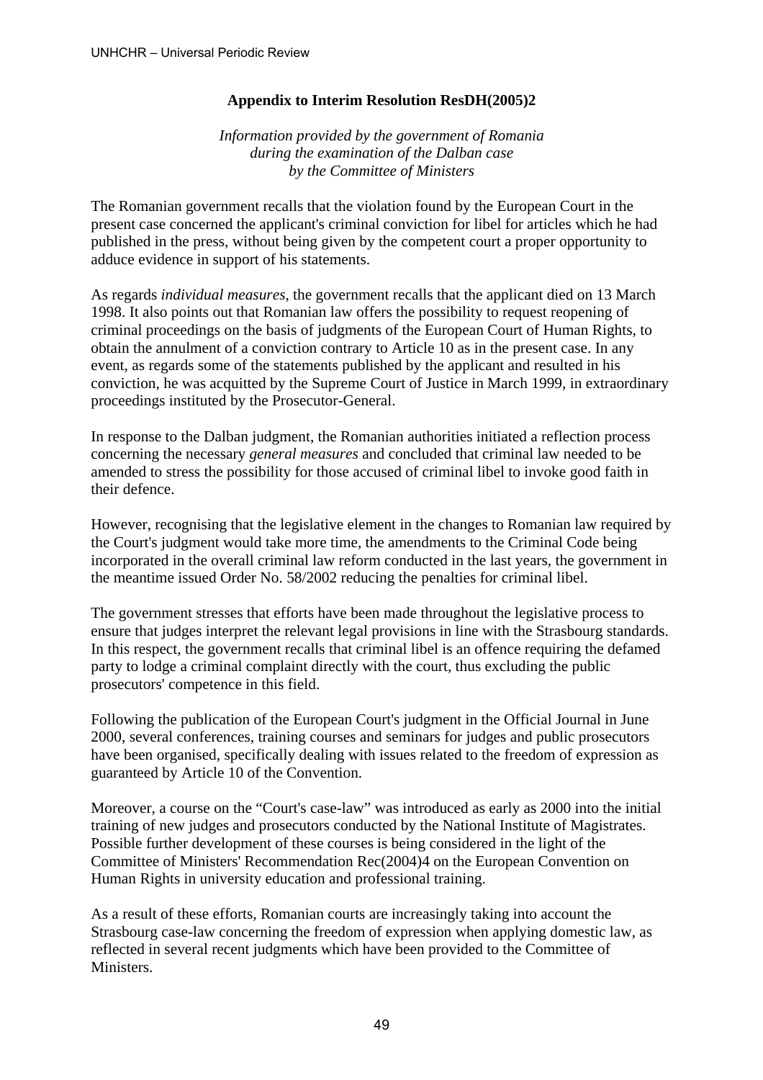# **Appendix to Interim Resolution ResDH(2005)2**

*Information provided by the government of Romania during the examination of the Dalban case by the Committee of Ministers* 

The Romanian government recalls that the violation found by the European Court in the present case concerned the applicant's criminal conviction for libel for articles which he had published in the press, without being given by the competent court a proper opportunity to adduce evidence in support of his statements.

As regards *individual measures*, the government recalls that the applicant died on 13 March 1998. It also points out that Romanian law offers the possibility to request reopening of criminal proceedings on the basis of judgments of the European Court of Human Rights, to obtain the annulment of a conviction contrary to Article 10 as in the present case. In any event, as regards some of the statements published by the applicant and resulted in his conviction, he was acquitted by the Supreme Court of Justice in March 1999, in extraordinary proceedings instituted by the Prosecutor-General.

In response to the Dalban judgment, the Romanian authorities initiated a reflection process concerning the necessary *general measures* and concluded that criminal law needed to be amended to stress the possibility for those accused of criminal libel to invoke good faith in their defence.

However, recognising that the legislative element in the changes to Romanian law required by the Court's judgment would take more time, the amendments to the Criminal Code being incorporated in the overall criminal law reform conducted in the last years, the government in the meantime issued Order No. 58/2002 reducing the penalties for criminal libel.

The government stresses that efforts have been made throughout the legislative process to ensure that judges interpret the relevant legal provisions in line with the Strasbourg standards. In this respect, the government recalls that criminal libel is an offence requiring the defamed party to lodge a criminal complaint directly with the court, thus excluding the public prosecutors' competence in this field.

Following the publication of the European Court's judgment in the Official Journal in June 2000, several conferences, training courses and seminars for judges and public prosecutors have been organised, specifically dealing with issues related to the freedom of expression as guaranteed by Article 10 of the Convention.

Moreover, a course on the "Court's case-law" was introduced as early as 2000 into the initial training of new judges and prosecutors conducted by the National Institute of Magistrates. Possible further development of these courses is being considered in the light of the Committee of Ministers' Recommendation Rec(2004)4 on the European Convention on Human Rights in university education and professional training.

As a result of these efforts, Romanian courts are increasingly taking into account the Strasbourg case-law concerning the freedom of expression when applying domestic law, as reflected in several recent judgments which have been provided to the Committee of Ministers.